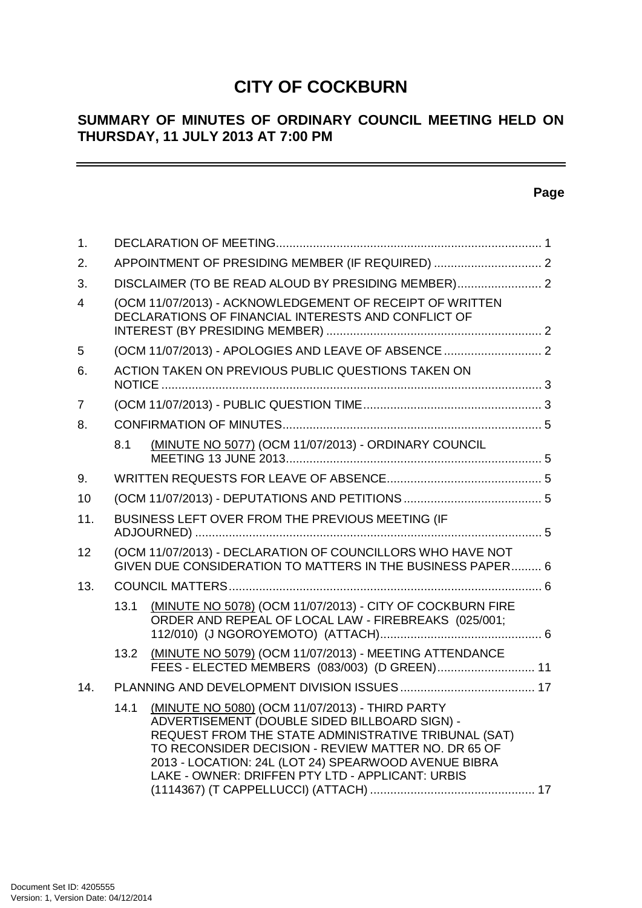# **CITY OF COCKBURN**

# **SUMMARY OF MINUTES OF ORDINARY COUNCIL MEETING HELD ON THURSDAY, 11 JULY 2013 AT 7:00 PM**

# **Page**

| 1.             |                                                                                                                          |                                                                                                                                                                                                                                                                                                                             |  |  |
|----------------|--------------------------------------------------------------------------------------------------------------------------|-----------------------------------------------------------------------------------------------------------------------------------------------------------------------------------------------------------------------------------------------------------------------------------------------------------------------------|--|--|
| 2.             | APPOINTMENT OF PRESIDING MEMBER (IF REQUIRED)  2                                                                         |                                                                                                                                                                                                                                                                                                                             |  |  |
| 3.             | DISCLAIMER (TO BE READ ALOUD BY PRESIDING MEMBER) 2                                                                      |                                                                                                                                                                                                                                                                                                                             |  |  |
| 4              | (OCM 11/07/2013) - ACKNOWLEDGEMENT OF RECEIPT OF WRITTEN<br>DECLARATIONS OF FINANCIAL INTERESTS AND CONFLICT OF          |                                                                                                                                                                                                                                                                                                                             |  |  |
| 5              |                                                                                                                          |                                                                                                                                                                                                                                                                                                                             |  |  |
| 6.             | ACTION TAKEN ON PREVIOUS PUBLIC QUESTIONS TAKEN ON                                                                       |                                                                                                                                                                                                                                                                                                                             |  |  |
| $\overline{7}$ |                                                                                                                          |                                                                                                                                                                                                                                                                                                                             |  |  |
| 8.             |                                                                                                                          |                                                                                                                                                                                                                                                                                                                             |  |  |
|                | 8.1                                                                                                                      | (MINUTE NO 5077) (OCM 11/07/2013) - ORDINARY COUNCIL                                                                                                                                                                                                                                                                        |  |  |
| 9.             |                                                                                                                          |                                                                                                                                                                                                                                                                                                                             |  |  |
| 10             |                                                                                                                          |                                                                                                                                                                                                                                                                                                                             |  |  |
| 11.            | BUSINESS LEFT OVER FROM THE PREVIOUS MEETING (IF                                                                         |                                                                                                                                                                                                                                                                                                                             |  |  |
| 12             | (OCM 11/07/2013) - DECLARATION OF COUNCILLORS WHO HAVE NOT<br>GIVEN DUE CONSIDERATION TO MATTERS IN THE BUSINESS PAPER 6 |                                                                                                                                                                                                                                                                                                                             |  |  |
| 13.            |                                                                                                                          |                                                                                                                                                                                                                                                                                                                             |  |  |
|                | 13.1                                                                                                                     | (MINUTE NO 5078) (OCM 11/07/2013) - CITY OF COCKBURN FIRE<br>ORDER AND REPEAL OF LOCAL LAW - FIREBREAKS (025/001;                                                                                                                                                                                                           |  |  |
|                | 13.2                                                                                                                     | (MINUTE NO 5079) (OCM 11/07/2013) - MEETING ATTENDANCE<br>FEES - ELECTED MEMBERS (083/003) (D GREEN) 11                                                                                                                                                                                                                     |  |  |
| 14.            |                                                                                                                          |                                                                                                                                                                                                                                                                                                                             |  |  |
|                | 14.1                                                                                                                     | (MINUTE NO 5080) (OCM 11/07/2013) - THIRD PARTY<br>ADVERTISEMENT (DOUBLE SIDED BILLBOARD SIGN) -<br>REQUEST FROM THE STATE ADMINISTRATIVE TRIBUNAL (SAT)<br>TO RECONSIDER DECISION - REVIEW MATTER NO. DR 65 OF<br>2013 - LOCATION: 24L (LOT 24) SPEARWOOD AVENUE BIBRA<br>LAKE - OWNER: DRIFFEN PTY LTD - APPLICANT: URBIS |  |  |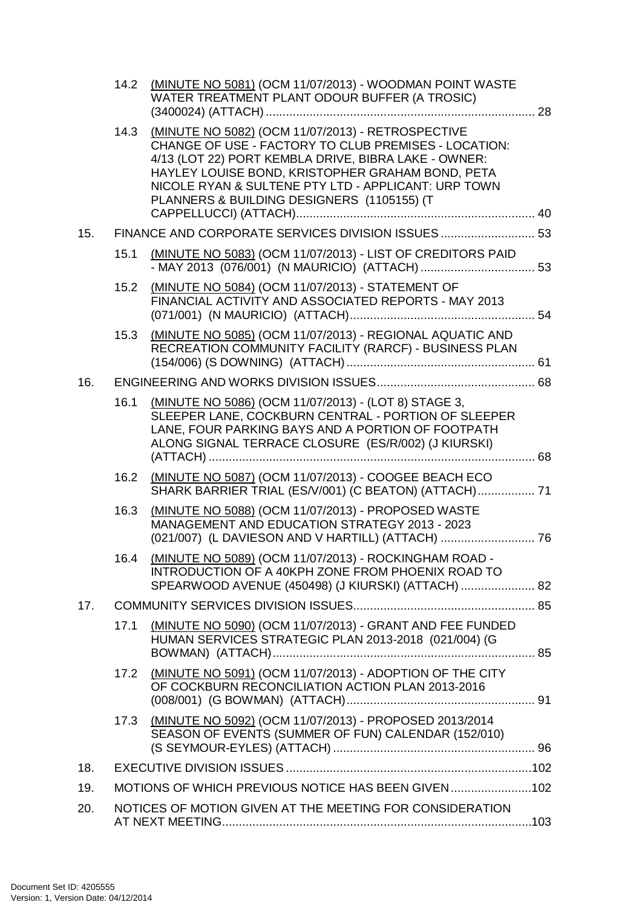|     | 14.2                                                     | (MINUTE NO 5081) (OCM 11/07/2013) - WOODMAN POINT WASTE<br>WATER TREATMENT PLANT ODOUR BUFFER (A TROSIC)                                                                                                                                                                                                                   |  |
|-----|----------------------------------------------------------|----------------------------------------------------------------------------------------------------------------------------------------------------------------------------------------------------------------------------------------------------------------------------------------------------------------------------|--|
|     | 14.3                                                     | (MINUTE NO 5082) (OCM 11/07/2013) - RETROSPECTIVE<br>CHANGE OF USE - FACTORY TO CLUB PREMISES - LOCATION:<br>4/13 (LOT 22) PORT KEMBLA DRIVE, BIBRA LAKE - OWNER:<br>HAYLEY LOUISE BOND, KRISTOPHER GRAHAM BOND, PETA<br>NICOLE RYAN & SULTENE PTY LTD - APPLICANT: URP TOWN<br>PLANNERS & BUILDING DESIGNERS (1105155) (T |  |
| 15. |                                                          |                                                                                                                                                                                                                                                                                                                            |  |
|     | 15.1                                                     | (MINUTE NO 5083) (OCM 11/07/2013) - LIST OF CREDITORS PAID                                                                                                                                                                                                                                                                 |  |
|     | 15.2                                                     | (MINUTE NO 5084) (OCM 11/07/2013) - STATEMENT OF<br>FINANCIAL ACTIVITY AND ASSOCIATED REPORTS - MAY 2013                                                                                                                                                                                                                   |  |
|     | 15.3                                                     | (MINUTE NO 5085) (OCM 11/07/2013) - REGIONAL AQUATIC AND<br>RECREATION COMMUNITY FACILITY (RARCF) - BUSINESS PLAN                                                                                                                                                                                                          |  |
| 16. |                                                          |                                                                                                                                                                                                                                                                                                                            |  |
|     | 16.1                                                     | (MINUTE NO 5086) (OCM 11/07/2013) - (LOT 8) STAGE 3,<br>SLEEPER LANE, COCKBURN CENTRAL - PORTION OF SLEEPER<br>LANE, FOUR PARKING BAYS AND A PORTION OF FOOTPATH<br>ALONG SIGNAL TERRACE CLOSURE (ES/R/002) (J KIURSKI)                                                                                                    |  |
|     | 16.2                                                     | (MINUTE NO 5087) (OCM 11/07/2013) - COOGEE BEACH ECO<br>SHARK BARRIER TRIAL (ES/V/001) (C BEATON) (ATTACH) 71                                                                                                                                                                                                              |  |
|     | 16.3                                                     | (MINUTE NO 5088) (OCM 11/07/2013) - PROPOSED WASTE<br>MANAGEMENT AND EDUCATION STRATEGY 2013 - 2023<br>(021/007) (L DAVIESON AND V HARTILL) (ATTACH)  76                                                                                                                                                                   |  |
|     |                                                          | 16.4 (MINUTE NO 5089) (OCM 11/07/2013) - ROCKINGHAM ROAD -<br>INTRODUCTION OF A 40KPH ZONE FROM PHOENIX ROAD TO<br>SPEARWOOD AVENUE (450498) (J KIURSKI) (ATTACH)  82                                                                                                                                                      |  |
| 17. |                                                          |                                                                                                                                                                                                                                                                                                                            |  |
|     | 17.1                                                     | (MINUTE NO 5090) (OCM 11/07/2013) - GRANT AND FEE FUNDED<br>HUMAN SERVICES STRATEGIC PLAN 2013-2018 (021/004) (G                                                                                                                                                                                                           |  |
|     | 17.2                                                     | (MINUTE NO 5091) (OCM 11/07/2013) - ADOPTION OF THE CITY<br>OF COCKBURN RECONCILIATION ACTION PLAN 2013-2016                                                                                                                                                                                                               |  |
|     | 17.3                                                     | (MINUTE NO 5092) (OCM 11/07/2013) - PROPOSED 2013/2014<br>SEASON OF EVENTS (SUMMER OF FUN) CALENDAR (152/010)                                                                                                                                                                                                              |  |
| 18. |                                                          |                                                                                                                                                                                                                                                                                                                            |  |
| 19. |                                                          | MOTIONS OF WHICH PREVIOUS NOTICE HAS BEEN GIVEN 102                                                                                                                                                                                                                                                                        |  |
| 20. | NOTICES OF MOTION GIVEN AT THE MEETING FOR CONSIDERATION |                                                                                                                                                                                                                                                                                                                            |  |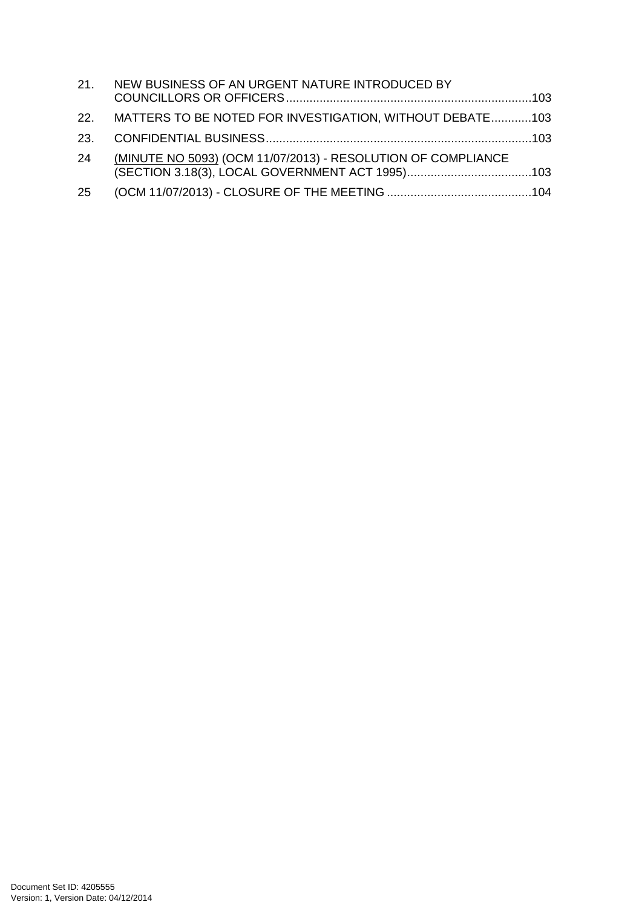|    | 21. NEW BUSINESS OF AN URGENT NATURE INTRODUCED BY           |  |
|----|--------------------------------------------------------------|--|
|    | 22. MATTERS TO BE NOTED FOR INVESTIGATION, WITHOUT DEBATE103 |  |
|    |                                                              |  |
| 24 | (MINUTE NO 5093) (OCM 11/07/2013) - RESOLUTION OF COMPLIANCE |  |
| 25 |                                                              |  |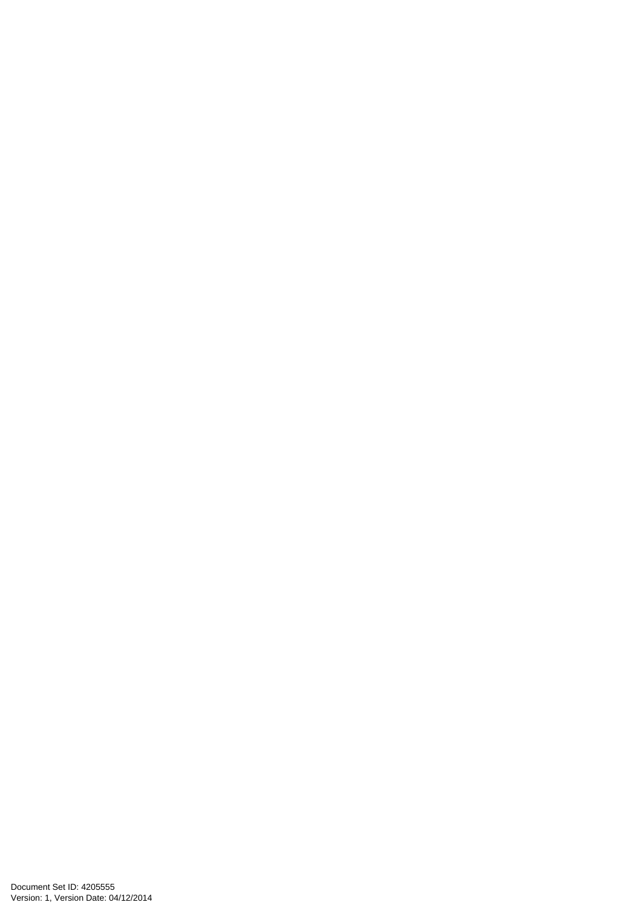Document Set ID: 4205555<br>Version: 1, Version Date: 04/12/2014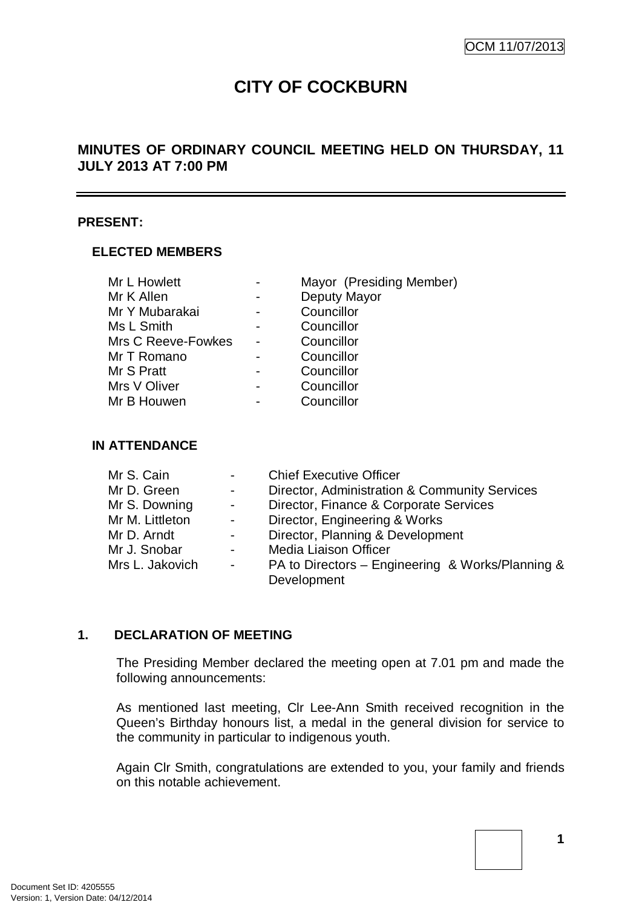# **CITY OF COCKBURN**

# **MINUTES OF ORDINARY COUNCIL MEETING HELD ON THURSDAY, 11 JULY 2013 AT 7:00 PM**

### **PRESENT:**

#### **ELECTED MEMBERS**

| Mr L Howlett       | Mayor (Presiding Member) |
|--------------------|--------------------------|
| Mr K Allen         | Deputy Mayor             |
| Mr Y Mubarakai     | Councillor               |
| Ms L Smith         | Councillor               |
| Mrs C Reeve-Fowkes | Councillor               |
| Mr T Romano        | Councillor               |
| Mr S Pratt         | Councillor               |
| Mrs V Oliver       | Councillor               |
| Mr B Houwen        | Councillor               |

#### **IN ATTENDANCE**

| Mr S. Cain      | $\blacksquare$ | <b>Chief Executive Officer</b>                   |
|-----------------|----------------|--------------------------------------------------|
| Mr D. Green     | $\sim 100$     | Director, Administration & Community Services    |
| Mr S. Downing   | $\sim 10$      | Director, Finance & Corporate Services           |
| Mr M. Littleton | $\sim 100$     | Director, Engineering & Works                    |
| Mr D. Arndt     | $\sim$         | Director, Planning & Development                 |
| Mr J. Snobar    | $\sim$         | Media Liaison Officer                            |
| Mrs L. Jakovich | $\blacksquare$ | PA to Directors – Engineering & Works/Planning & |
|                 |                | Development                                      |

# **1. DECLARATION OF MEETING**

The Presiding Member declared the meeting open at 7.01 pm and made the following announcements:

As mentioned last meeting, Clr Lee-Ann Smith received recognition in the Queen's Birthday honours list, a medal in the general division for service to the community in particular to indigenous youth.

Again Clr Smith, congratulations are extended to you, your family and friends on this notable achievement.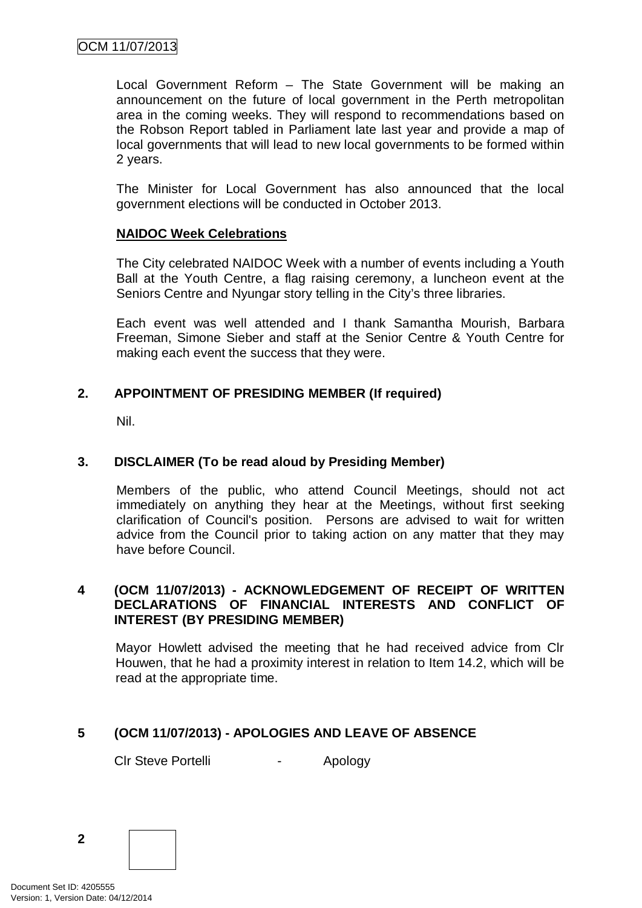# OCM 11/07/2013

Local Government Reform – The State Government will be making an announcement on the future of local government in the Perth metropolitan area in the coming weeks. They will respond to recommendations based on the Robson Report tabled in Parliament late last year and provide a map of local governments that will lead to new local governments to be formed within 2 years.

The Minister for Local Government has also announced that the local government elections will be conducted in October 2013.

### **NAIDOC Week Celebrations**

The City celebrated NAIDOC Week with a number of events including a Youth Ball at the Youth Centre, a flag raising ceremony, a luncheon event at the Seniors Centre and Nyungar story telling in the City's three libraries.

Each event was well attended and I thank Samantha Mourish, Barbara Freeman, Simone Sieber and staff at the Senior Centre & Youth Centre for making each event the success that they were.

# **2. APPOINTMENT OF PRESIDING MEMBER (If required)**

Nil.

# **3. DISCLAIMER (To be read aloud by Presiding Member)**

Members of the public, who attend Council Meetings, should not act immediately on anything they hear at the Meetings, without first seeking clarification of Council's position. Persons are advised to wait for written advice from the Council prior to taking action on any matter that they may have before Council.

### **4 (OCM 11/07/2013) - ACKNOWLEDGEMENT OF RECEIPT OF WRITTEN DECLARATIONS OF FINANCIAL INTERESTS AND CONFLICT OF INTEREST (BY PRESIDING MEMBER)**

Mayor Howlett advised the meeting that he had received advice from Clr Houwen, that he had a proximity interest in relation to Item 14.2, which will be read at the appropriate time.

# **5 (OCM 11/07/2013) - APOLOGIES AND LEAVE OF ABSENCE**

Clr Steve Portelli **- Apology**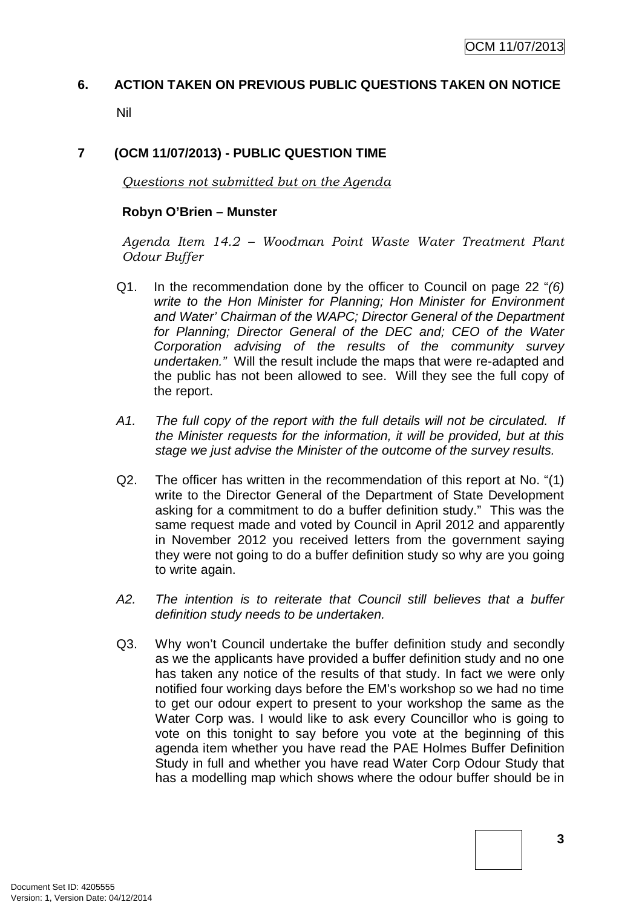### **6. ACTION TAKEN ON PREVIOUS PUBLIC QUESTIONS TAKEN ON NOTICE**

Nil

# **7 (OCM 11/07/2013) - PUBLIC QUESTION TIME**

*Questions not submitted but on the Agenda*

#### **Robyn O'Brien – Munster**

*Agenda Item 14.2 – Woodman Point Waste Water Treatment Plant Odour Buffer*

- Q1. In the recommendation done by the officer to Council on page 22 "*(6) write to the Hon Minister for Planning; Hon Minister for Environment and Water' Chairman of the WAPC; Director General of the Department for Planning; Director General of the DEC and; CEO of the Water Corporation advising of the results of the community survey undertaken."* Will the result include the maps that were re-adapted and the public has not been allowed to see. Will they see the full copy of the report.
- *A1. The full copy of the report with the full details will not be circulated. If the Minister requests for the information, it will be provided, but at this stage we just advise the Minister of the outcome of the survey results.*
- Q2. The officer has written in the recommendation of this report at No. "(1) write to the Director General of the Department of State Development asking for a commitment to do a buffer definition study." This was the same request made and voted by Council in April 2012 and apparently in November 2012 you received letters from the government saying they were not going to do a buffer definition study so why are you going to write again.
- *A2. The intention is to reiterate that Council still believes that a buffer definition study needs to be undertaken.*
- Q3. Why won't Council undertake the buffer definition study and secondly as we the applicants have provided a buffer definition study and no one has taken any notice of the results of that study. In fact we were only notified four working days before the EM's workshop so we had no time to get our odour expert to present to your workshop the same as the Water Corp was. I would like to ask every Councillor who is going to vote on this tonight to say before you vote at the beginning of this agenda item whether you have read the PAE Holmes Buffer Definition Study in full and whether you have read Water Corp Odour Study that has a modelling map which shows where the odour buffer should be in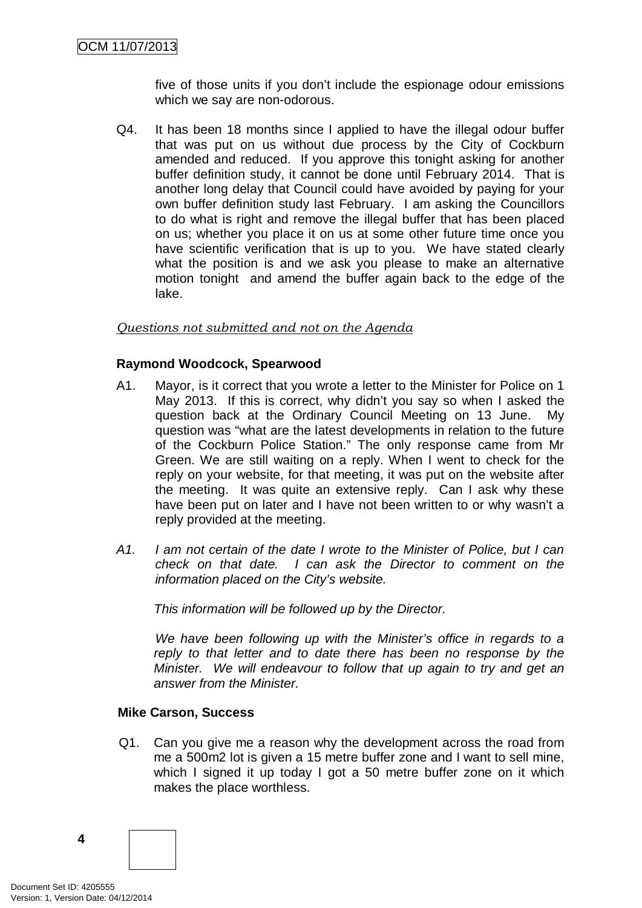five of those units if you don't include the espionage odour emissions which we say are non-odorous.

Q4. It has been 18 months since I applied to have the illegal odour buffer that was put on us without due process by the City of Cockburn amended and reduced. If you approve this tonight asking for another buffer definition study, it cannot be done until February 2014. That is another long delay that Council could have avoided by paying for your own buffer definition study last February. I am asking the Councillors to do what is right and remove the illegal buffer that has been placed on us; whether you place it on us at some other future time once you have scientific verification that is up to you. We have stated clearly what the position is and we ask you please to make an alternative motion tonight and amend the buffer again back to the edge of the lake.

### *Questions not submitted and not on the Agenda*

#### **Raymond Woodcock, Spearwood**

- A1. Mayor, is it correct that you wrote a letter to the Minister for Police on 1 May 2013. If this is correct, why didn't you say so when I asked the question back at the Ordinary Council Meeting on 13 June. My question was "what are the latest developments in relation to the future of the Cockburn Police Station." The only response came from Mr Green. We are still waiting on a reply. When I went to check for the reply on your website, for that meeting, it was put on the website after the meeting. It was quite an extensive reply. Can I ask why these have been put on later and I have not been written to or why wasn't a reply provided at the meeting.
- *A1. I am not certain of the date I wrote to the Minister of Police, but I can I* can ask the Director to comment on the *information placed on the City's website.*

*This information will be followed up by the Director.*

*We have been following up with the Minister's office in regards to a reply to that letter and to date there has been no response by the Minister. We will endeavour to follow that up again to try and get an answer from the Minister.*

#### **Mike Carson, Success**

Q1. Can you give me a reason why the development across the road from me a 500m2 lot is given a 15 metre buffer zone and I want to sell mine, which I signed it up today I got a 50 metre buffer zone on it which makes the place worthless.

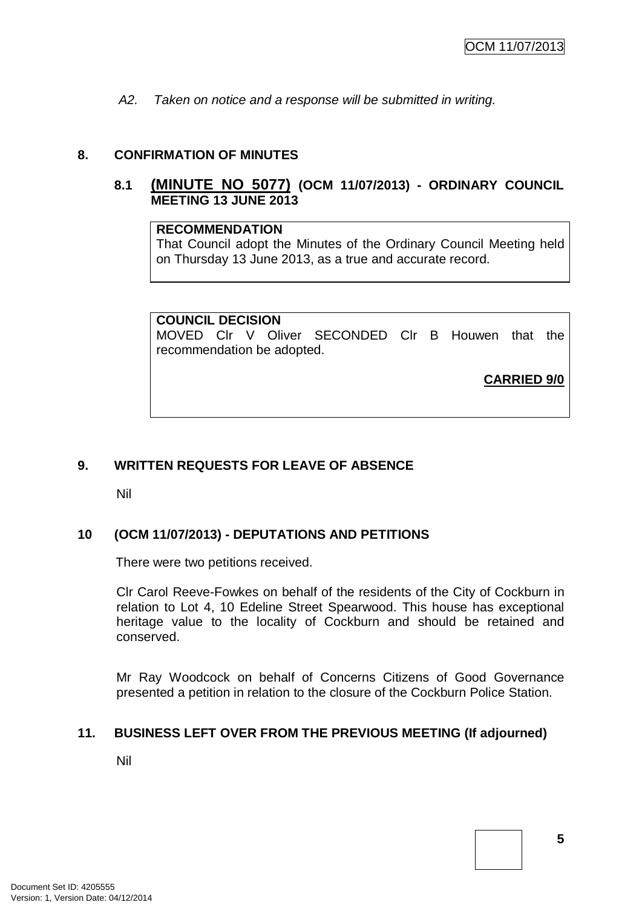*A2. Taken on notice and a response will be submitted in writing.*

# **8. CONFIRMATION OF MINUTES**

# **8.1 (MINUTE NO 5077) (OCM 11/07/2013) - ORDINARY COUNCIL MEETING 13 JUNE 2013**

### **RECOMMENDATION**

That Council adopt the Minutes of the Ordinary Council Meeting held on Thursday 13 June 2013, as a true and accurate record.

#### **COUNCIL DECISION**

MOVED Clr V Oliver SECONDED Clr B Houwen that the recommendation be adopted.

**CARRIED 9/0**

# **9. WRITTEN REQUESTS FOR LEAVE OF ABSENCE**

Nil

### **10 (OCM 11/07/2013) - DEPUTATIONS AND PETITIONS**

There were two petitions received.

Clr Carol Reeve-Fowkes on behalf of the residents of the City of Cockburn in relation to Lot 4, 10 Edeline Street Spearwood. This house has exceptional heritage value to the locality of Cockburn and should be retained and conserved.

Mr Ray Woodcock on behalf of Concerns Citizens of Good Governance presented a petition in relation to the closure of the Cockburn Police Station.

### **11. BUSINESS LEFT OVER FROM THE PREVIOUS MEETING (If adjourned)**

Nil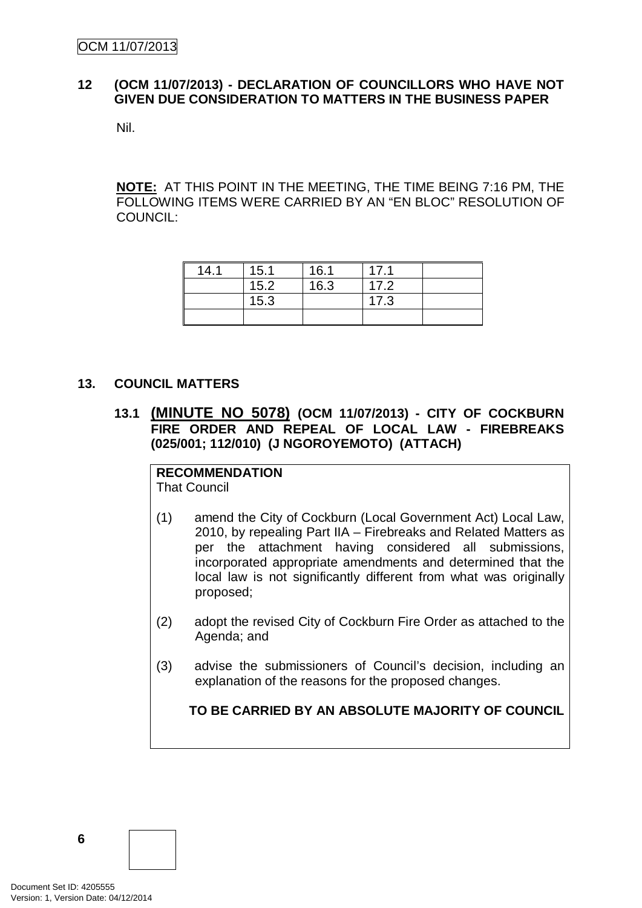# **12 (OCM 11/07/2013) - DECLARATION OF COUNCILLORS WHO HAVE NOT GIVEN DUE CONSIDERATION TO MATTERS IN THE BUSINESS PAPER**

Nil.

**NOTE:** AT THIS POINT IN THE MEETING, THE TIME BEING 7:16 PM, THE FOLLOWING ITEMS WERE CARRIED BY AN "EN BLOC" RESOLUTION OF COUNCIL:

| 14.1 | 15.1 | 16.1 | 17.1 |  |
|------|------|------|------|--|
|      | 15.2 | 16.3 | 17.2 |  |
|      | 15.3 |      | 17.3 |  |
|      |      |      |      |  |

# **13. COUNCIL MATTERS**

**13.1 (MINUTE NO 5078) (OCM 11/07/2013) - CITY OF COCKBURN FIRE ORDER AND REPEAL OF LOCAL LAW - FIREBREAKS (025/001; 112/010) (J NGOROYEMOTO) (ATTACH)**

**RECOMMENDATION** That Council

- (1) amend the City of Cockburn (Local Government Act) Local Law, 2010, by repealing Part IIA – Firebreaks and Related Matters as per the attachment having considered all submissions, incorporated appropriate amendments and determined that the local law is not significantly different from what was originally proposed;
- (2) adopt the revised City of Cockburn Fire Order as attached to the Agenda; and
- (3) advise the submissioners of Council's decision, including an explanation of the reasons for the proposed changes.

**TO BE CARRIED BY AN ABSOLUTE MAJORITY OF COUNCIL**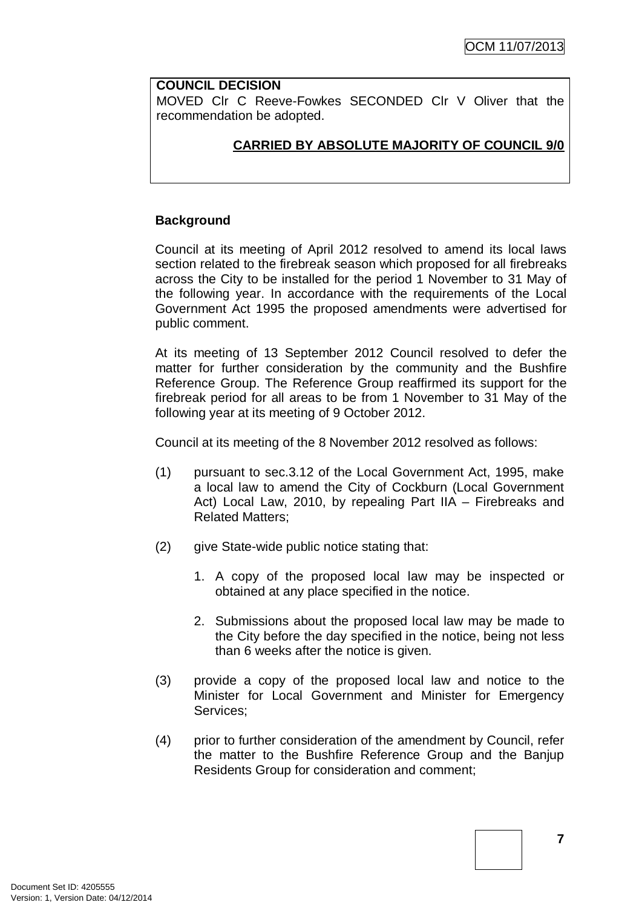#### **COUNCIL DECISION**

MOVED Clr C Reeve-Fowkes SECONDED Clr V Oliver that the recommendation be adopted.

# **CARRIED BY ABSOLUTE MAJORITY OF COUNCIL 9/0**

# **Background**

Council at its meeting of April 2012 resolved to amend its local laws section related to the firebreak season which proposed for all firebreaks across the City to be installed for the period 1 November to 31 May of the following year. In accordance with the requirements of the Local Government Act 1995 the proposed amendments were advertised for public comment.

At its meeting of 13 September 2012 Council resolved to defer the matter for further consideration by the community and the Bushfire Reference Group. The Reference Group reaffirmed its support for the firebreak period for all areas to be from 1 November to 31 May of the following year at its meeting of 9 October 2012.

Council at its meeting of the 8 November 2012 resolved as follows:

- (1) pursuant to sec.3.12 of the Local Government Act, 1995, make a local law to amend the City of Cockburn (Local Government Act) Local Law, 2010, by repealing Part IIA – Firebreaks and Related Matters;
- (2) give State-wide public notice stating that:
	- 1. A copy of the proposed local law may be inspected or obtained at any place specified in the notice.
	- 2. Submissions about the proposed local law may be made to the City before the day specified in the notice, being not less than 6 weeks after the notice is given.
- (3) provide a copy of the proposed local law and notice to the Minister for Local Government and Minister for Emergency Services;
- (4) prior to further consideration of the amendment by Council, refer the matter to the Bushfire Reference Group and the Banjup Residents Group for consideration and comment;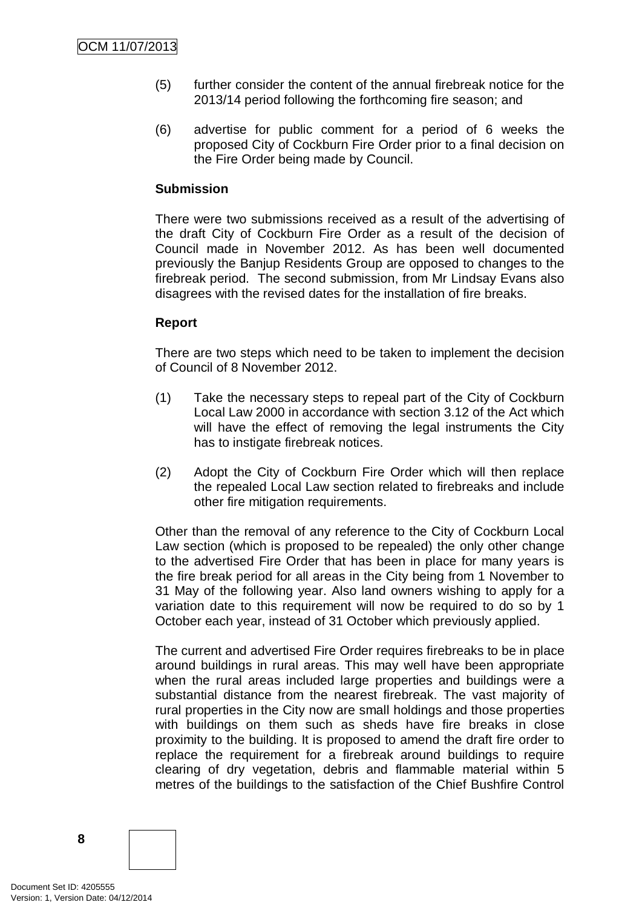- (5) further consider the content of the annual firebreak notice for the 2013/14 period following the forthcoming fire season; and
- (6) advertise for public comment for a period of 6 weeks the proposed City of Cockburn Fire Order prior to a final decision on the Fire Order being made by Council.

### **Submission**

There were two submissions received as a result of the advertising of the draft City of Cockburn Fire Order as a result of the decision of Council made in November 2012. As has been well documented previously the Banjup Residents Group are opposed to changes to the firebreak period. The second submission, from Mr Lindsay Evans also disagrees with the revised dates for the installation of fire breaks.

#### **Report**

There are two steps which need to be taken to implement the decision of Council of 8 November 2012.

- (1) Take the necessary steps to repeal part of the City of Cockburn Local Law 2000 in accordance with section 3.12 of the Act which will have the effect of removing the legal instruments the City has to instigate firebreak notices.
- (2) Adopt the City of Cockburn Fire Order which will then replace the repealed Local Law section related to firebreaks and include other fire mitigation requirements.

Other than the removal of any reference to the City of Cockburn Local Law section (which is proposed to be repealed) the only other change to the advertised Fire Order that has been in place for many years is the fire break period for all areas in the City being from 1 November to 31 May of the following year. Also land owners wishing to apply for a variation date to this requirement will now be required to do so by 1 October each year, instead of 31 October which previously applied.

The current and advertised Fire Order requires firebreaks to be in place around buildings in rural areas. This may well have been appropriate when the rural areas included large properties and buildings were a substantial distance from the nearest firebreak. The vast majority of rural properties in the City now are small holdings and those properties with buildings on them such as sheds have fire breaks in close proximity to the building. It is proposed to amend the draft fire order to replace the requirement for a firebreak around buildings to require clearing of dry vegetation, debris and flammable material within 5 metres of the buildings to the satisfaction of the Chief Bushfire Control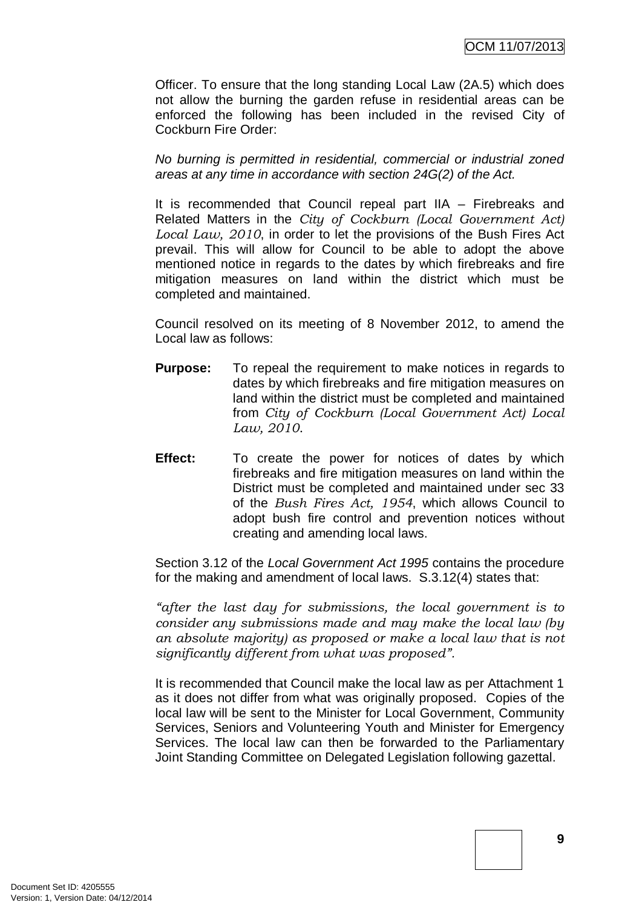Officer. To ensure that the long standing Local Law (2A.5) which does not allow the burning the garden refuse in residential areas can be enforced the following has been included in the revised City of Cockburn Fire Order:

*No burning is permitted in residential, commercial or industrial zoned areas at any time in accordance with section 24G(2) of the Act.*

It is recommended that Council repeal part IIA – Firebreaks and Related Matters in the *City of Cockburn (Local Government Act) Local Law, 2010*, in order to let the provisions of the Bush Fires Act prevail. This will allow for Council to be able to adopt the above mentioned notice in regards to the dates by which firebreaks and fire mitigation measures on land within the district which must be completed and maintained.

Council resolved on its meeting of 8 November 2012, to amend the Local law as follows:

- **Purpose:** To repeal the requirement to make notices in regards to dates by which firebreaks and fire mitigation measures on land within the district must be completed and maintained from *City of Cockburn (Local Government Act) Local Law, 2010*.
- **Effect:** To create the power for notices of dates by which firebreaks and fire mitigation measures on land within the District must be completed and maintained under sec 33 of the *Bush Fires Act, 1954*, which allows Council to adopt bush fire control and prevention notices without creating and amending local laws.

Section 3.12 of the *Local Government Act 1995* contains the procedure for the making and amendment of local laws. S.3.12(4) states that:

*"after the last day for submissions, the local government is to consider any submissions made and may make the local law (by an absolute majority) as proposed or make a local law that is not significantly different from what was proposed".*

It is recommended that Council make the local law as per Attachment 1 as it does not differ from what was originally proposed. Copies of the local law will be sent to the Minister for Local Government, Community Services, Seniors and Volunteering Youth and Minister for Emergency Services. The local law can then be forwarded to the Parliamentary Joint Standing Committee on Delegated Legislation following gazettal.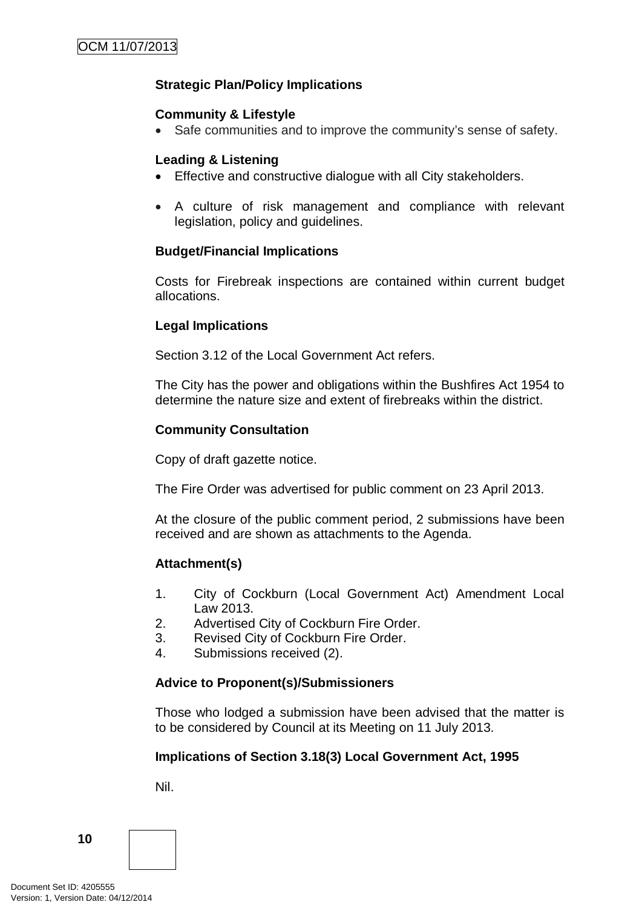# **Strategic Plan/Policy Implications**

### **Community & Lifestyle**

Safe communities and to improve the community's sense of safety.

#### **Leading & Listening**

- Effective and constructive dialogue with all City stakeholders.
- A culture of risk management and compliance with relevant legislation, policy and guidelines.

### **Budget/Financial Implications**

Costs for Firebreak inspections are contained within current budget allocations.

### **Legal Implications**

Section 3.12 of the Local Government Act refers.

The City has the power and obligations within the Bushfires Act 1954 to determine the nature size and extent of firebreaks within the district.

### **Community Consultation**

Copy of draft gazette notice.

The Fire Order was advertised for public comment on 23 April 2013.

At the closure of the public comment period, 2 submissions have been received and are shown as attachments to the Agenda.

### **Attachment(s)**

- 1. City of Cockburn (Local Government Act) Amendment Local Law 2013.
- 2. Advertised City of Cockburn Fire Order.
- 3. Revised City of Cockburn Fire Order.
- 4. Submissions received (2).

### **Advice to Proponent(s)/Submissioners**

Those who lodged a submission have been advised that the matter is to be considered by Council at its Meeting on 11 July 2013.

### **Implications of Section 3.18(3) Local Government Act, 1995**

Nil.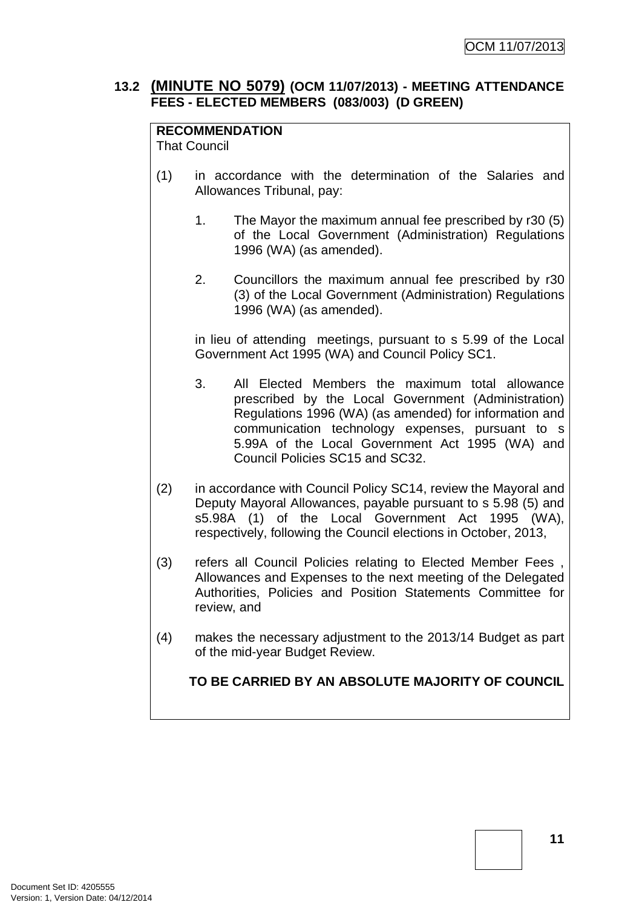# **13.2 (MINUTE NO 5079) (OCM 11/07/2013) - MEETING ATTENDANCE FEES - ELECTED MEMBERS (083/003) (D GREEN)**

#### **RECOMMENDATION**

That Council

- (1) in accordance with the determination of the Salaries and Allowances Tribunal, pay:
	- 1. The Mayor the maximum annual fee prescribed by r30 (5) of the Local Government (Administration) Regulations 1996 (WA) (as amended).
	- 2. Councillors the maximum annual fee prescribed by r30 (3) of the Local Government (Administration) Regulations 1996 (WA) (as amended).

in lieu of attending meetings, pursuant to s 5.99 of the Local Government Act 1995 (WA) and Council Policy SC1.

- 3. All Elected Members the maximum total allowance prescribed by the Local Government (Administration) Regulations 1996 (WA) (as amended) for information and communication technology expenses, pursuant to s 5.99A of the Local Government Act 1995 (WA) and Council Policies SC15 and SC32.
- (2) in accordance with Council Policy SC14, review the Mayoral and Deputy Mayoral Allowances, payable pursuant to s 5.98 (5) and s5.98A (1) of the Local Government Act 1995 (WA), respectively, following the Council elections in October, 2013,
- (3) refers all Council Policies relating to Elected Member Fees , Allowances and Expenses to the next meeting of the Delegated Authorities, Policies and Position Statements Committee for review, and
- (4) makes the necessary adjustment to the 2013/14 Budget as part of the mid-year Budget Review.

**TO BE CARRIED BY AN ABSOLUTE MAJORITY OF COUNCIL**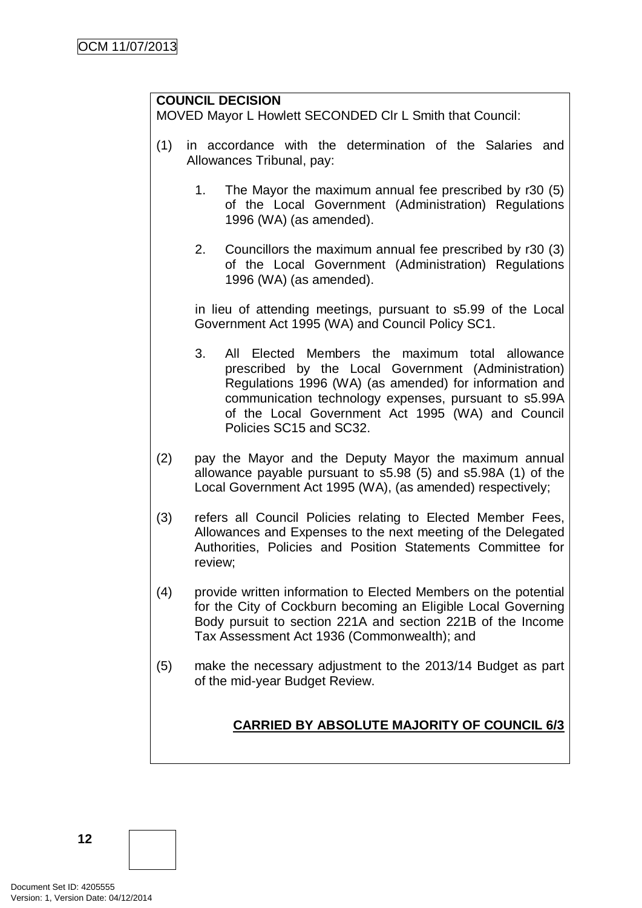# **COUNCIL DECISION**

MOVED Mayor L Howlett SECONDED Clr L Smith that Council:

- (1) in accordance with the determination of the Salaries and Allowances Tribunal, pay:
	- 1. The Mayor the maximum annual fee prescribed by r30 (5) of the Local Government (Administration) Regulations 1996 (WA) (as amended).
	- 2. Councillors the maximum annual fee prescribed by r30 (3) of the Local Government (Administration) Regulations 1996 (WA) (as amended).

in lieu of attending meetings, pursuant to s5.99 of the Local Government Act 1995 (WA) and Council Policy SC1.

- 3. All Elected Members the maximum total allowance prescribed by the Local Government (Administration) Regulations 1996 (WA) (as amended) for information and communication technology expenses, pursuant to s5.99A of the Local Government Act 1995 (WA) and Council Policies SC15 and SC32.
- (2) pay the Mayor and the Deputy Mayor the maximum annual allowance payable pursuant to s5.98 (5) and s5.98A (1) of the Local Government Act 1995 (WA), (as amended) respectively;
- (3) refers all Council Policies relating to Elected Member Fees, Allowances and Expenses to the next meeting of the Delegated Authorities, Policies and Position Statements Committee for review;
- (4) provide written information to Elected Members on the potential for the City of Cockburn becoming an Eligible Local Governing Body pursuit to section 221A and section 221B of the Income Tax Assessment Act 1936 (Commonwealth); and
- (5) make the necessary adjustment to the 2013/14 Budget as part of the mid-year Budget Review.

**CARRIED BY ABSOLUTE MAJORITY OF COUNCIL 6/3**

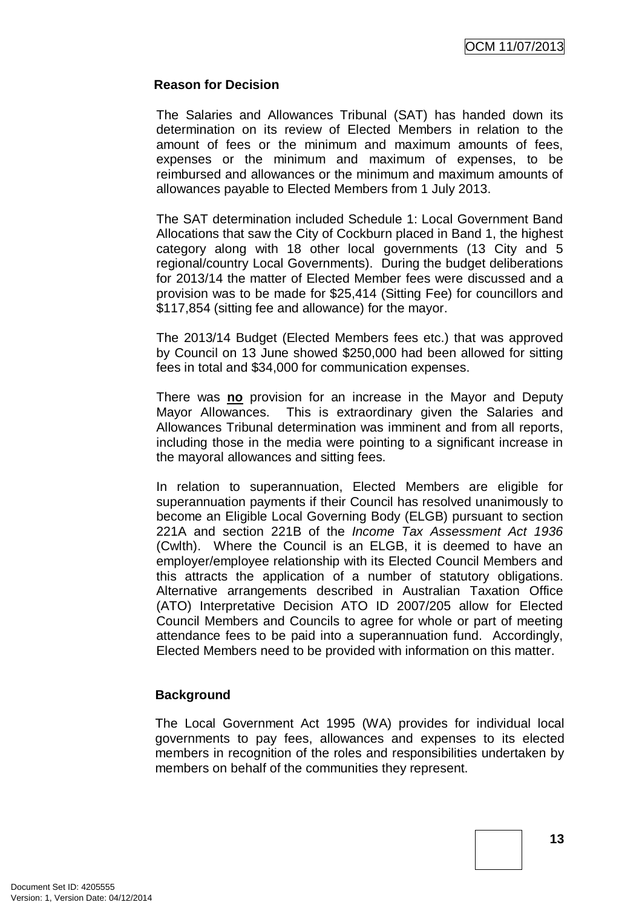### **Reason for Decision**

The Salaries and Allowances Tribunal (SAT) has handed down its determination on its review of Elected Members in relation to the amount of fees or the minimum and maximum amounts of fees, expenses or the minimum and maximum of expenses, to be reimbursed and allowances or the minimum and maximum amounts of allowances payable to Elected Members from 1 July 2013.

The SAT determination included Schedule 1: Local Government Band Allocations that saw the City of Cockburn placed in Band 1, the highest category along with 18 other local governments (13 City and 5 regional/country Local Governments). During the budget deliberations for 2013/14 the matter of Elected Member fees were discussed and a provision was to be made for \$25,414 (Sitting Fee) for councillors and \$117,854 (sitting fee and allowance) for the mayor.

The 2013/14 Budget (Elected Members fees etc.) that was approved by Council on 13 June showed \$250,000 had been allowed for sitting fees in total and \$34,000 for communication expenses.

There was **no** provision for an increase in the Mayor and Deputy Mayor Allowances. This is extraordinary given the Salaries and Allowances Tribunal determination was imminent and from all reports, including those in the media were pointing to a significant increase in the mayoral allowances and sitting fees.

In relation to superannuation, Elected Members are eligible for superannuation payments if their Council has resolved unanimously to become an Eligible Local Governing Body (ELGB) pursuant to section 221A and section 221B of the *Income Tax Assessment Act 1936*  (Cwlth). Where the Council is an ELGB, it is deemed to have an employer/employee relationship with its Elected Council Members and this attracts the application of a number of statutory obligations. Alternative arrangements described in Australian Taxation Office (ATO) Interpretative Decision ATO ID 2007/205 allow for Elected Council Members and Councils to agree for whole or part of meeting attendance fees to be paid into a superannuation fund. Accordingly, Elected Members need to be provided with information on this matter.

### **Background**

The Local Government Act 1995 (WA) provides for individual local governments to pay fees, allowances and expenses to its elected members in recognition of the roles and responsibilities undertaken by members on behalf of the communities they represent.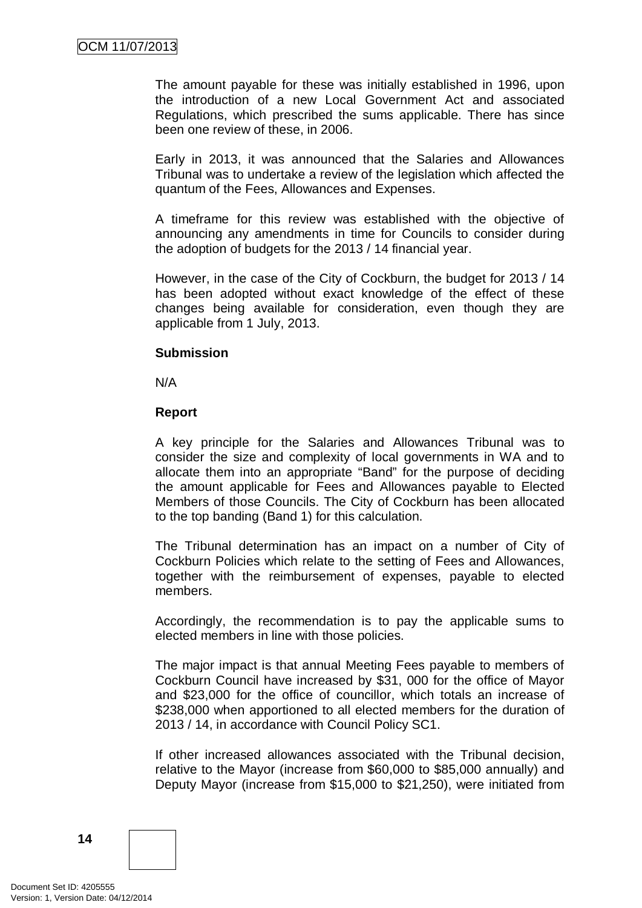The amount payable for these was initially established in 1996, upon the introduction of a new Local Government Act and associated Regulations, which prescribed the sums applicable. There has since been one review of these, in 2006.

Early in 2013, it was announced that the Salaries and Allowances Tribunal was to undertake a review of the legislation which affected the quantum of the Fees, Allowances and Expenses.

A timeframe for this review was established with the objective of announcing any amendments in time for Councils to consider during the adoption of budgets for the 2013 / 14 financial year.

However, in the case of the City of Cockburn, the budget for 2013 / 14 has been adopted without exact knowledge of the effect of these changes being available for consideration, even though they are applicable from 1 July, 2013.

#### **Submission**

N/A

#### **Report**

A key principle for the Salaries and Allowances Tribunal was to consider the size and complexity of local governments in WA and to allocate them into an appropriate "Band" for the purpose of deciding the amount applicable for Fees and Allowances payable to Elected Members of those Councils. The City of Cockburn has been allocated to the top banding (Band 1) for this calculation.

The Tribunal determination has an impact on a number of City of Cockburn Policies which relate to the setting of Fees and Allowances, together with the reimbursement of expenses, payable to elected members.

Accordingly, the recommendation is to pay the applicable sums to elected members in line with those policies.

The major impact is that annual Meeting Fees payable to members of Cockburn Council have increased by \$31, 000 for the office of Mayor and \$23,000 for the office of councillor, which totals an increase of \$238,000 when apportioned to all elected members for the duration of 2013 / 14, in accordance with Council Policy SC1.

If other increased allowances associated with the Tribunal decision, relative to the Mayor (increase from \$60,000 to \$85,000 annually) and Deputy Mayor (increase from \$15,000 to \$21,250), were initiated from

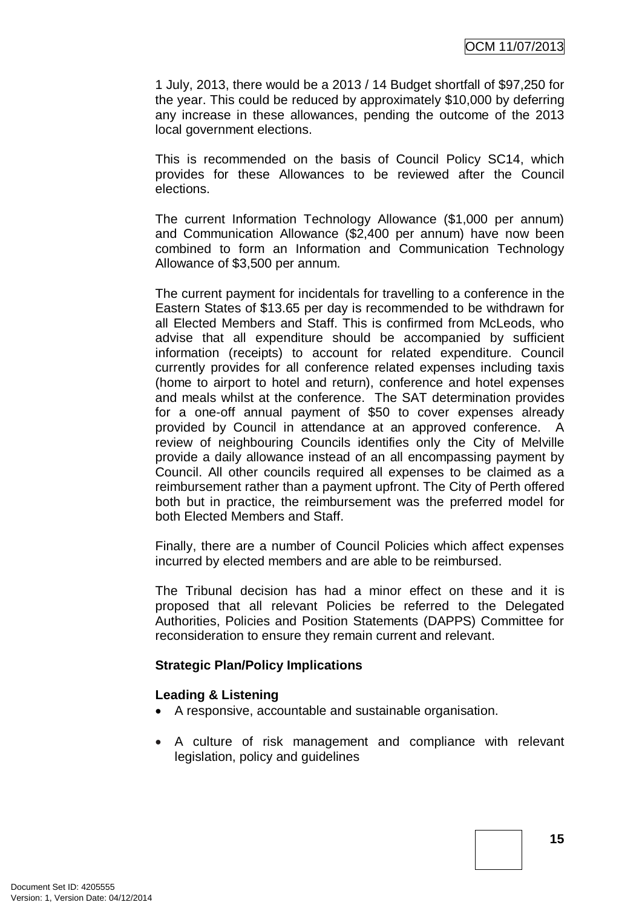1 July, 2013, there would be a 2013 / 14 Budget shortfall of \$97,250 for the year. This could be reduced by approximately \$10,000 by deferring any increase in these allowances, pending the outcome of the 2013 local government elections.

This is recommended on the basis of Council Policy SC14, which provides for these Allowances to be reviewed after the Council elections.

The current Information Technology Allowance (\$1,000 per annum) and Communication Allowance (\$2,400 per annum) have now been combined to form an Information and Communication Technology Allowance of \$3,500 per annum.

The current payment for incidentals for travelling to a conference in the Eastern States of \$13.65 per day is recommended to be withdrawn for all Elected Members and Staff. This is confirmed from McLeods, who advise that all expenditure should be accompanied by sufficient information (receipts) to account for related expenditure. Council currently provides for all conference related expenses including taxis (home to airport to hotel and return), conference and hotel expenses and meals whilst at the conference. The SAT determination provides for a one-off annual payment of \$50 to cover expenses already provided by Council in attendance at an approved conference. A review of neighbouring Councils identifies only the City of Melville provide a daily allowance instead of an all encompassing payment by Council. All other councils required all expenses to be claimed as a reimbursement rather than a payment upfront. The City of Perth offered both but in practice, the reimbursement was the preferred model for both Elected Members and Staff.

Finally, there are a number of Council Policies which affect expenses incurred by elected members and are able to be reimbursed.

The Tribunal decision has had a minor effect on these and it is proposed that all relevant Policies be referred to the Delegated Authorities, Policies and Position Statements (DAPPS) Committee for reconsideration to ensure they remain current and relevant.

### **Strategic Plan/Policy Implications**

### **Leading & Listening**

- A responsive, accountable and sustainable organisation.
- A culture of risk management and compliance with relevant legislation, policy and guidelines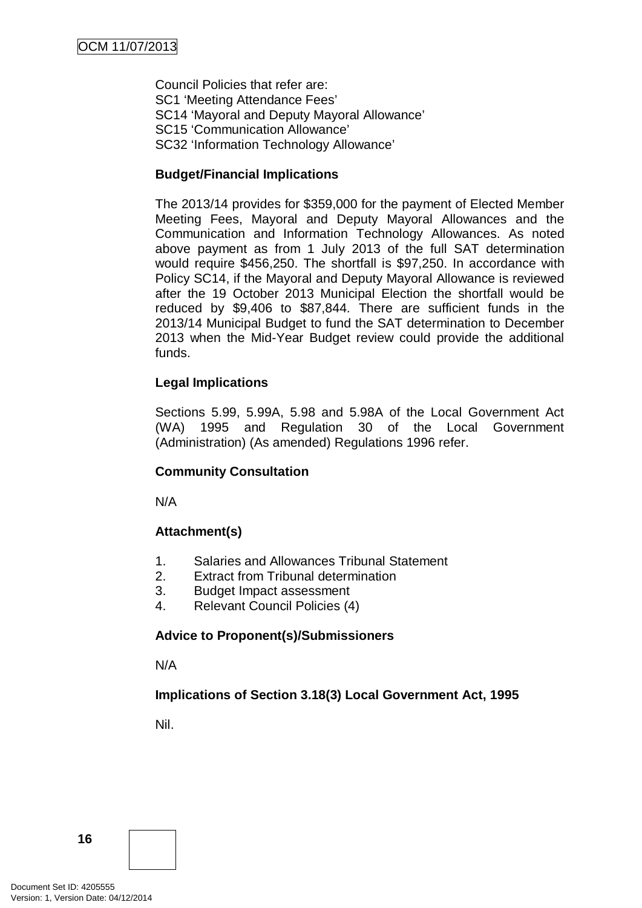Council Policies that refer are: SC1 'Meeting Attendance Fees' SC14 'Mayoral and Deputy Mayoral Allowance' SC15 'Communication Allowance' SC32 'Information Technology Allowance'

### **Budget/Financial Implications**

The 2013/14 provides for \$359,000 for the payment of Elected Member Meeting Fees, Mayoral and Deputy Mayoral Allowances and the Communication and Information Technology Allowances. As noted above payment as from 1 July 2013 of the full SAT determination would require \$456,250. The shortfall is \$97,250. In accordance with Policy SC14, if the Mayoral and Deputy Mayoral Allowance is reviewed after the 19 October 2013 Municipal Election the shortfall would be reduced by \$9,406 to \$87,844. There are sufficient funds in the 2013/14 Municipal Budget to fund the SAT determination to December 2013 when the Mid-Year Budget review could provide the additional funds.

# **Legal Implications**

Sections 5.99, 5.99A, 5.98 and 5.98A of the Local Government Act (WA) 1995 and Regulation 30 of the Local Government (Administration) (As amended) Regulations 1996 refer.

# **Community Consultation**

N/A

# **Attachment(s)**

- 1. Salaries and Allowances Tribunal Statement
- 2. Extract from Tribunal determination
- 3. Budget Impact assessment
- 4. Relevant Council Policies (4)

### **Advice to Proponent(s)/Submissioners**

N/A

# **Implications of Section 3.18(3) Local Government Act, 1995**

Nil.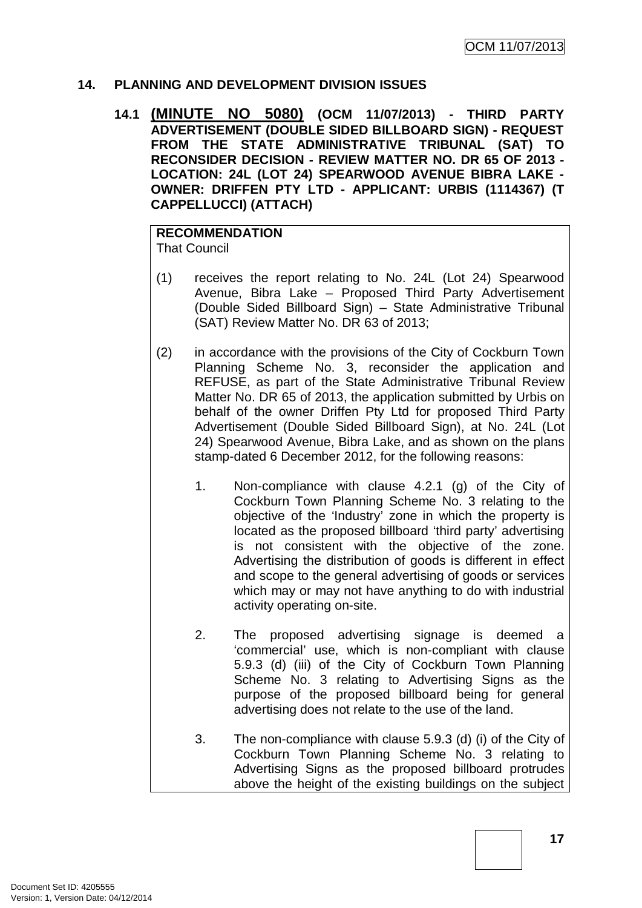# **14. PLANNING AND DEVELOPMENT DIVISION ISSUES**

**14.1 (MINUTE NO 5080) (OCM 11/07/2013) - THIRD PARTY ADVERTISEMENT (DOUBLE SIDED BILLBOARD SIGN) - REQUEST FROM THE STATE ADMINISTRATIVE TRIBUNAL (SAT) TO RECONSIDER DECISION - REVIEW MATTER NO. DR 65 OF 2013 - LOCATION: 24L (LOT 24) SPEARWOOD AVENUE BIBRA LAKE - OWNER: DRIFFEN PTY LTD - APPLICANT: URBIS (1114367) (T CAPPELLUCCI) (ATTACH)**

#### **RECOMMENDATION** That Council

- (1) receives the report relating to No. 24L (Lot 24) Spearwood Avenue, Bibra Lake – Proposed Third Party Advertisement (Double Sided Billboard Sign) – State Administrative Tribunal (SAT) Review Matter No. DR 63 of 2013;
- (2) in accordance with the provisions of the City of Cockburn Town Planning Scheme No. 3, reconsider the application and REFUSE, as part of the State Administrative Tribunal Review Matter No. DR 65 of 2013, the application submitted by Urbis on behalf of the owner Driffen Pty Ltd for proposed Third Party Advertisement (Double Sided Billboard Sign), at No. 24L (Lot 24) Spearwood Avenue, Bibra Lake, and as shown on the plans stamp-dated 6 December 2012, for the following reasons:
	- 1. Non-compliance with clause 4.2.1 (g) of the City of Cockburn Town Planning Scheme No. 3 relating to the objective of the 'Industry' zone in which the property is located as the proposed billboard 'third party' advertising is not consistent with the objective of the zone. Advertising the distribution of goods is different in effect and scope to the general advertising of goods or services which may or may not have anything to do with industrial activity operating on-site.
	- 2. The proposed advertising signage is deemed a 'commercial' use, which is non-compliant with clause 5.9.3 (d) (iii) of the City of Cockburn Town Planning Scheme No. 3 relating to Advertising Signs as the purpose of the proposed billboard being for general advertising does not relate to the use of the land.
	- 3. The non-compliance with clause 5.9.3 (d) (i) of the City of Cockburn Town Planning Scheme No. 3 relating to Advertising Signs as the proposed billboard protrudes above the height of the existing buildings on the subject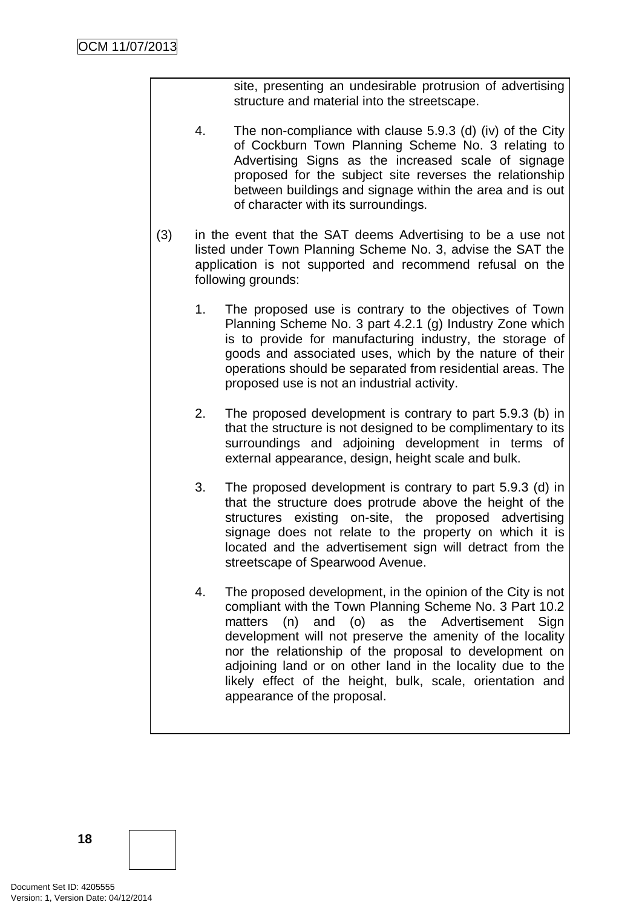site, presenting an undesirable protrusion of advertising structure and material into the streetscape.

- 4. The non-compliance with clause 5.9.3 (d) (iv) of the City of Cockburn Town Planning Scheme No. 3 relating to Advertising Signs as the increased scale of signage proposed for the subject site reverses the relationship between buildings and signage within the area and is out of character with its surroundings.
- (3) in the event that the SAT deems Advertising to be a use not listed under Town Planning Scheme No. 3, advise the SAT the application is not supported and recommend refusal on the following grounds:
	- 1. The proposed use is contrary to the objectives of Town Planning Scheme No. 3 part 4.2.1 (g) Industry Zone which is to provide for manufacturing industry, the storage of goods and associated uses, which by the nature of their operations should be separated from residential areas. The proposed use is not an industrial activity.
	- 2. The proposed development is contrary to part 5.9.3 (b) in that the structure is not designed to be complimentary to its surroundings and adjoining development in terms of external appearance, design, height scale and bulk.
	- 3. The proposed development is contrary to part 5.9.3 (d) in that the structure does protrude above the height of the structures existing on-site, the proposed advertising signage does not relate to the property on which it is located and the advertisement sign will detract from the streetscape of Spearwood Avenue.
	- 4. The proposed development, in the opinion of the City is not compliant with the Town Planning Scheme No. 3 Part 10.2 matters (n) and (o) as the Advertisement Sign development will not preserve the amenity of the locality nor the relationship of the proposal to development on adjoining land or on other land in the locality due to the likely effect of the height, bulk, scale, orientation and appearance of the proposal.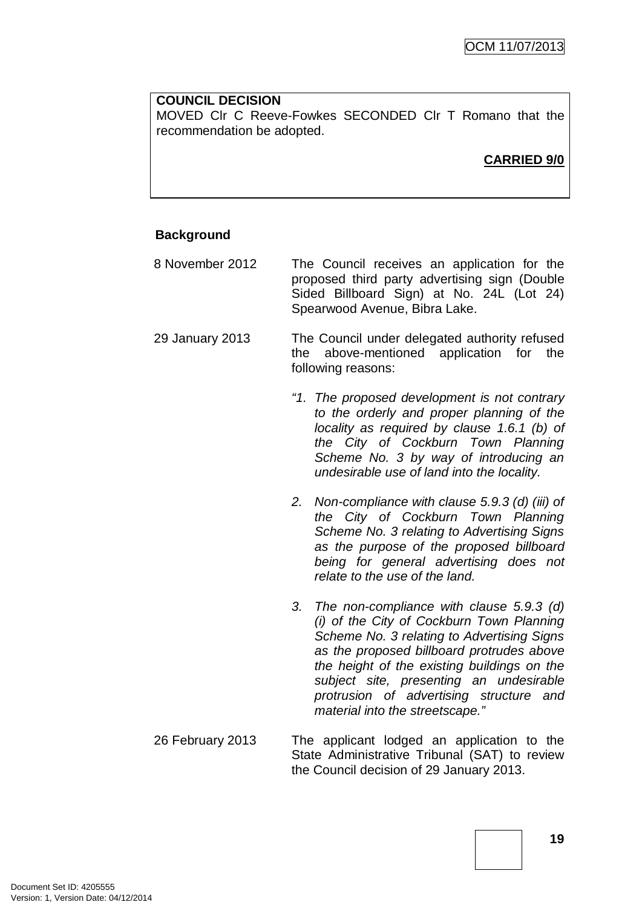#### **COUNCIL DECISION**

MOVED Clr C Reeve-Fowkes SECONDED Clr T Romano that the recommendation be adopted.

# **CARRIED 9/0**

# **Background**

- 8 November 2012 The Council receives an application for the proposed third party advertising sign (Double Sided Billboard Sign) at No. 24L (Lot 24) Spearwood Avenue, Bibra Lake.
- 29 January 2013 The Council under delegated authority refused the above-mentioned application for the following reasons:
	- *"1. The proposed development is not contrary to the orderly and proper planning of the locality as required by clause 1.6.1 (b) of the City of Cockburn Town Planning Scheme No. 3 by way of introducing an undesirable use of land into the locality.*
	- *2. Non-compliance with clause 5.9.3 (d) (iii) of the City of Cockburn Town Planning Scheme No. 3 relating to Advertising Signs as the purpose of the proposed billboard being for general advertising does not relate to the use of the land.*
	- *3. The non-compliance with clause 5.9.3 (d) (i) of the City of Cockburn Town Planning Scheme No. 3 relating to Advertising Signs as the proposed billboard protrudes above the height of the existing buildings on the subject site, presenting an undesirable protrusion of advertising structure and material into the streetscape."*
- 26 February 2013 The applicant lodged an application to the State Administrative Tribunal (SAT) to review the Council decision of 29 January 2013.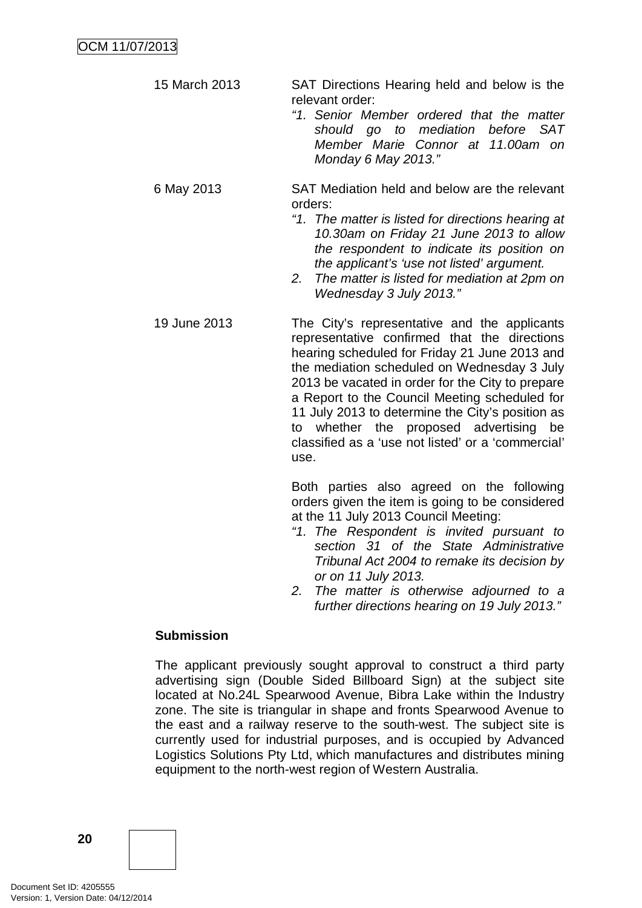| 15 March 2013 | SAT Directions Hearing held and below is the |
|---------------|----------------------------------------------|
|               | relevant order:                              |
|               |                                              |

*"1. Senior Member ordered that the matter should go to mediation before SAT Member Marie Connor at 11.00am on Monday 6 May 2013."*

### 6 May 2013 SAT Mediation held and below are the relevant orders:

- *"1. The matter is listed for directions hearing at 10.30am on Friday 21 June 2013 to allow the respondent to indicate its position on the applicant's 'use not listed' argument.*
- *2. The matter is listed for mediation at 2pm on Wednesday 3 July 2013."*
- 19 June 2013 The City's representative and the applicants representative confirmed that the directions hearing scheduled for Friday 21 June 2013 and the mediation scheduled on Wednesday 3 July 2013 be vacated in order for the City to prepare a Report to the Council Meeting scheduled for 11 July 2013 to determine the City's position as to whether the proposed advertising be classified as a 'use not listed' or a 'commercial' use.

Both parties also agreed on the following orders given the item is going to be considered at the 11 July 2013 Council Meeting:

- *"1. The Respondent is invited pursuant to section 31 of the State Administrative Tribunal Act 2004 to remake its decision by or on 11 July 2013.*
- *2. The matter is otherwise adjourned to a further directions hearing on 19 July 2013."*

# **Submission**

The applicant previously sought approval to construct a third party advertising sign (Double Sided Billboard Sign) at the subject site located at No.24L Spearwood Avenue, Bibra Lake within the Industry zone. The site is triangular in shape and fronts Spearwood Avenue to the east and a railway reserve to the south-west. The subject site is currently used for industrial purposes, and is occupied by Advanced Logistics Solutions Pty Ltd, which manufactures and distributes mining equipment to the north-west region of Western Australia.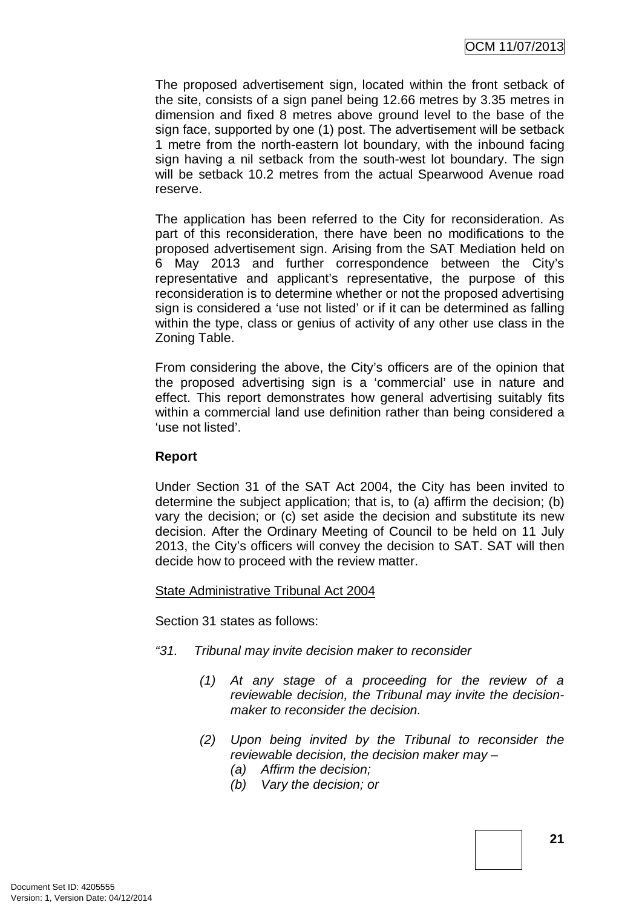The proposed advertisement sign, located within the front setback of the site, consists of a sign panel being 12.66 metres by 3.35 metres in dimension and fixed 8 metres above ground level to the base of the sign face, supported by one (1) post. The advertisement will be setback 1 metre from the north-eastern lot boundary, with the inbound facing sign having a nil setback from the south-west lot boundary. The sign will be setback 10.2 metres from the actual Spearwood Avenue road reserve.

The application has been referred to the City for reconsideration. As part of this reconsideration, there have been no modifications to the proposed advertisement sign. Arising from the SAT Mediation held on 6 May 2013 and further correspondence between the City's representative and applicant's representative, the purpose of this reconsideration is to determine whether or not the proposed advertising sign is considered a 'use not listed' or if it can be determined as falling within the type, class or genius of activity of any other use class in the Zoning Table.

From considering the above, the City's officers are of the opinion that the proposed advertising sign is a 'commercial' use in nature and effect. This report demonstrates how general advertising suitably fits within a commercial land use definition rather than being considered a 'use not listed'.

# **Report**

Under Section 31 of the SAT Act 2004, the City has been invited to determine the subject application; that is, to (a) affirm the decision; (b) vary the decision; or (c) set aside the decision and substitute its new decision. After the Ordinary Meeting of Council to be held on 11 July 2013, the City's officers will convey the decision to SAT. SAT will then decide how to proceed with the review matter.

State Administrative Tribunal Act 2004

Section 31 states as follows:

- *"31. Tribunal may invite decision maker to reconsider*
	- *(1) At any stage of a proceeding for the review of a reviewable decision, the Tribunal may invite the decisionmaker to reconsider the decision.*
	- *(2) Upon being invited by the Tribunal to reconsider the reviewable decision, the decision maker may –*
		- *(a) Affirm the decision;*
		- *(b) Vary the decision; or*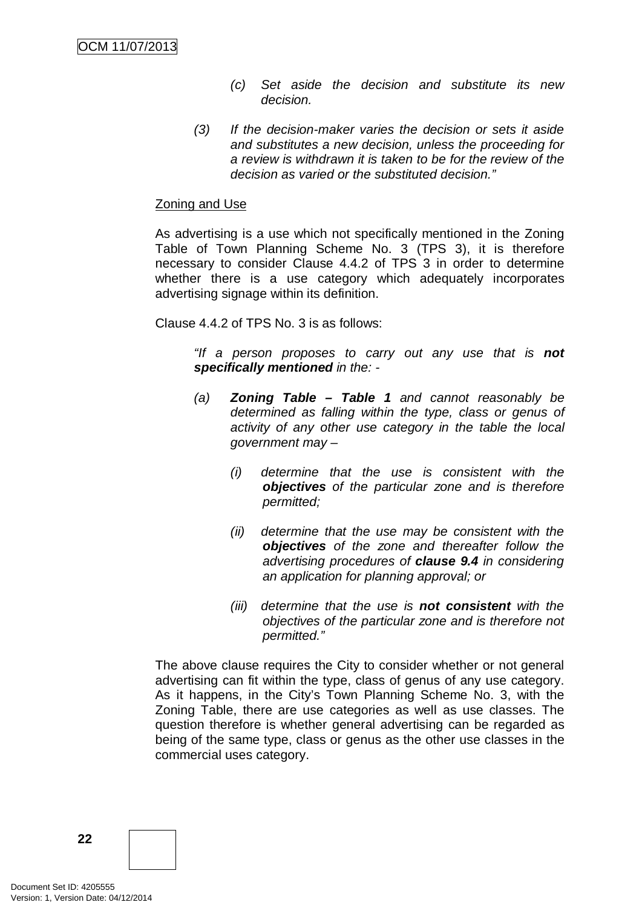- *(c) Set aside the decision and substitute its new decision.*
- *(3) If the decision-maker varies the decision or sets it aside and substitutes a new decision, unless the proceeding for a review is withdrawn it is taken to be for the review of the decision as varied or the substituted decision."*

### Zoning and Use

As advertising is a use which not specifically mentioned in the Zoning Table of Town Planning Scheme No. 3 (TPS 3), it is therefore necessary to consider Clause 4.4.2 of TPS 3 in order to determine whether there is a use category which adequately incorporates advertising signage within its definition.

Clause 4.4.2 of TPS No. 3 is as follows:

*"If a person proposes to carry out any use that is not specifically mentioned in the: -*

- *(a) Zoning Table – Table 1 and cannot reasonably be determined as falling within the type, class or genus of activity of any other use category in the table the local government may –*
	- *(i) determine that the use is consistent with the objectives of the particular zone and is therefore permitted;*
	- *(ii) determine that the use may be consistent with the objectives of the zone and thereafter follow the advertising procedures of clause 9.4 in considering an application for planning approval; or*
	- *(iii) determine that the use is not consistent with the objectives of the particular zone and is therefore not permitted."*

The above clause requires the City to consider whether or not general advertising can fit within the type, class of genus of any use category. As it happens, in the City's Town Planning Scheme No. 3, with the Zoning Table, there are use categories as well as use classes. The question therefore is whether general advertising can be regarded as being of the same type, class or genus as the other use classes in the commercial uses category.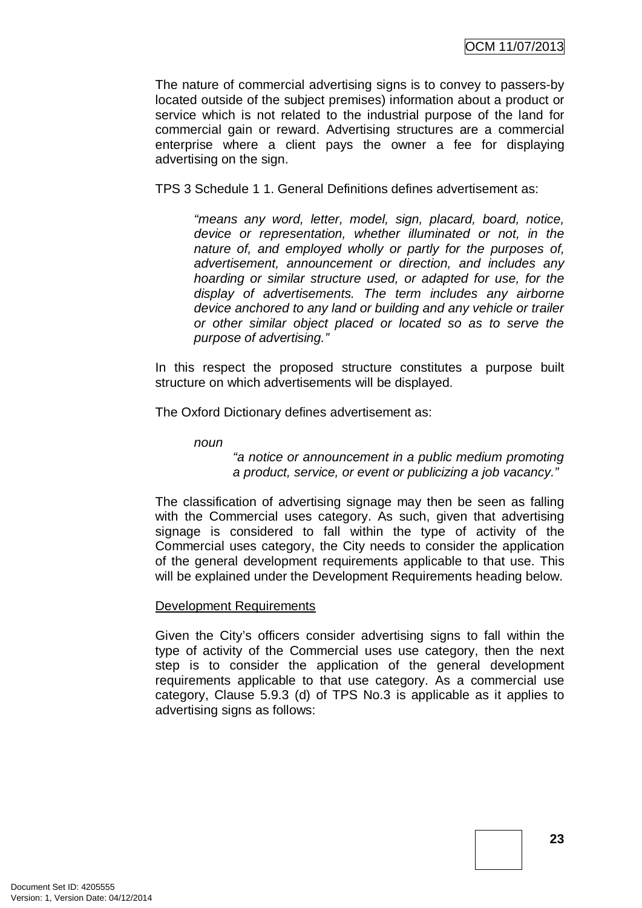The nature of commercial advertising signs is to convey to passers-by located outside of the subject premises) information about a product or service which is not related to the industrial purpose of the land for commercial gain or reward. Advertising structures are a commercial enterprise where a client pays the owner a fee for displaying advertising on the sign.

TPS 3 Schedule 1 1. General Definitions defines advertisement as:

*"means any word, letter, model, sign, placard, board, notice, device or representation, whether illuminated or not, in the nature of, and employed wholly or partly for the purposes of, advertisement, announcement or direction, and includes any hoarding or similar structure used, or adapted for use, for the display of advertisements. The term includes any airborne device anchored to any land or building and any vehicle or trailer or other similar object placed or located so as to serve the purpose of advertising."* 

In this respect the proposed structure constitutes a purpose built structure on which advertisements will be displayed.

The Oxford Dictionary defines advertisement as:

*noun*

*"a notice or announcement in a public medium promoting a product, service, or event or publicizing a job vacancy."*

The classification of advertising signage may then be seen as falling with the Commercial uses category. As such, given that advertising signage is considered to fall within the type of activity of the Commercial uses category, the City needs to consider the application of the general development requirements applicable to that use. This will be explained under the Development Requirements heading below.

#### Development Requirements

Given the City's officers consider advertising signs to fall within the type of activity of the Commercial uses use category, then the next step is to consider the application of the general development requirements applicable to that use category. As a commercial use category, Clause 5.9.3 (d) of TPS No.3 is applicable as it applies to advertising signs as follows: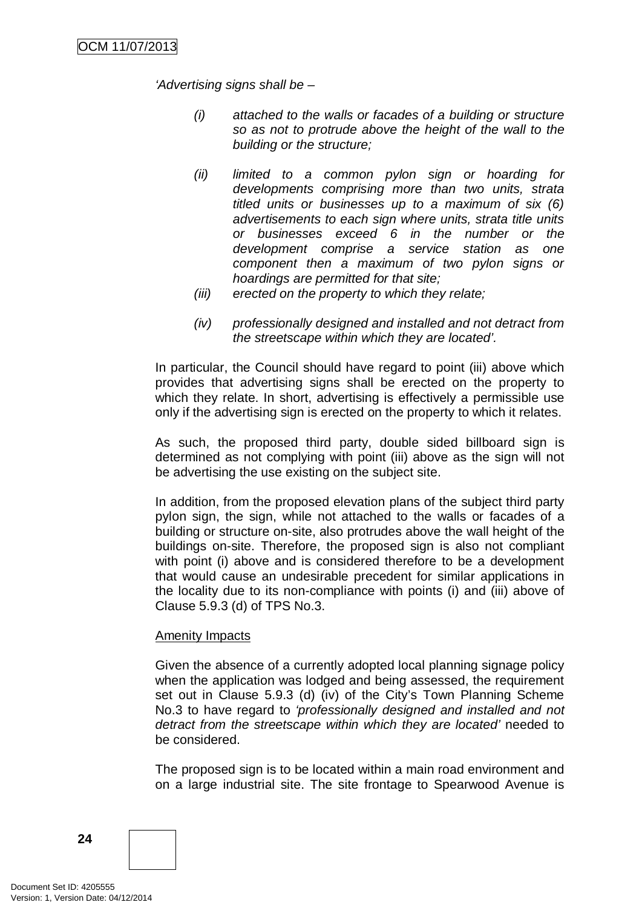*'Advertising signs shall be –*

- *(i) attached to the walls or facades of a building or structure so as not to protrude above the height of the wall to the building or the structure;*
- *(ii) limited to a common pylon sign or hoarding for developments comprising more than two units, strata titled units or businesses up to a maximum of six (6) advertisements to each sign where units, strata title units or businesses exceed 6 in the number or the development comprise a service station as one component then a maximum of two pylon signs or hoardings are permitted for that site;*
- *(iii) erected on the property to which they relate;*
- *(iv) professionally designed and installed and not detract from the streetscape within which they are located'.*

In particular, the Council should have regard to point (iii) above which provides that advertising signs shall be erected on the property to which they relate. In short, advertising is effectively a permissible use only if the advertising sign is erected on the property to which it relates.

As such, the proposed third party, double sided billboard sign is determined as not complying with point (iii) above as the sign will not be advertising the use existing on the subject site.

In addition, from the proposed elevation plans of the subject third party pylon sign, the sign, while not attached to the walls or facades of a building or structure on-site, also protrudes above the wall height of the buildings on-site. Therefore, the proposed sign is also not compliant with point (i) above and is considered therefore to be a development that would cause an undesirable precedent for similar applications in the locality due to its non-compliance with points (i) and (iii) above of Clause 5.9.3 (d) of TPS No.3.

### Amenity Impacts

Given the absence of a currently adopted local planning signage policy when the application was lodged and being assessed, the requirement set out in Clause 5.9.3 (d) (iv) of the City's Town Planning Scheme No.3 to have regard to *'professionally designed and installed and not detract from the streetscape within which they are located'* needed to be considered.

The proposed sign is to be located within a main road environment and on a large industrial site. The site frontage to Spearwood Avenue is

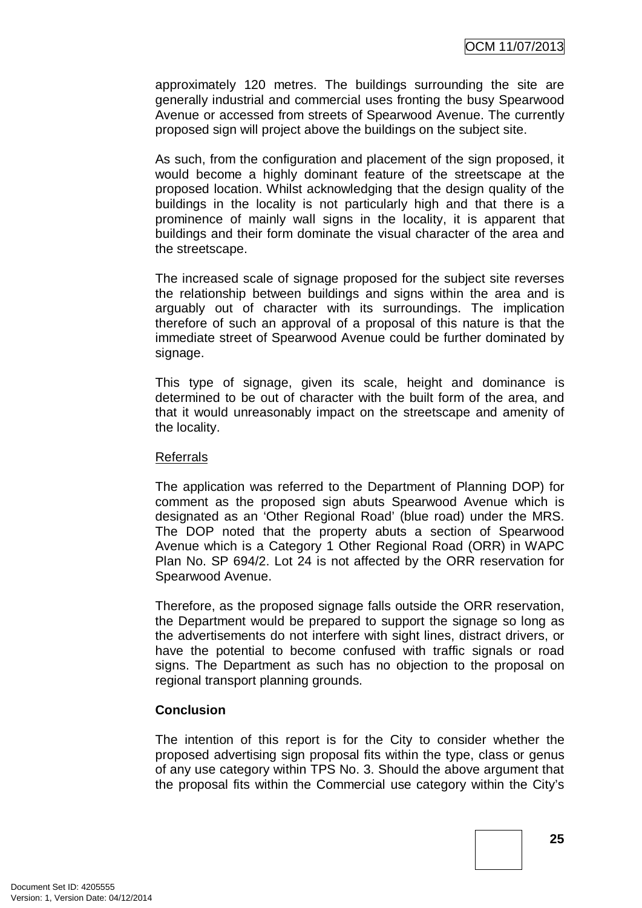approximately 120 metres. The buildings surrounding the site are generally industrial and commercial uses fronting the busy Spearwood Avenue or accessed from streets of Spearwood Avenue. The currently proposed sign will project above the buildings on the subject site.

As such, from the configuration and placement of the sign proposed, it would become a highly dominant feature of the streetscape at the proposed location. Whilst acknowledging that the design quality of the buildings in the locality is not particularly high and that there is a prominence of mainly wall signs in the locality, it is apparent that buildings and their form dominate the visual character of the area and the streetscape.

The increased scale of signage proposed for the subject site reverses the relationship between buildings and signs within the area and is arguably out of character with its surroundings. The implication therefore of such an approval of a proposal of this nature is that the immediate street of Spearwood Avenue could be further dominated by signage.

This type of signage, given its scale, height and dominance is determined to be out of character with the built form of the area, and that it would unreasonably impact on the streetscape and amenity of the locality.

### Referrals

The application was referred to the Department of Planning DOP) for comment as the proposed sign abuts Spearwood Avenue which is designated as an 'Other Regional Road' (blue road) under the MRS. The DOP noted that the property abuts a section of Spearwood Avenue which is a Category 1 Other Regional Road (ORR) in WAPC Plan No. SP 694/2. Lot 24 is not affected by the ORR reservation for Spearwood Avenue.

Therefore, as the proposed signage falls outside the ORR reservation, the Department would be prepared to support the signage so long as the advertisements do not interfere with sight lines, distract drivers, or have the potential to become confused with traffic signals or road signs. The Department as such has no objection to the proposal on regional transport planning grounds.

### **Conclusion**

The intention of this report is for the City to consider whether the proposed advertising sign proposal fits within the type, class or genus of any use category within TPS No. 3. Should the above argument that the proposal fits within the Commercial use category within the City's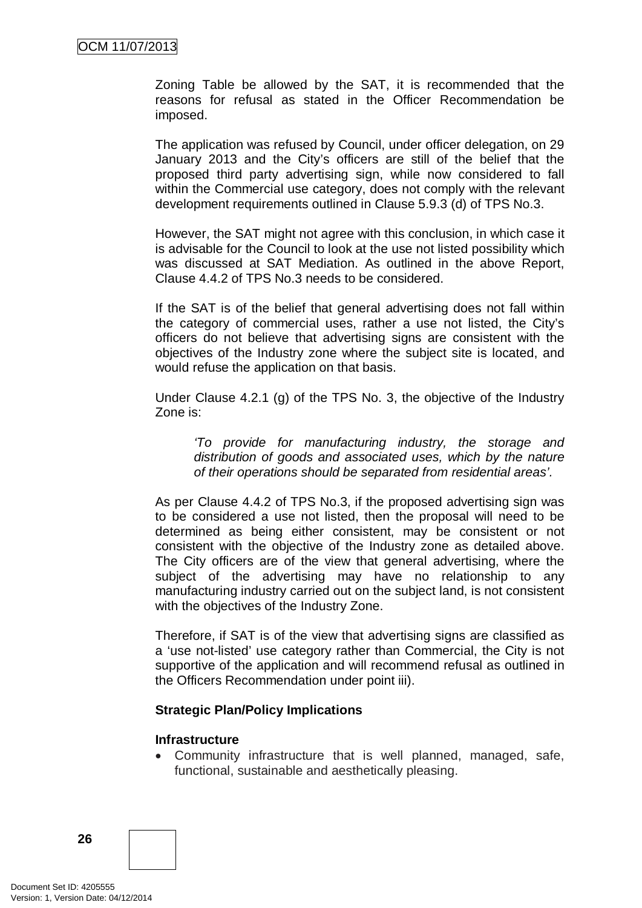Zoning Table be allowed by the SAT, it is recommended that the reasons for refusal as stated in the Officer Recommendation be imposed.

The application was refused by Council, under officer delegation, on 29 January 2013 and the City's officers are still of the belief that the proposed third party advertising sign, while now considered to fall within the Commercial use category, does not comply with the relevant development requirements outlined in Clause 5.9.3 (d) of TPS No.3.

However, the SAT might not agree with this conclusion, in which case it is advisable for the Council to look at the use not listed possibility which was discussed at SAT Mediation. As outlined in the above Report, Clause 4.4.2 of TPS No.3 needs to be considered.

If the SAT is of the belief that general advertising does not fall within the category of commercial uses, rather a use not listed, the City's officers do not believe that advertising signs are consistent with the objectives of the Industry zone where the subject site is located, and would refuse the application on that basis.

Under Clause 4.2.1 (g) of the TPS No. 3, the objective of the Industry Zone is:

*'To provide for manufacturing industry, the storage and distribution of goods and associated uses, which by the nature of their operations should be separated from residential areas'.* 

As per Clause 4.4.2 of TPS No.3, if the proposed advertising sign was to be considered a use not listed, then the proposal will need to be determined as being either consistent, may be consistent or not consistent with the objective of the Industry zone as detailed above. The City officers are of the view that general advertising, where the subject of the advertising may have no relationship to any manufacturing industry carried out on the subject land, is not consistent with the objectives of the Industry Zone.

Therefore, if SAT is of the view that advertising signs are classified as a 'use not-listed' use category rather than Commercial, the City is not supportive of the application and will recommend refusal as outlined in the Officers Recommendation under point iii).

### **Strategic Plan/Policy Implications**

#### **Infrastructure**

• Community infrastructure that is well planned, managed, safe, functional, sustainable and aesthetically pleasing.

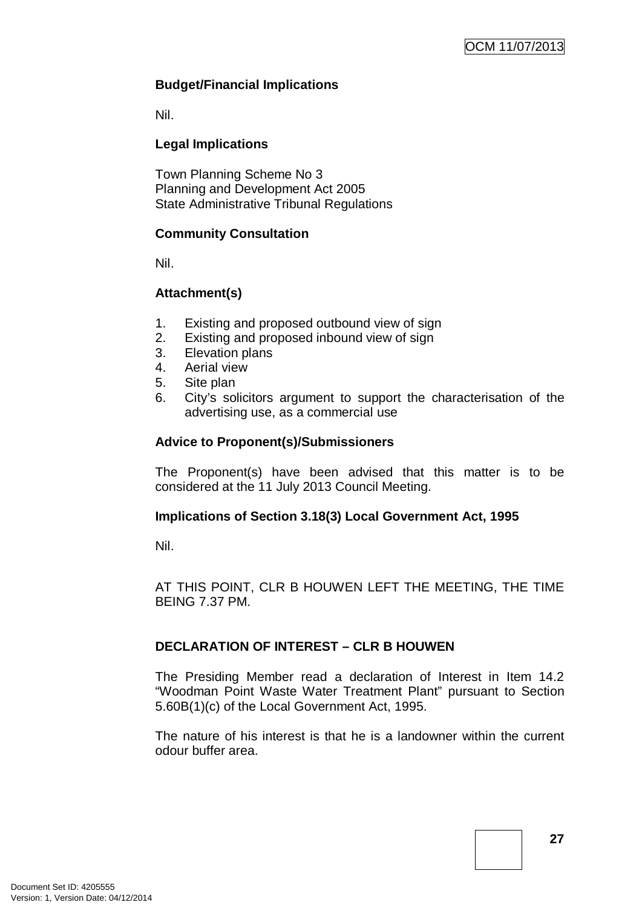# **Budget/Financial Implications**

Nil.

# **Legal Implications**

Town Planning Scheme No 3 Planning and Development Act 2005 State Administrative Tribunal Regulations

# **Community Consultation**

Nil.

# **Attachment(s)**

- 1. Existing and proposed outbound view of sign
- 2. Existing and proposed inbound view of sign
- 3. Elevation plans
- 4. Aerial view
- 5. Site plan
- 6. City's solicitors argument to support the characterisation of the advertising use, as a commercial use

# **Advice to Proponent(s)/Submissioners**

The Proponent(s) have been advised that this matter is to be considered at the 11 July 2013 Council Meeting.

### **Implications of Section 3.18(3) Local Government Act, 1995**

Nil.

AT THIS POINT, CLR B HOUWEN LEFT THE MEETING, THE TIME BEING 7.37 PM.

# **DECLARATION OF INTEREST – CLR B HOUWEN**

The Presiding Member read a declaration of Interest in Item 14.2 "Woodman Point Waste Water Treatment Plant" pursuant to Section 5.60B(1)(c) of the Local Government Act, 1995.

The nature of his interest is that he is a landowner within the current odour buffer area.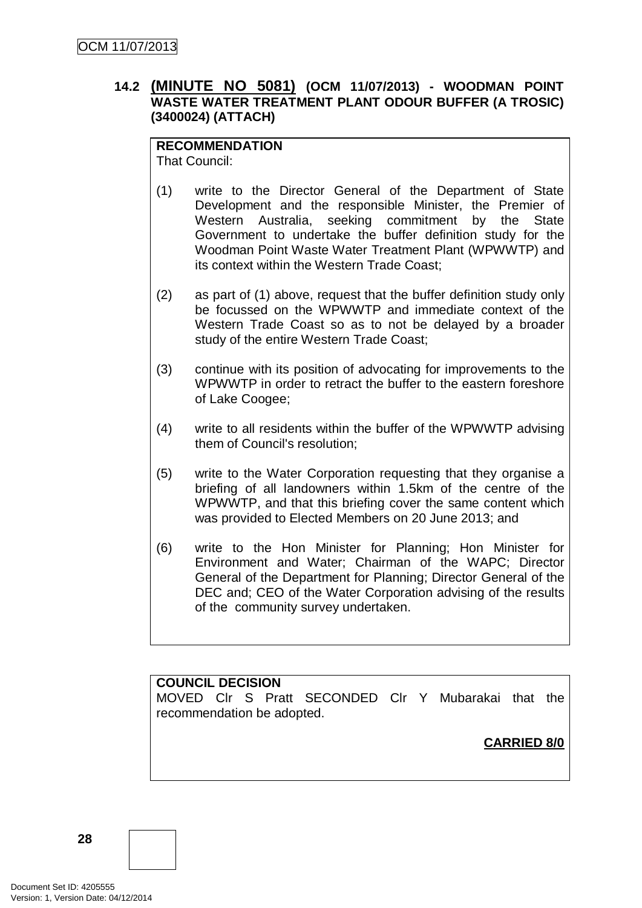# **14.2 (MINUTE NO 5081) (OCM 11/07/2013) - WOODMAN POINT WASTE WATER TREATMENT PLANT ODOUR BUFFER (A TROSIC) (3400024) (ATTACH)**

# **RECOMMENDATION**

That Council:

- (1) write to the Director General of the Department of State Development and the responsible Minister, the Premier of Western Australia, seeking commitment by the State Government to undertake the buffer definition study for the Woodman Point Waste Water Treatment Plant (WPWWTP) and its context within the Western Trade Coast;
- (2) as part of (1) above, request that the buffer definition study only be focussed on the WPWWTP and immediate context of the Western Trade Coast so as to not be delayed by a broader study of the entire Western Trade Coast;
- (3) continue with its position of advocating for improvements to the WPWWTP in order to retract the buffer to the eastern foreshore of Lake Coogee;
- (4) write to all residents within the buffer of the WPWWTP advising them of Council's resolution;
- (5) write to the Water Corporation requesting that they organise a briefing of all landowners within 1.5km of the centre of the WPWWTP, and that this briefing cover the same content which was provided to Elected Members on 20 June 2013; and
- (6) write to the Hon Minister for Planning; Hon Minister for Environment and Water; Chairman of the WAPC; Director General of the Department for Planning; Director General of the DEC and; CEO of the Water Corporation advising of the results of the community survey undertaken.

# **COUNCIL DECISION**

MOVED Clr S Pratt SECONDED Clr Y Mubarakai that the recommendation be adopted.

**CARRIED 8/0**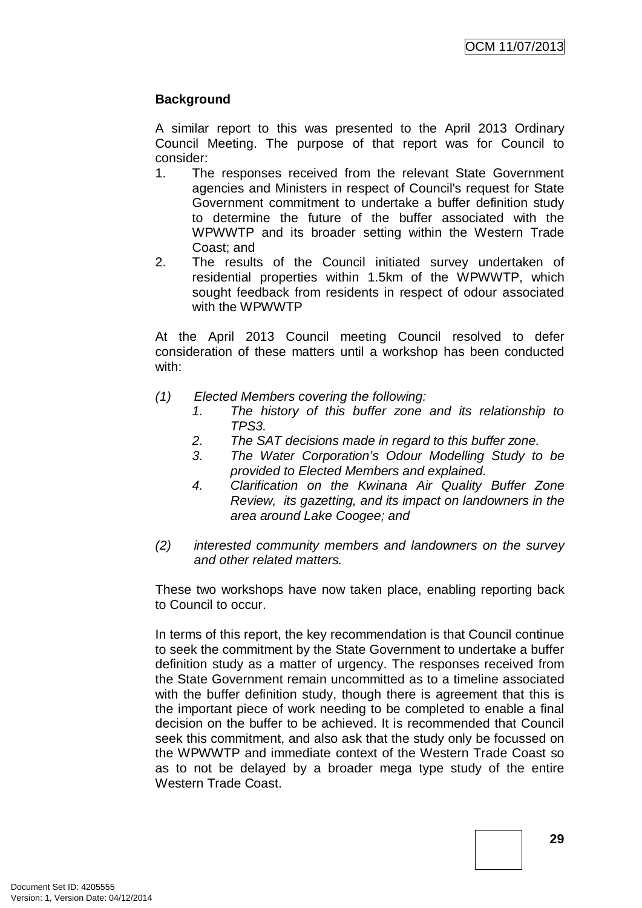# **Background**

A similar report to this was presented to the April 2013 Ordinary Council Meeting. The purpose of that report was for Council to consider:

- 1. The responses received from the relevant State Government agencies and Ministers in respect of Council's request for State Government commitment to undertake a buffer definition study to determine the future of the buffer associated with the WPWWTP and its broader setting within the Western Trade Coast; and
- 2. The results of the Council initiated survey undertaken of residential properties within 1.5km of the WPWWTP, which sought feedback from residents in respect of odour associated with the WPWWTP

At the April 2013 Council meeting Council resolved to defer consideration of these matters until a workshop has been conducted with:

- *(1) Elected Members covering the following:*
	- *1. The history of this buffer zone and its relationship to TPS3.*
	- *2. The SAT decisions made in regard to this buffer zone.*
	- *3. The Water Corporation's Odour Modelling Study to be provided to Elected Members and explained.*
	- *4. Clarification on the Kwinana Air Quality Buffer Zone Review, its gazetting, and its impact on landowners in the area around Lake Coogee; and*
- *(2) interested community members and landowners on the survey and other related matters.*

These two workshops have now taken place, enabling reporting back to Council to occur.

In terms of this report, the key recommendation is that Council continue to seek the commitment by the State Government to undertake a buffer definition study as a matter of urgency. The responses received from the State Government remain uncommitted as to a timeline associated with the buffer definition study, though there is agreement that this is the important piece of work needing to be completed to enable a final decision on the buffer to be achieved. It is recommended that Council seek this commitment, and also ask that the study only be focussed on the WPWWTP and immediate context of the Western Trade Coast so as to not be delayed by a broader mega type study of the entire Western Trade Coast.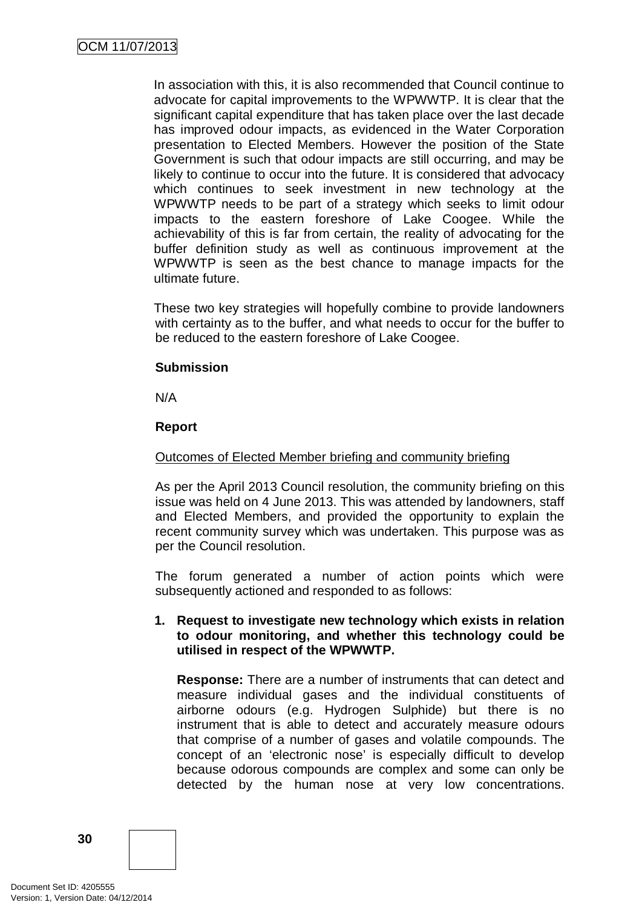In association with this, it is also recommended that Council continue to advocate for capital improvements to the WPWWTP. It is clear that the significant capital expenditure that has taken place over the last decade has improved odour impacts, as evidenced in the Water Corporation presentation to Elected Members. However the position of the State Government is such that odour impacts are still occurring, and may be likely to continue to occur into the future. It is considered that advocacy which continues to seek investment in new technology at the WPWWTP needs to be part of a strategy which seeks to limit odour impacts to the eastern foreshore of Lake Coogee. While the achievability of this is far from certain, the reality of advocating for the buffer definition study as well as continuous improvement at the WPWWTP is seen as the best chance to manage impacts for the ultimate future.

These two key strategies will hopefully combine to provide landowners with certainty as to the buffer, and what needs to occur for the buffer to be reduced to the eastern foreshore of Lake Coogee.

### **Submission**

N/A

# **Report**

### Outcomes of Elected Member briefing and community briefing

As per the April 2013 Council resolution, the community briefing on this issue was held on 4 June 2013. This was attended by landowners, staff and Elected Members, and provided the opportunity to explain the recent community survey which was undertaken. This purpose was as per the Council resolution.

The forum generated a number of action points which were subsequently actioned and responded to as follows:

### **1. Request to investigate new technology which exists in relation to odour monitoring, and whether this technology could be utilised in respect of the WPWWTP.**

**Response:** There are a number of instruments that can detect and measure individual gases and the individual constituents of airborne odours (e.g. Hydrogen Sulphide) but there is no instrument that is able to detect and accurately measure odours that comprise of a number of gases and volatile compounds. The concept of an 'electronic nose' is especially difficult to develop because odorous compounds are complex and some can only be detected by the human nose at very low concentrations.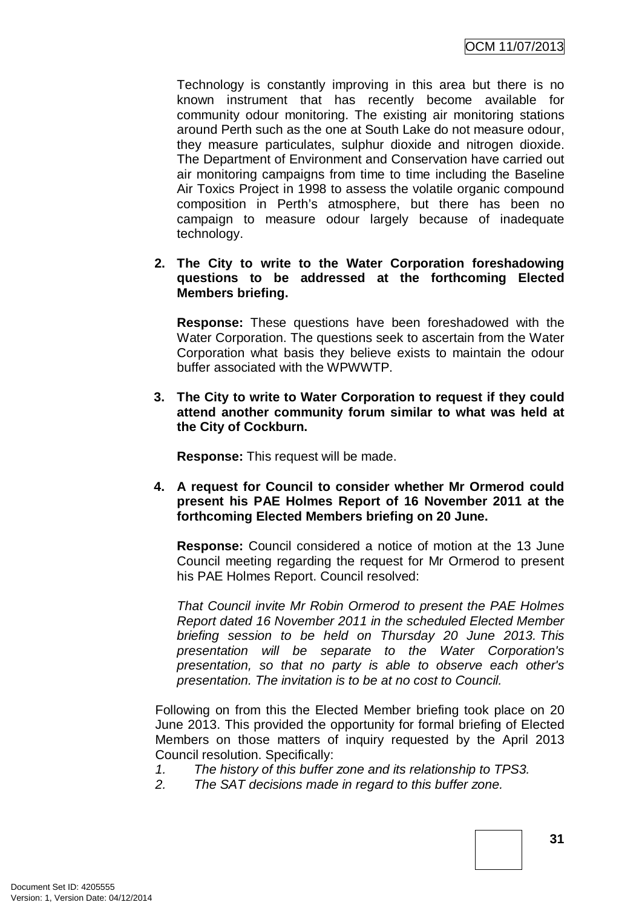Technology is constantly improving in this area but there is no known instrument that has recently become available for community odour monitoring. The existing air monitoring stations around Perth such as the one at South Lake do not measure odour, they measure particulates, sulphur dioxide and nitrogen dioxide. The Department of Environment and Conservation have carried out air monitoring campaigns from time to time including the Baseline Air Toxics Project in 1998 to assess the volatile organic compound composition in Perth's atmosphere, but there has been no campaign to measure odour largely because of inadequate technology.

### **2. The City to write to the Water Corporation foreshadowing questions to be addressed at the forthcoming Elected Members briefing.**

**Response:** These questions have been foreshadowed with the Water Corporation. The questions seek to ascertain from the Water Corporation what basis they believe exists to maintain the odour buffer associated with the WPWWTP.

**3. The City to write to Water Corporation to request if they could attend another community forum similar to what was held at the City of Cockburn.**

**Response:** This request will be made.

**4. A request for Council to consider whether Mr Ormerod could present his PAE Holmes Report of 16 November 2011 at the forthcoming Elected Members briefing on 20 June.**

**Response:** Council considered a notice of motion at the 13 June Council meeting regarding the request for Mr Ormerod to present his PAE Holmes Report. Council resolved:

*That Council invite Mr Robin Ormerod to present the PAE Holmes Report dated 16 November 2011 in the scheduled Elected Member briefing session to be held on Thursday 20 June 2013. This presentation will be separate to the Water Corporation's presentation, so that no party is able to observe each other's presentation. The invitation is to be at no cost to Council.*

Following on from this the Elected Member briefing took place on 20 June 2013. This provided the opportunity for formal briefing of Elected Members on those matters of inquiry requested by the April 2013 Council resolution. Specifically:

- *1. The history of this buffer zone and its relationship to TPS3.*
- *2. The SAT decisions made in regard to this buffer zone.*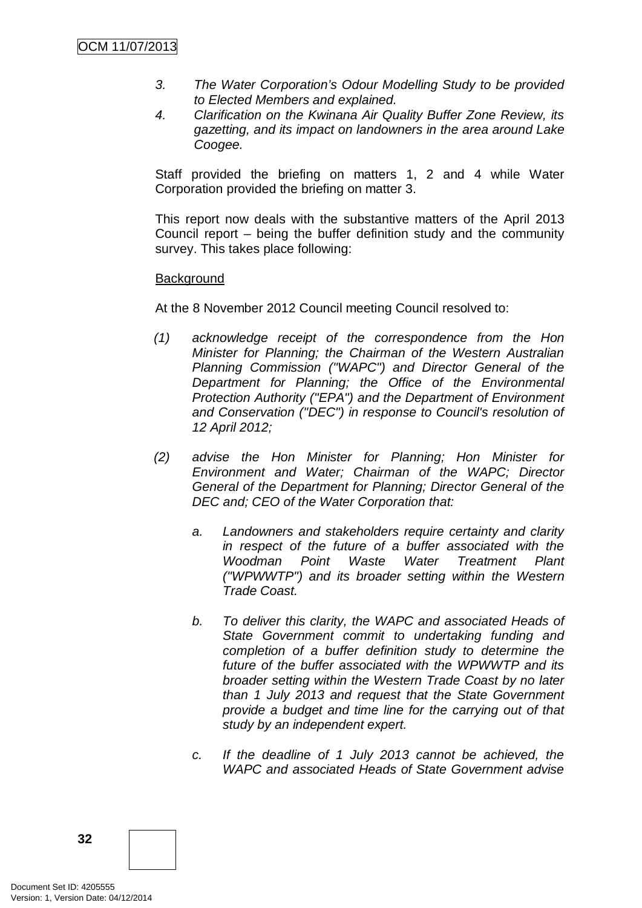- *3. The Water Corporation's Odour Modelling Study to be provided to Elected Members and explained.*
- *4. Clarification on the Kwinana Air Quality Buffer Zone Review, its gazetting, and its impact on landowners in the area around Lake Coogee.*

Staff provided the briefing on matters 1, 2 and 4 while Water Corporation provided the briefing on matter 3.

This report now deals with the substantive matters of the April 2013 Council report – being the buffer definition study and the community survey. This takes place following:

### **Background**

At the 8 November 2012 Council meeting Council resolved to:

- *(1) acknowledge receipt of the correspondence from the Hon Minister for Planning; the Chairman of the Western Australian Planning Commission ("WAPC") and Director General of the Department for Planning; the Office of the Environmental Protection Authority ("EPA") and the Department of Environment and Conservation ("DEC") in response to Council's resolution of 12 April 2012;*
- *(2) advise the Hon Minister for Planning; Hon Minister for Environment and Water; Chairman of the WAPC; Director General of the Department for Planning; Director General of the DEC and; CEO of the Water Corporation that:*
	- *a. Landowners and stakeholders require certainty and clarity in respect of the future of a buffer associated with the Woodman Point Waste Water Treatment Plant ("WPWWTP") and its broader setting within the Western Trade Coast.*
	- *b. To deliver this clarity, the WAPC and associated Heads of State Government commit to undertaking funding and completion of a buffer definition study to determine the future of the buffer associated with the WPWWTP and its broader setting within the Western Trade Coast by no later than 1 July 2013 and request that the State Government provide a budget and time line for the carrying out of that study by an independent expert.*
	- *c. If the deadline of 1 July 2013 cannot be achieved, the WAPC and associated Heads of State Government advise*

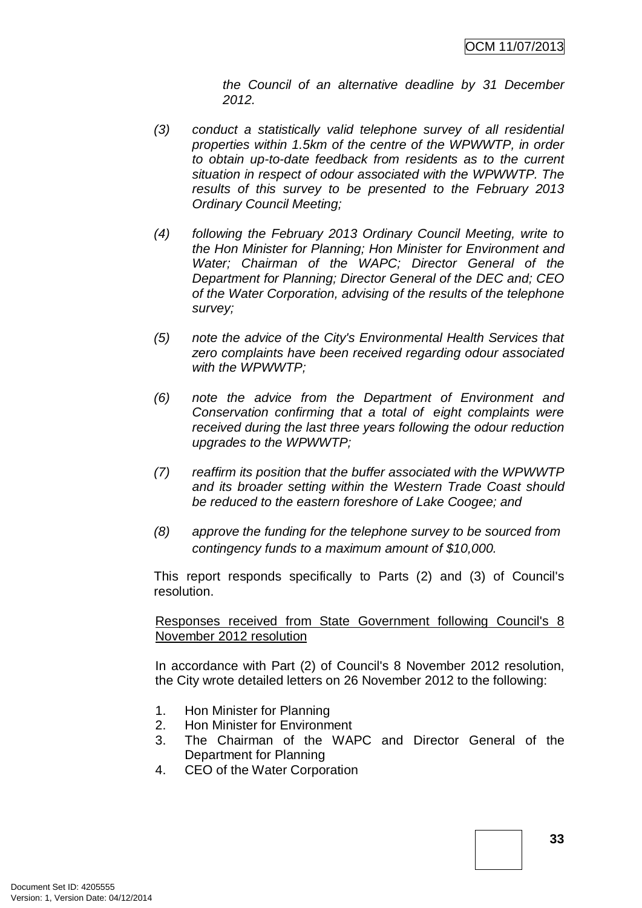*the Council of an alternative deadline by 31 December 2012.*

- *(3) conduct a statistically valid telephone survey of all residential properties within 1.5km of the centre of the WPWWTP, in order to obtain up-to-date feedback from residents as to the current situation in respect of odour associated with the WPWWTP. The results of this survey to be presented to the February 2013 Ordinary Council Meeting;*
- *(4) following the February 2013 Ordinary Council Meeting, write to the Hon Minister for Planning; Hon Minister for Environment and Water; Chairman of the WAPC; Director General of the Department for Planning; Director General of the DEC and; CEO of the Water Corporation, advising of the results of the telephone survey;*
- *(5) note the advice of the City's Environmental Health Services that zero complaints have been received regarding odour associated with the WPWWTP;*
- *(6) note the advice from the Department of Environment and Conservation confirming that a total of eight complaints were received during the last three years following the odour reduction upgrades to the WPWWTP;*
- *(7) reaffirm its position that the buffer associated with the WPWWTP and its broader setting within the Western Trade Coast should be reduced to the eastern foreshore of Lake Coogee; and*
- *(8) approve the funding for the telephone survey to be sourced from contingency funds to a maximum amount of \$10,000.*

This report responds specifically to Parts (2) and (3) of Council's resolution.

Responses received from State Government following Council's 8 November 2012 resolution

In accordance with Part (2) of Council's 8 November 2012 resolution, the City wrote detailed letters on 26 November 2012 to the following:

- 1. Hon Minister for Planning
- 2. Hon Minister for Environment
- 3. The Chairman of the WAPC and Director General of the Department for Planning
- 4. CEO of the Water Corporation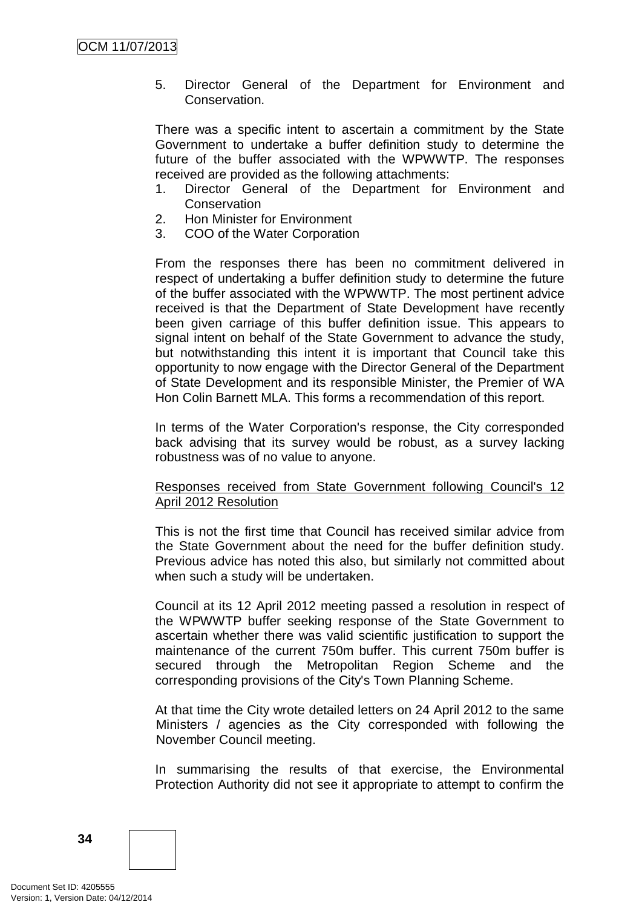5. Director General of the Department for Environment and Conservation.

There was a specific intent to ascertain a commitment by the State Government to undertake a buffer definition study to determine the future of the buffer associated with the WPWWTP. The responses received are provided as the following attachments:

- 1. Director General of the Department for Environment and **Conservation**
- 2. Hon Minister for Environment
- 3. COO of the Water Corporation

From the responses there has been no commitment delivered in respect of undertaking a buffer definition study to determine the future of the buffer associated with the WPWWTP. The most pertinent advice received is that the Department of State Development have recently been given carriage of this buffer definition issue. This appears to signal intent on behalf of the State Government to advance the study, but notwithstanding this intent it is important that Council take this opportunity to now engage with the Director General of the Department of State Development and its responsible Minister, the Premier of WA Hon Colin Barnett MLA. This forms a recommendation of this report.

In terms of the Water Corporation's response, the City corresponded back advising that its survey would be robust, as a survey lacking robustness was of no value to anyone.

#### Responses received from State Government following Council's 12 April 2012 Resolution

This is not the first time that Council has received similar advice from the State Government about the need for the buffer definition study. Previous advice has noted this also, but similarly not committed about when such a study will be undertaken.

Council at its 12 April 2012 meeting passed a resolution in respect of the WPWWTP buffer seeking response of the State Government to ascertain whether there was valid scientific justification to support the maintenance of the current 750m buffer. This current 750m buffer is secured through the Metropolitan Region Scheme and the corresponding provisions of the City's Town Planning Scheme.

At that time the City wrote detailed letters on 24 April 2012 to the same Ministers / agencies as the City corresponded with following the November Council meeting.

In summarising the results of that exercise, the Environmental Protection Authority did not see it appropriate to attempt to confirm the

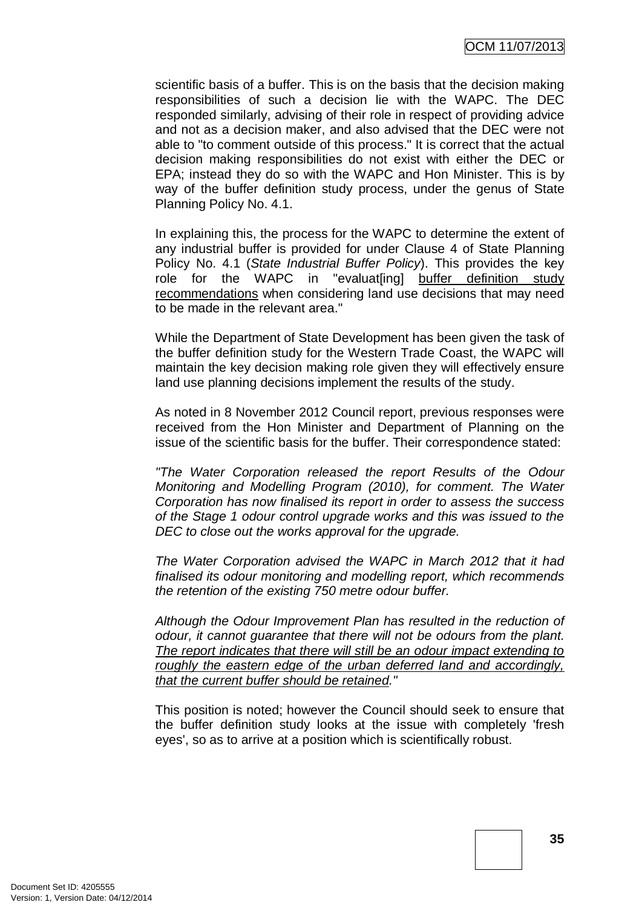scientific basis of a buffer. This is on the basis that the decision making responsibilities of such a decision lie with the WAPC. The DEC responded similarly, advising of their role in respect of providing advice and not as a decision maker, and also advised that the DEC were not able to "to comment outside of this process." It is correct that the actual decision making responsibilities do not exist with either the DEC or EPA; instead they do so with the WAPC and Hon Minister. This is by way of the buffer definition study process, under the genus of State Planning Policy No. 4.1.

In explaining this, the process for the WAPC to determine the extent of any industrial buffer is provided for under Clause 4 of State Planning Policy No. 4.1 (*State Industrial Buffer Policy*). This provides the key role for the WAPC in "evaluat[ing] buffer definition study recommendations when considering land use decisions that may need to be made in the relevant area."

While the Department of State Development has been given the task of the buffer definition study for the Western Trade Coast, the WAPC will maintain the key decision making role given they will effectively ensure land use planning decisions implement the results of the study.

As noted in 8 November 2012 Council report, previous responses were received from the Hon Minister and Department of Planning on the issue of the scientific basis for the buffer. Their correspondence stated:

*"The Water Corporation released the report Results of the Odour Monitoring and Modelling Program (2010), for comment. The Water Corporation has now finalised its report in order to assess the success of the Stage 1 odour control upgrade works and this was issued to the DEC to close out the works approval for the upgrade.*

*The Water Corporation advised the WAPC in March 2012 that it had finalised its odour monitoring and modelling report, which recommends the retention of the existing 750 metre odour buffer.*

*Although the Odour Improvement Plan has resulted in the reduction of odour, it cannot guarantee that there will not be odours from the plant. The report indicates that there will still be an odour impact extending to roughly the eastern edge of the urban deferred land and accordingly, that the current buffer should be retained."*

This position is noted; however the Council should seek to ensure that the buffer definition study looks at the issue with completely 'fresh eyes', so as to arrive at a position which is scientifically robust.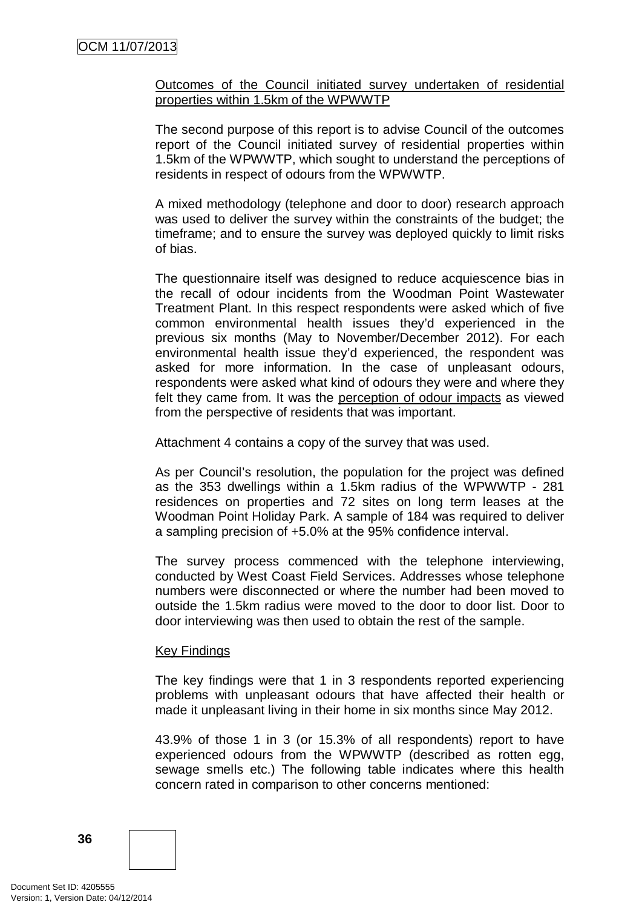### Outcomes of the Council initiated survey undertaken of residential properties within 1.5km of the WPWWTP

The second purpose of this report is to advise Council of the outcomes report of the Council initiated survey of residential properties within 1.5km of the WPWWTP, which sought to understand the perceptions of residents in respect of odours from the WPWWTP.

A mixed methodology (telephone and door to door) research approach was used to deliver the survey within the constraints of the budget; the timeframe; and to ensure the survey was deployed quickly to limit risks of bias.

The questionnaire itself was designed to reduce acquiescence bias in the recall of odour incidents from the Woodman Point Wastewater Treatment Plant. In this respect respondents were asked which of five common environmental health issues they'd experienced in the previous six months (May to November/December 2012). For each environmental health issue they'd experienced, the respondent was asked for more information. In the case of unpleasant odours, respondents were asked what kind of odours they were and where they felt they came from. It was the perception of odour impacts as viewed from the perspective of residents that was important.

Attachment 4 contains a copy of the survey that was used.

As per Council's resolution, the population for the project was defined as the 353 dwellings within a 1.5km radius of the WPWWTP - 281 residences on properties and 72 sites on long term leases at the Woodman Point Holiday Park. A sample of 184 was required to deliver a sampling precision of +5.0% at the 95% confidence interval.

The survey process commenced with the telephone interviewing, conducted by West Coast Field Services. Addresses whose telephone numbers were disconnected or where the number had been moved to outside the 1.5km radius were moved to the door to door list. Door to door interviewing was then used to obtain the rest of the sample.

## Key Findings

The key findings were that 1 in 3 respondents reported experiencing problems with unpleasant odours that have affected their health or made it unpleasant living in their home in six months since May 2012.

43.9% of those 1 in 3 (or 15.3% of all respondents) report to have experienced odours from the WPWWTP (described as rotten egg, sewage smells etc.) The following table indicates where this health concern rated in comparison to other concerns mentioned: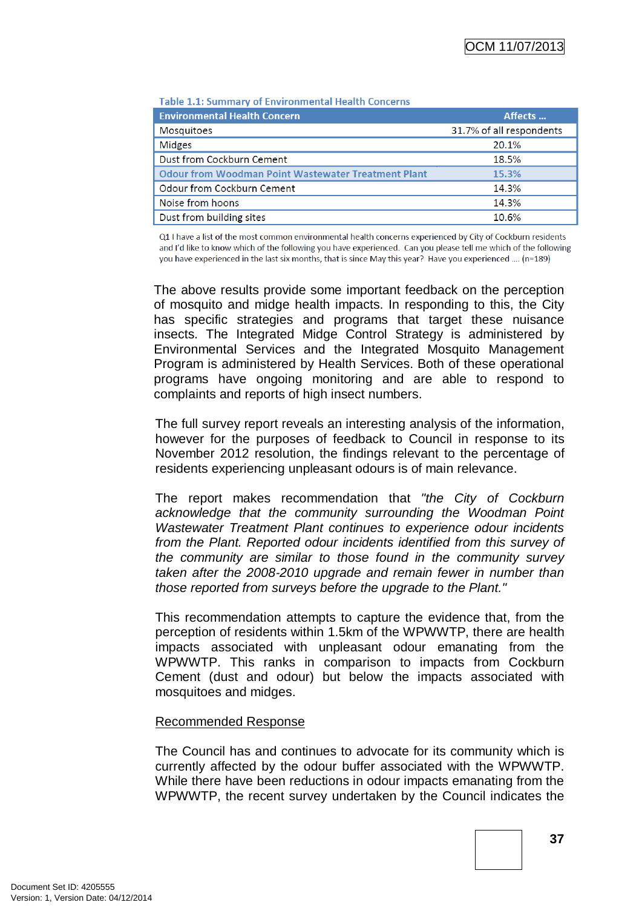| Table 1.1: Summary of Environmental Health Concerns        |                          |
|------------------------------------------------------------|--------------------------|
| <b>Environmental Health Concern</b>                        | Affects                  |
| <b>Mosquitoes</b>                                          | 31.7% of all respondents |
| <b>Midges</b>                                              | 20.1%                    |
| Dust from Cockburn Cement                                  | 18.5%                    |
| <b>Odour from Woodman Point Wastewater Treatment Plant</b> | 15.3%                    |
| <b>Odour from Cockburn Cement</b>                          | 14.3%                    |
| Noise from hoons                                           | 14.3%                    |
| Dust from building sites                                   | 10.6%                    |

 $\frac{1}{2}$  and  $\frac{1}{2}$  and  $\frac{1}{2}$ a marchine  $\sigma = 1$ 

Q1 I have a list of the most common environmental health concerns experienced by City of Cockburn residents and I'd like to know which of the following you have experienced. Can you please tell me which of the following you have experienced in the last six months, that is since May this year? Have you experienced .... (n=189)

The above results provide some important feedback on the perception of mosquito and midge health impacts. In responding to this, the City has specific strategies and programs that target these nuisance insects. The Integrated Midge Control Strategy is administered by Environmental Services and the Integrated Mosquito Management Program is administered by Health Services. Both of these operational programs have ongoing monitoring and are able to respond to complaints and reports of high insect numbers.

The full survey report reveals an interesting analysis of the information, however for the purposes of feedback to Council in response to its November 2012 resolution, the findings relevant to the percentage of residents experiencing unpleasant odours is of main relevance.

The report makes recommendation that *"the City of Cockburn acknowledge that the community surrounding the Woodman Point Wastewater Treatment Plant continues to experience odour incidents from the Plant. Reported odour incidents identified from this survey of the community are similar to those found in the community survey taken after the 2008*‐*2010 upgrade and remain fewer in number than those reported from surveys before the upgrade to the Plant."*

This recommendation attempts to capture the evidence that, from the perception of residents within 1.5km of the WPWWTP, there are health impacts associated with unpleasant odour emanating from the WPWWTP. This ranks in comparison to impacts from Cockburn Cement (dust and odour) but below the impacts associated with mosquitoes and midges.

#### Recommended Response

The Council has and continues to advocate for its community which is currently affected by the odour buffer associated with the WPWWTP. While there have been reductions in odour impacts emanating from the WPWWTP, the recent survey undertaken by the Council indicates the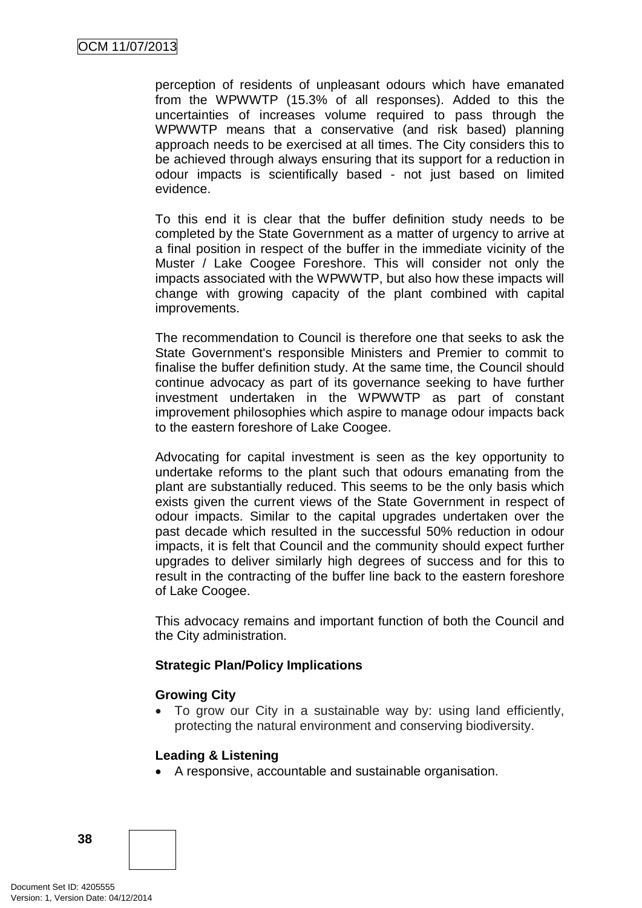perception of residents of unpleasant odours which have emanated from the WPWWTP (15.3% of all responses). Added to this the uncertainties of increases volume required to pass through the WPWWTP means that a conservative (and risk based) planning approach needs to be exercised at all times. The City considers this to be achieved through always ensuring that its support for a reduction in odour impacts is scientifically based - not just based on limited evidence.

To this end it is clear that the buffer definition study needs to be completed by the State Government as a matter of urgency to arrive at a final position in respect of the buffer in the immediate vicinity of the Muster / Lake Coogee Foreshore. This will consider not only the impacts associated with the WPWWTP, but also how these impacts will change with growing capacity of the plant combined with capital improvements.

The recommendation to Council is therefore one that seeks to ask the State Government's responsible Ministers and Premier to commit to finalise the buffer definition study. At the same time, the Council should continue advocacy as part of its governance seeking to have further investment undertaken in the WPWWTP as part of constant improvement philosophies which aspire to manage odour impacts back to the eastern foreshore of Lake Coogee.

Advocating for capital investment is seen as the key opportunity to undertake reforms to the plant such that odours emanating from the plant are substantially reduced. This seems to be the only basis which exists given the current views of the State Government in respect of odour impacts. Similar to the capital upgrades undertaken over the past decade which resulted in the successful 50% reduction in odour impacts, it is felt that Council and the community should expect further upgrades to deliver similarly high degrees of success and for this to result in the contracting of the buffer line back to the eastern foreshore of Lake Coogee.

This advocacy remains and important function of both the Council and the City administration.

## **Strategic Plan/Policy Implications**

#### **Growing City**

• To grow our City in a sustainable way by: using land efficiently, protecting the natural environment and conserving biodiversity.

#### **Leading & Listening**

• A responsive, accountable and sustainable organisation.

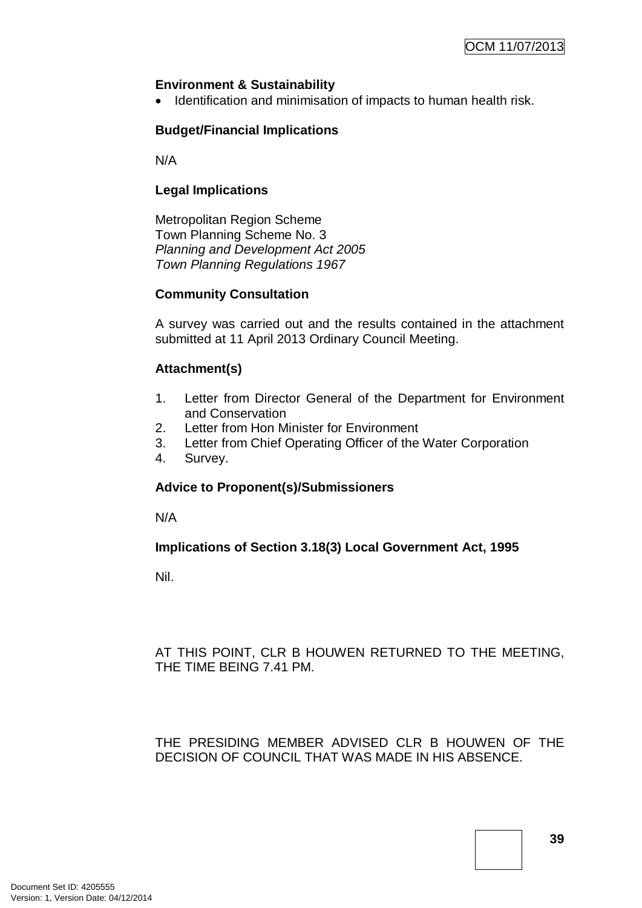# **Environment & Sustainability**

• Identification and minimisation of impacts to human health risk.

# **Budget/Financial Implications**

N/A

# **Legal Implications**

Metropolitan Region Scheme Town Planning Scheme No. 3 *Planning and Development Act 2005 Town Planning Regulations 1967*

## **Community Consultation**

A survey was carried out and the results contained in the attachment submitted at 11 April 2013 Ordinary Council Meeting.

## **Attachment(s)**

- 1. Letter from Director General of the Department for Environment and Conservation
- 2. Letter from Hon Minister for Environment
- 3. Letter from Chief Operating Officer of the Water Corporation
- 4. Survey.

## **Advice to Proponent(s)/Submissioners**

N/A

# **Implications of Section 3.18(3) Local Government Act, 1995**

Nil.

AT THIS POINT, CLR B HOUWEN RETURNED TO THE MEETING, THE TIME BEING 7.41 PM.

THE PRESIDING MEMBER ADVISED CLR B HOUWEN OF THE DECISION OF COUNCIL THAT WAS MADE IN HIS ABSENCE.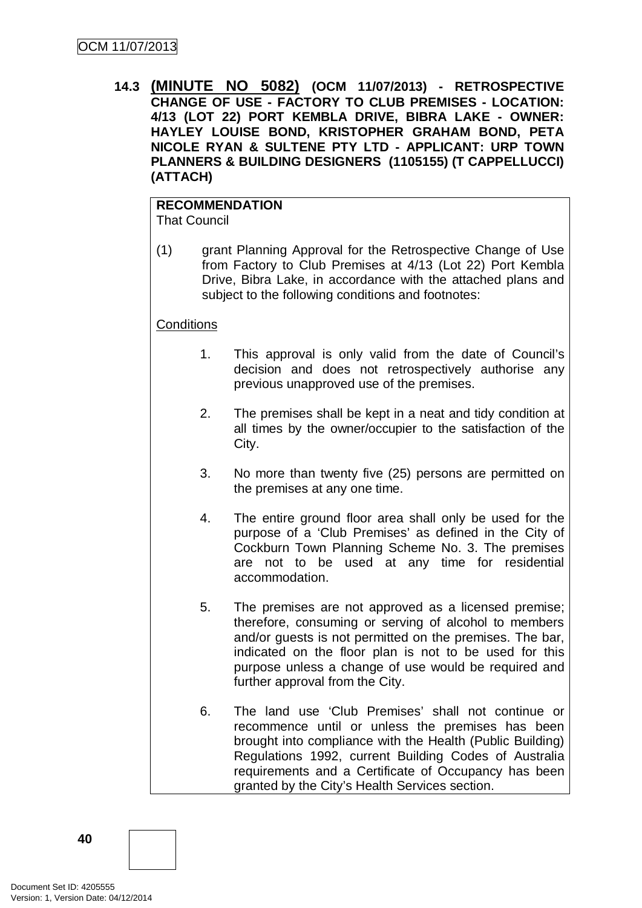**14.3 (MINUTE NO 5082) (OCM 11/07/2013) - RETROSPECTIVE CHANGE OF USE - FACTORY TO CLUB PREMISES - LOCATION: 4/13 (LOT 22) PORT KEMBLA DRIVE, BIBRA LAKE - OWNER: HAYLEY LOUISE BOND, KRISTOPHER GRAHAM BOND, PETA NICOLE RYAN & SULTENE PTY LTD - APPLICANT: URP TOWN PLANNERS & BUILDING DESIGNERS (1105155) (T CAPPELLUCCI) (ATTACH)**

## **RECOMMENDATION**

That Council

(1) grant Planning Approval for the Retrospective Change of Use from Factory to Club Premises at 4/13 (Lot 22) Port Kembla Drive, Bibra Lake, in accordance with the attached plans and subject to the following conditions and footnotes:

## **Conditions**

- 1. This approval is only valid from the date of Council's decision and does not retrospectively authorise any previous unapproved use of the premises.
- 2. The premises shall be kept in a neat and tidy condition at all times by the owner/occupier to the satisfaction of the City.
- 3. No more than twenty five (25) persons are permitted on the premises at any one time.
- 4. The entire ground floor area shall only be used for the purpose of a 'Club Premises' as defined in the City of Cockburn Town Planning Scheme No. 3. The premises are not to be used at any time for residential accommodation.
- 5. The premises are not approved as a licensed premise; therefore, consuming or serving of alcohol to members and/or guests is not permitted on the premises. The bar, indicated on the floor plan is not to be used for this purpose unless a change of use would be required and further approval from the City.
- 6. The land use 'Club Premises' shall not continue or recommence until or unless the premises has been brought into compliance with the Health (Public Building) Regulations 1992, current Building Codes of Australia requirements and a Certificate of Occupancy has been granted by the City's Health Services section.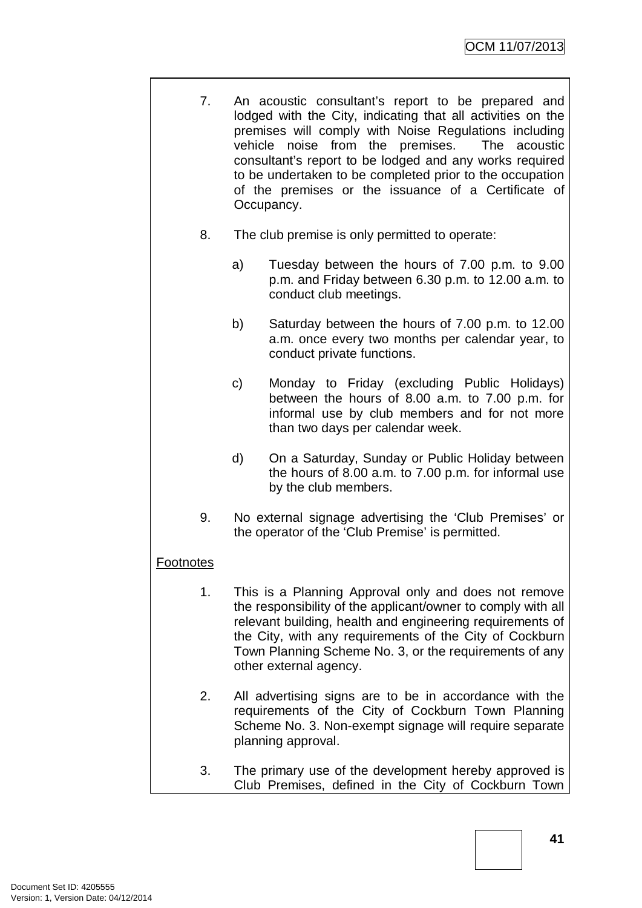- 7. An acoustic consultant's report to be prepared and lodged with the City, indicating that all activities on the premises will comply with Noise Regulations including vehicle noise from the premises. The acoustic consultant's report to be lodged and any works required to be undertaken to be completed prior to the occupation of the premises or the issuance of a Certificate of Occupancy.
- 8. The club premise is only permitted to operate:
	- a) Tuesday between the hours of 7.00 p.m. to 9.00 p.m. and Friday between 6.30 p.m. to 12.00 a.m. to conduct club meetings.
	- b) Saturday between the hours of 7.00 p.m. to 12.00 a.m. once every two months per calendar year, to conduct private functions.
	- c) Monday to Friday (excluding Public Holidays) between the hours of 8.00 a.m. to 7.00 p.m. for informal use by club members and for not more than two days per calendar week.
	- d) On a Saturday, Sunday or Public Holiday between the hours of 8.00 a.m. to 7.00 p.m. for informal use by the club members.
- 9. No external signage advertising the 'Club Premises' or the operator of the 'Club Premise' is permitted.

# **Footnotes**

- 1. This is a Planning Approval only and does not remove the responsibility of the applicant/owner to comply with all relevant building, health and engineering requirements of the City, with any requirements of the City of Cockburn Town Planning Scheme No. 3, or the requirements of any other external agency.
- 2. All advertising signs are to be in accordance with the requirements of the City of Cockburn Town Planning Scheme No. 3. Non-exempt signage will require separate planning approval.
- 3. The primary use of the development hereby approved is Club Premises, defined in the City of Cockburn Town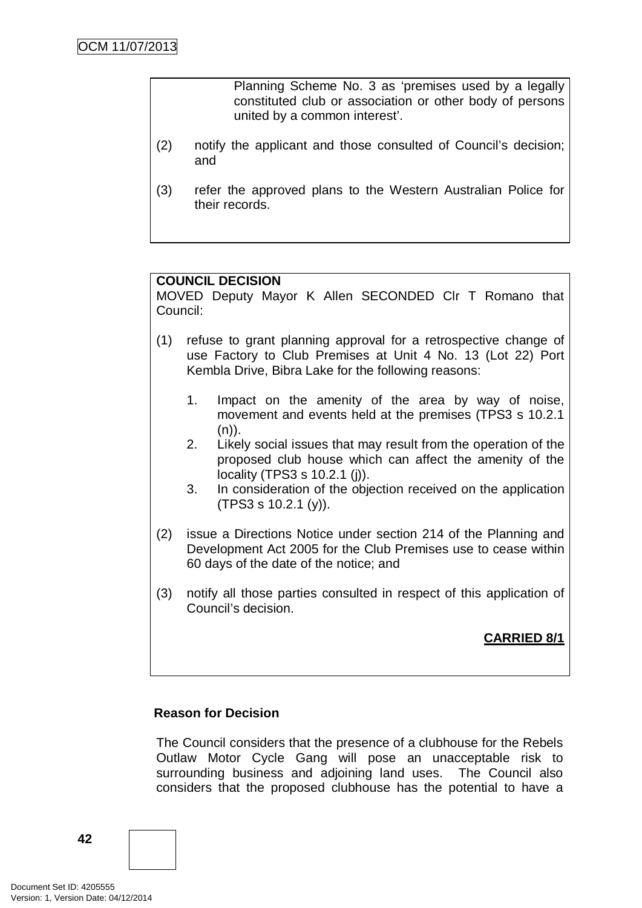Planning Scheme No. 3 as 'premises used by a legally constituted club or association or other body of persons united by a common interest'.

- (2) notify the applicant and those consulted of Council's decision; and
- (3) refer the approved plans to the Western Australian Police for their records.

# **COUNCIL DECISION**

MOVED Deputy Mayor K Allen SECONDED Clr T Romano that Council:

- (1) refuse to grant planning approval for a retrospective change of use Factory to Club Premises at Unit 4 No. 13 (Lot 22) Port Kembla Drive, Bibra Lake for the following reasons:
	- 1. Impact on the amenity of the area by way of noise, movement and events held at the premises (TPS3 s 10.2.1 (n)).
	- 2. Likely social issues that may result from the operation of the proposed club house which can affect the amenity of the locality (TPS3 s 10.2.1 (j)).
	- 3. In consideration of the objection received on the application (TPS3 s 10.2.1 (y)).
- (2) issue a Directions Notice under section 214 of the Planning and Development Act 2005 for the Club Premises use to cease within 60 days of the date of the notice; and
- (3) notify all those parties consulted in respect of this application of Council's decision.

# **CARRIED 8/1**

## **Reason for Decision**

The Council considers that the presence of a clubhouse for the Rebels Outlaw Motor Cycle Gang will pose an unacceptable risk to surrounding business and adjoining land uses. The Council also considers that the proposed clubhouse has the potential to have a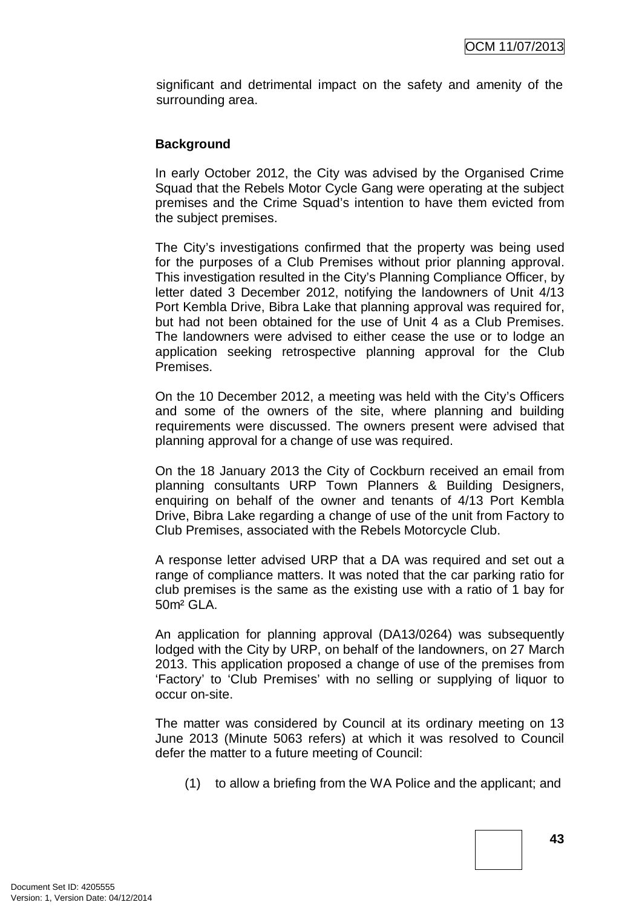significant and detrimental impact on the safety and amenity of the surrounding area.

### **Background**

In early October 2012, the City was advised by the Organised Crime Squad that the Rebels Motor Cycle Gang were operating at the subject premises and the Crime Squad's intention to have them evicted from the subject premises.

The City's investigations confirmed that the property was being used for the purposes of a Club Premises without prior planning approval. This investigation resulted in the City's Planning Compliance Officer, by letter dated 3 December 2012, notifying the landowners of Unit 4/13 Port Kembla Drive, Bibra Lake that planning approval was required for, but had not been obtained for the use of Unit 4 as a Club Premises. The landowners were advised to either cease the use or to lodge an application seeking retrospective planning approval for the Club Premises.

On the 10 December 2012, a meeting was held with the City's Officers and some of the owners of the site, where planning and building requirements were discussed. The owners present were advised that planning approval for a change of use was required.

On the 18 January 2013 the City of Cockburn received an email from planning consultants URP Town Planners & Building Designers, enquiring on behalf of the owner and tenants of 4/13 Port Kembla Drive, Bibra Lake regarding a change of use of the unit from Factory to Club Premises, associated with the Rebels Motorcycle Club.

A response letter advised URP that a DA was required and set out a range of compliance matters. It was noted that the car parking ratio for club premises is the same as the existing use with a ratio of 1 bay for 50m² GLA.

An application for planning approval (DA13/0264) was subsequently lodged with the City by URP, on behalf of the landowners, on 27 March 2013. This application proposed a change of use of the premises from 'Factory' to 'Club Premises' with no selling or supplying of liquor to occur on-site.

The matter was considered by Council at its ordinary meeting on 13 June 2013 (Minute 5063 refers) at which it was resolved to Council defer the matter to a future meeting of Council:

(1) to allow a briefing from the WA Police and the applicant; and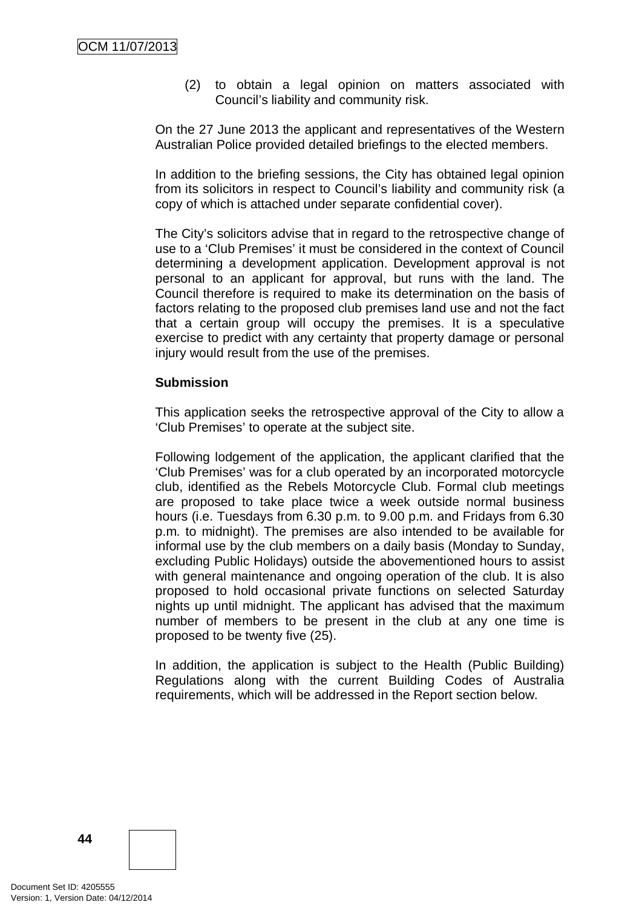(2) to obtain a legal opinion on matters associated with Council's liability and community risk.

On the 27 June 2013 the applicant and representatives of the Western Australian Police provided detailed briefings to the elected members.

In addition to the briefing sessions, the City has obtained legal opinion from its solicitors in respect to Council's liability and community risk (a copy of which is attached under separate confidential cover).

The City's solicitors advise that in regard to the retrospective change of use to a 'Club Premises' it must be considered in the context of Council determining a development application. Development approval is not personal to an applicant for approval, but runs with the land. The Council therefore is required to make its determination on the basis of factors relating to the proposed club premises land use and not the fact that a certain group will occupy the premises. It is a speculative exercise to predict with any certainty that property damage or personal injury would result from the use of the premises.

#### **Submission**

This application seeks the retrospective approval of the City to allow a 'Club Premises' to operate at the subject site.

Following lodgement of the application, the applicant clarified that the 'Club Premises' was for a club operated by an incorporated motorcycle club, identified as the Rebels Motorcycle Club. Formal club meetings are proposed to take place twice a week outside normal business hours (i.e. Tuesdays from 6.30 p.m. to 9.00 p.m. and Fridays from 6.30 p.m. to midnight). The premises are also intended to be available for informal use by the club members on a daily basis (Monday to Sunday, excluding Public Holidays) outside the abovementioned hours to assist with general maintenance and ongoing operation of the club. It is also proposed to hold occasional private functions on selected Saturday nights up until midnight. The applicant has advised that the maximum number of members to be present in the club at any one time is proposed to be twenty five (25).

In addition, the application is subject to the Health (Public Building) Regulations along with the current Building Codes of Australia requirements, which will be addressed in the Report section below.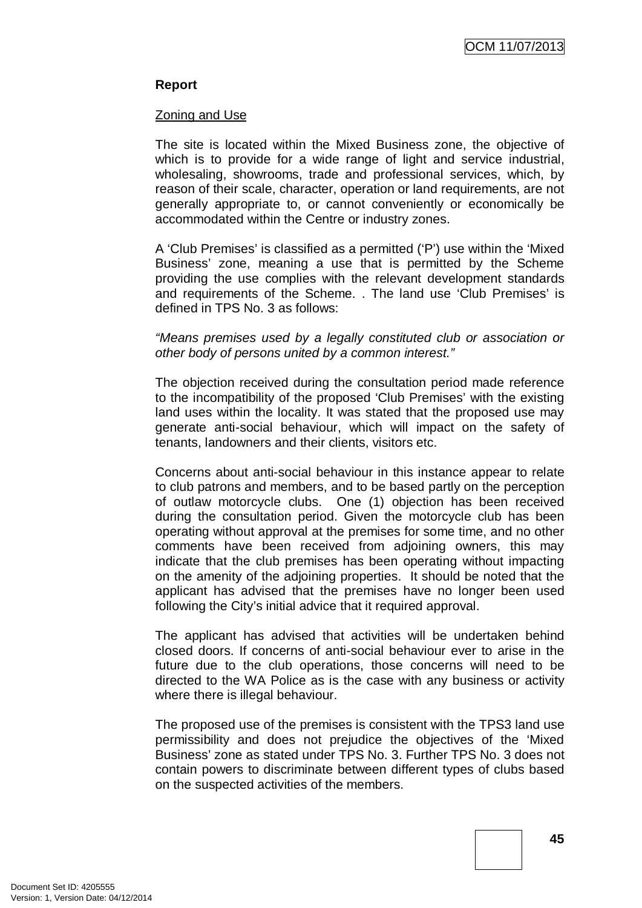## **Report**

#### Zoning and Use

The site is located within the Mixed Business zone, the objective of which is to provide for a wide range of light and service industrial, wholesaling, showrooms, trade and professional services, which, by reason of their scale, character, operation or land requirements, are not generally appropriate to, or cannot conveniently or economically be accommodated within the Centre or industry zones.

A 'Club Premises' is classified as a permitted ('P') use within the 'Mixed Business' zone, meaning a use that is permitted by the Scheme providing the use complies with the relevant development standards and requirements of the Scheme. . The land use 'Club Premises' is defined in TPS No. 3 as follows:

*"Means premises used by a legally constituted club or association or other body of persons united by a common interest."*

The objection received during the consultation period made reference to the incompatibility of the proposed 'Club Premises' with the existing land uses within the locality. It was stated that the proposed use may generate anti-social behaviour, which will impact on the safety of tenants, landowners and their clients, visitors etc.

Concerns about anti-social behaviour in this instance appear to relate to club patrons and members, and to be based partly on the perception of outlaw motorcycle clubs. One (1) objection has been received during the consultation period. Given the motorcycle club has been operating without approval at the premises for some time, and no other comments have been received from adjoining owners, this may indicate that the club premises has been operating without impacting on the amenity of the adjoining properties. It should be noted that the applicant has advised that the premises have no longer been used following the City's initial advice that it required approval.

The applicant has advised that activities will be undertaken behind closed doors. If concerns of anti-social behaviour ever to arise in the future due to the club operations, those concerns will need to be directed to the WA Police as is the case with any business or activity where there is illegal behaviour.

The proposed use of the premises is consistent with the TPS3 land use permissibility and does not prejudice the objectives of the 'Mixed Business' zone as stated under TPS No. 3. Further TPS No. 3 does not contain powers to discriminate between different types of clubs based on the suspected activities of the members.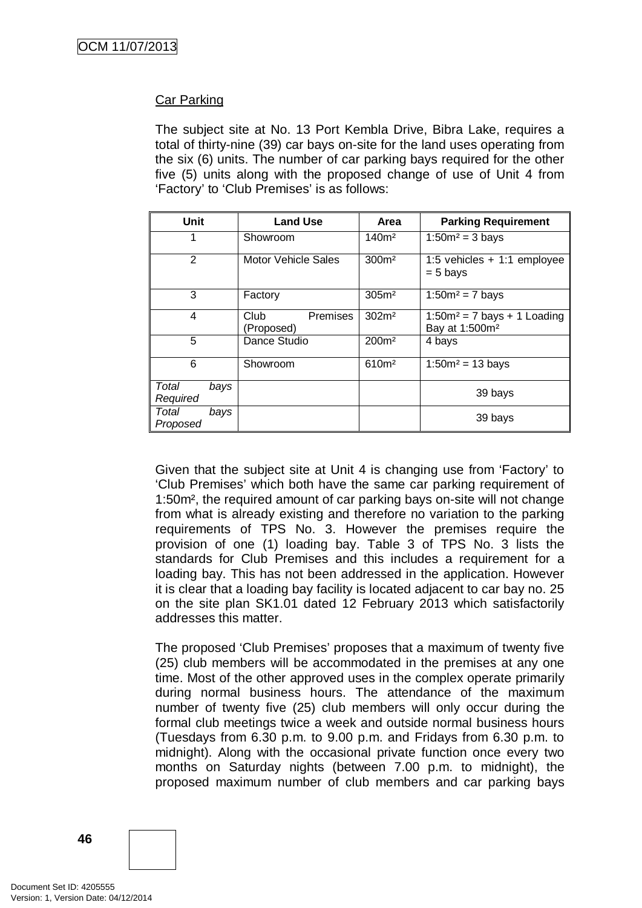## Car Parking

The subject site at No. 13 Port Kembla Drive, Bibra Lake, requires a total of thirty-nine (39) car bays on-site for the land uses operating from the six (6) units. The number of car parking bays required for the other five (5) units along with the proposed change of use of Unit 4 from 'Factory' to 'Club Premises' is as follows:

| <b>Unit</b>             |      | <b>Land Use</b>                | Area              | <b>Parking Requirement</b>                                   |
|-------------------------|------|--------------------------------|-------------------|--------------------------------------------------------------|
| 1                       |      | Showroom                       | 140m <sup>2</sup> | $1:50m^2 = 3$ bays                                           |
| 2                       |      | Motor Vehicle Sales            | 300 <sup>m²</sup> | 1:5 vehicles $+$ 1:1 employee<br>$= 5 \text{ bays}$          |
| 3                       |      | Factory                        | 305 <sup>m²</sup> | $1:50m^2 = 7$ bays                                           |
| $\overline{\mathbf{4}}$ |      | Premises<br>Club<br>(Proposed) | 302m <sup>2</sup> | $1:50m^2 = 7$ bays + 1 Loading<br>Bay at 1:500m <sup>2</sup> |
| 5                       |      | Dance Studio                   | 200 <sup>m²</sup> | 4 bays                                                       |
| 6                       |      | Showroom                       | 610m <sup>2</sup> | $1:50m^2 = 13 \text{ bays}$                                  |
| Total<br>Required       | bays |                                |                   | 39 bays                                                      |
| Total<br>Proposed       | bays |                                |                   | 39 bays                                                      |

Given that the subject site at Unit 4 is changing use from 'Factory' to 'Club Premises' which both have the same car parking requirement of 1:50m², the required amount of car parking bays on-site will not change from what is already existing and therefore no variation to the parking requirements of TPS No. 3. However the premises require the provision of one (1) loading bay. Table 3 of TPS No. 3 lists the standards for Club Premises and this includes a requirement for a loading bay. This has not been addressed in the application. However it is clear that a loading bay facility is located adjacent to car bay no. 25 on the site plan SK1.01 dated 12 February 2013 which satisfactorily addresses this matter.

The proposed 'Club Premises' proposes that a maximum of twenty five (25) club members will be accommodated in the premises at any one time. Most of the other approved uses in the complex operate primarily during normal business hours. The attendance of the maximum number of twenty five (25) club members will only occur during the formal club meetings twice a week and outside normal business hours (Tuesdays from 6.30 p.m. to 9.00 p.m. and Fridays from 6.30 p.m. to midnight). Along with the occasional private function once every two months on Saturday nights (between 7.00 p.m. to midnight), the proposed maximum number of club members and car parking bays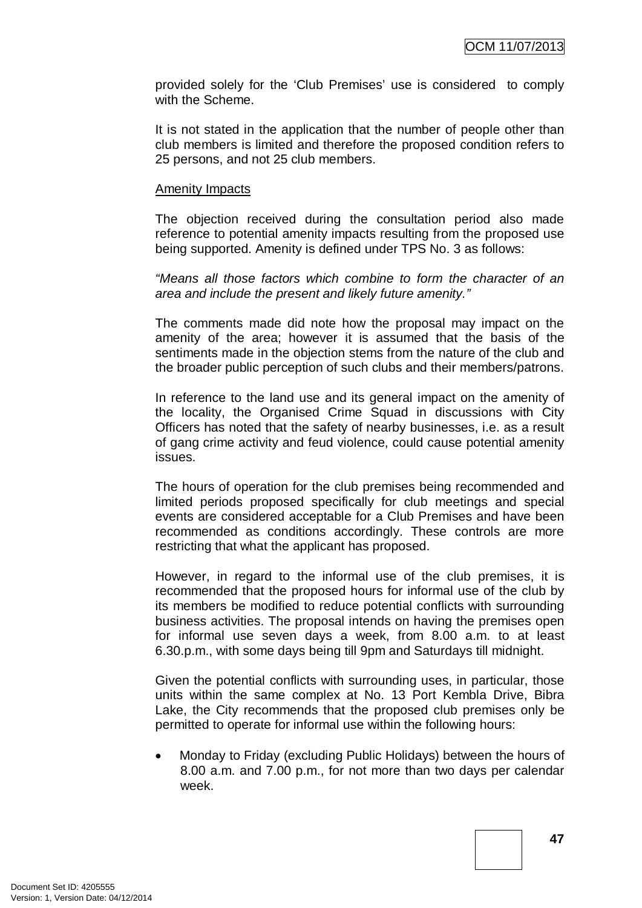provided solely for the 'Club Premises' use is considered to comply with the Scheme.

It is not stated in the application that the number of people other than club members is limited and therefore the proposed condition refers to 25 persons, and not 25 club members.

#### Amenity Impacts

The objection received during the consultation period also made reference to potential amenity impacts resulting from the proposed use being supported. Amenity is defined under TPS No. 3 as follows:

*"Means all those factors which combine to form the character of an area and include the present and likely future amenity."*

The comments made did note how the proposal may impact on the amenity of the area; however it is assumed that the basis of the sentiments made in the objection stems from the nature of the club and the broader public perception of such clubs and their members/patrons.

In reference to the land use and its general impact on the amenity of the locality, the Organised Crime Squad in discussions with City Officers has noted that the safety of nearby businesses, i.e. as a result of gang crime activity and feud violence, could cause potential amenity issues.

The hours of operation for the club premises being recommended and limited periods proposed specifically for club meetings and special events are considered acceptable for a Club Premises and have been recommended as conditions accordingly. These controls are more restricting that what the applicant has proposed.

However, in regard to the informal use of the club premises, it is recommended that the proposed hours for informal use of the club by its members be modified to reduce potential conflicts with surrounding business activities. The proposal intends on having the premises open for informal use seven days a week, from 8.00 a.m. to at least 6.30.p.m., with some days being till 9pm and Saturdays till midnight.

Given the potential conflicts with surrounding uses, in particular, those units within the same complex at No. 13 Port Kembla Drive, Bibra Lake, the City recommends that the proposed club premises only be permitted to operate for informal use within the following hours:

• Monday to Friday (excluding Public Holidays) between the hours of 8.00 a.m. and 7.00 p.m., for not more than two days per calendar week.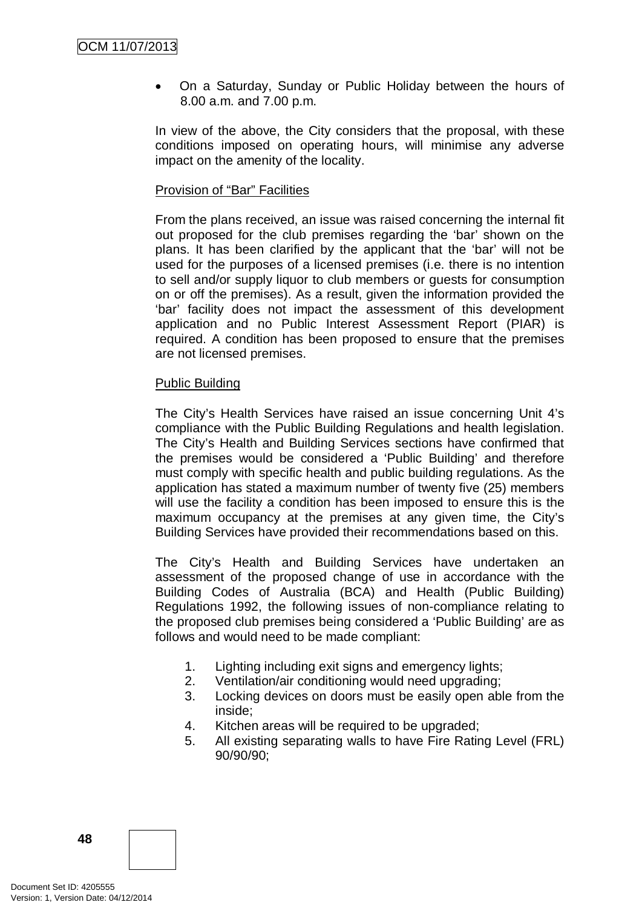• On a Saturday, Sunday or Public Holiday between the hours of 8.00 a.m. and 7.00 p.m.

In view of the above, the City considers that the proposal, with these conditions imposed on operating hours, will minimise any adverse impact on the amenity of the locality.

#### Provision of "Bar" Facilities

From the plans received, an issue was raised concerning the internal fit out proposed for the club premises regarding the 'bar' shown on the plans. It has been clarified by the applicant that the 'bar' will not be used for the purposes of a licensed premises (i.e. there is no intention to sell and/or supply liquor to club members or guests for consumption on or off the premises). As a result, given the information provided the 'bar' facility does not impact the assessment of this development application and no Public Interest Assessment Report (PIAR) is required. A condition has been proposed to ensure that the premises are not licensed premises.

#### Public Building

The City's Health Services have raised an issue concerning Unit 4's compliance with the Public Building Regulations and health legislation. The City's Health and Building Services sections have confirmed that the premises would be considered a 'Public Building' and therefore must comply with specific health and public building regulations. As the application has stated a maximum number of twenty five (25) members will use the facility a condition has been imposed to ensure this is the maximum occupancy at the premises at any given time, the City's Building Services have provided their recommendations based on this.

The City's Health and Building Services have undertaken an assessment of the proposed change of use in accordance with the Building Codes of Australia (BCA) and Health (Public Building) Regulations 1992, the following issues of non-compliance relating to the proposed club premises being considered a 'Public Building' are as follows and would need to be made compliant:

- 1. Lighting including exit signs and emergency lights;
- 2. Ventilation/air conditioning would need upgrading;
- 3. Locking devices on doors must be easily open able from the inside;
- 4. Kitchen areas will be required to be upgraded;
- 5. All existing separating walls to have Fire Rating Level (FRL) 90/90/90;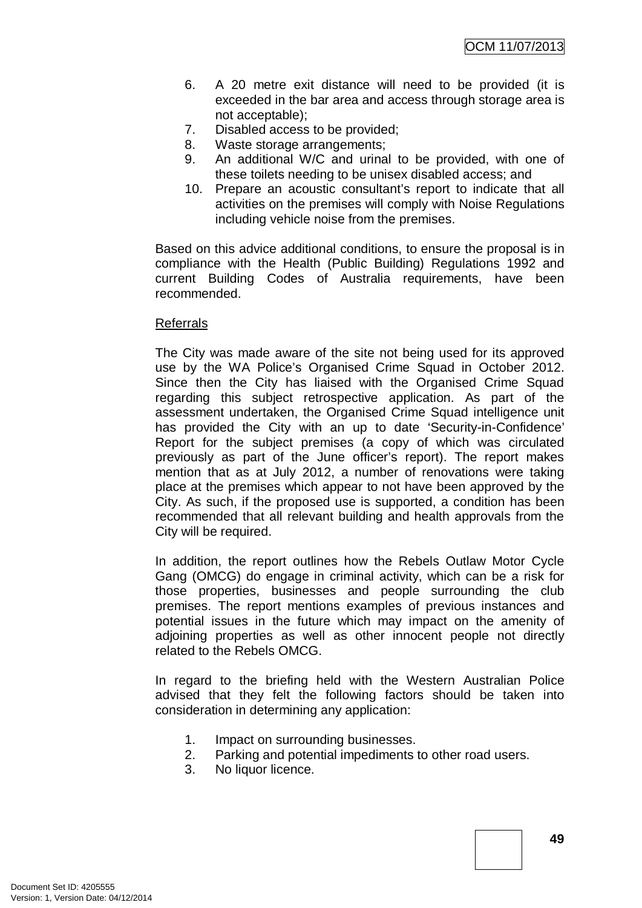- 6. A 20 metre exit distance will need to be provided (it is exceeded in the bar area and access through storage area is not acceptable);
- 7. Disabled access to be provided;
- 8. Waste storage arrangements;
- 9. An additional W/C and urinal to be provided, with one of these toilets needing to be unisex disabled access; and
- 10. Prepare an acoustic consultant's report to indicate that all activities on the premises will comply with Noise Regulations including vehicle noise from the premises.

Based on this advice additional conditions, to ensure the proposal is in compliance with the Health (Public Building) Regulations 1992 and current Building Codes of Australia requirements, have been recommended.

#### Referrals

The City was made aware of the site not being used for its approved use by the WA Police's Organised Crime Squad in October 2012. Since then the City has liaised with the Organised Crime Squad regarding this subject retrospective application. As part of the assessment undertaken, the Organised Crime Squad intelligence unit has provided the City with an up to date 'Security-in-Confidence' Report for the subject premises (a copy of which was circulated previously as part of the June officer's report). The report makes mention that as at July 2012, a number of renovations were taking place at the premises which appear to not have been approved by the City. As such, if the proposed use is supported, a condition has been recommended that all relevant building and health approvals from the City will be required.

In addition, the report outlines how the Rebels Outlaw Motor Cycle Gang (OMCG) do engage in criminal activity, which can be a risk for those properties, businesses and people surrounding the club premises. The report mentions examples of previous instances and potential issues in the future which may impact on the amenity of adjoining properties as well as other innocent people not directly related to the Rebels OMCG.

In regard to the briefing held with the Western Australian Police advised that they felt the following factors should be taken into consideration in determining any application:

- 1. Impact on surrounding businesses.
- 2. Parking and potential impediments to other road users.
- 3. No liquor licence.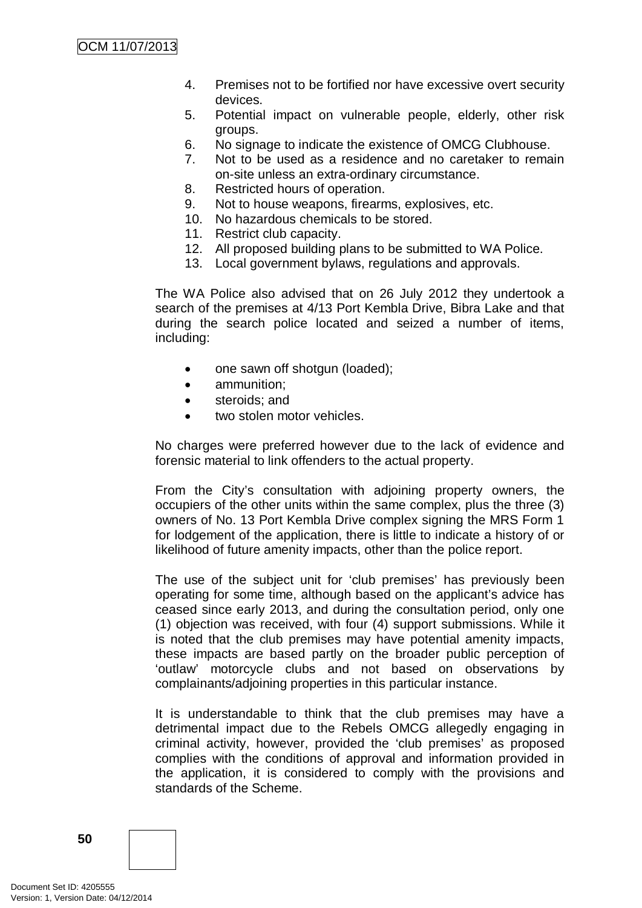- 4. Premises not to be fortified nor have excessive overt security devices.
- 5. Potential impact on vulnerable people, elderly, other risk groups.
- 6. No signage to indicate the existence of OMCG Clubhouse.
- 7. Not to be used as a residence and no caretaker to remain on-site unless an extra-ordinary circumstance.
- 8. Restricted hours of operation.
- 9. Not to house weapons, firearms, explosives, etc.
- 10. No hazardous chemicals to be stored.
- 11. Restrict club capacity.
- 12. All proposed building plans to be submitted to WA Police.
- 13. Local government bylaws, regulations and approvals.

The WA Police also advised that on 26 July 2012 they undertook a search of the premises at 4/13 Port Kembla Drive, Bibra Lake and that during the search police located and seized a number of items, including:

- one sawn off shotgun (loaded);
- ammunition;
- steroids; and
- two stolen motor vehicles.

No charges were preferred however due to the lack of evidence and forensic material to link offenders to the actual property.

From the City's consultation with adjoining property owners, the occupiers of the other units within the same complex, plus the three (3) owners of No. 13 Port Kembla Drive complex signing the MRS Form 1 for lodgement of the application, there is little to indicate a history of or likelihood of future amenity impacts, other than the police report.

The use of the subject unit for 'club premises' has previously been operating for some time, although based on the applicant's advice has ceased since early 2013, and during the consultation period, only one (1) objection was received, with four (4) support submissions. While it is noted that the club premises may have potential amenity impacts, these impacts are based partly on the broader public perception of 'outlaw' motorcycle clubs and not based on observations by complainants/adjoining properties in this particular instance.

It is understandable to think that the club premises may have a detrimental impact due to the Rebels OMCG allegedly engaging in criminal activity, however, provided the 'club premises' as proposed complies with the conditions of approval and information provided in the application, it is considered to comply with the provisions and standards of the Scheme.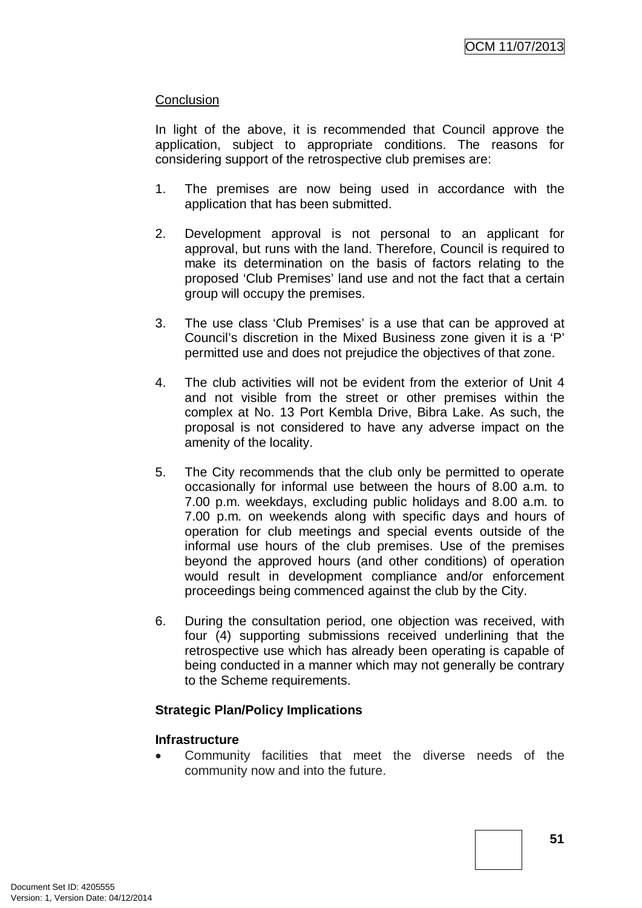### **Conclusion**

In light of the above, it is recommended that Council approve the application, subject to appropriate conditions. The reasons for considering support of the retrospective club premises are:

- 1. The premises are now being used in accordance with the application that has been submitted.
- 2. Development approval is not personal to an applicant for approval, but runs with the land. Therefore, Council is required to make its determination on the basis of factors relating to the proposed 'Club Premises' land use and not the fact that a certain group will occupy the premises.
- 3. The use class 'Club Premises' is a use that can be approved at Council's discretion in the Mixed Business zone given it is a 'P' permitted use and does not prejudice the objectives of that zone.
- 4. The club activities will not be evident from the exterior of Unit 4 and not visible from the street or other premises within the complex at No. 13 Port Kembla Drive, Bibra Lake. As such, the proposal is not considered to have any adverse impact on the amenity of the locality.
- 5. The City recommends that the club only be permitted to operate occasionally for informal use between the hours of 8.00 a.m. to 7.00 p.m. weekdays, excluding public holidays and 8.00 a.m. to 7.00 p.m. on weekends along with specific days and hours of operation for club meetings and special events outside of the informal use hours of the club premises. Use of the premises beyond the approved hours (and other conditions) of operation would result in development compliance and/or enforcement proceedings being commenced against the club by the City.
- 6. During the consultation period, one objection was received, with four (4) supporting submissions received underlining that the retrospective use which has already been operating is capable of being conducted in a manner which may not generally be contrary to the Scheme requirements.

## **Strategic Plan/Policy Implications**

#### **Infrastructure**

• Community facilities that meet the diverse needs of the community now and into the future.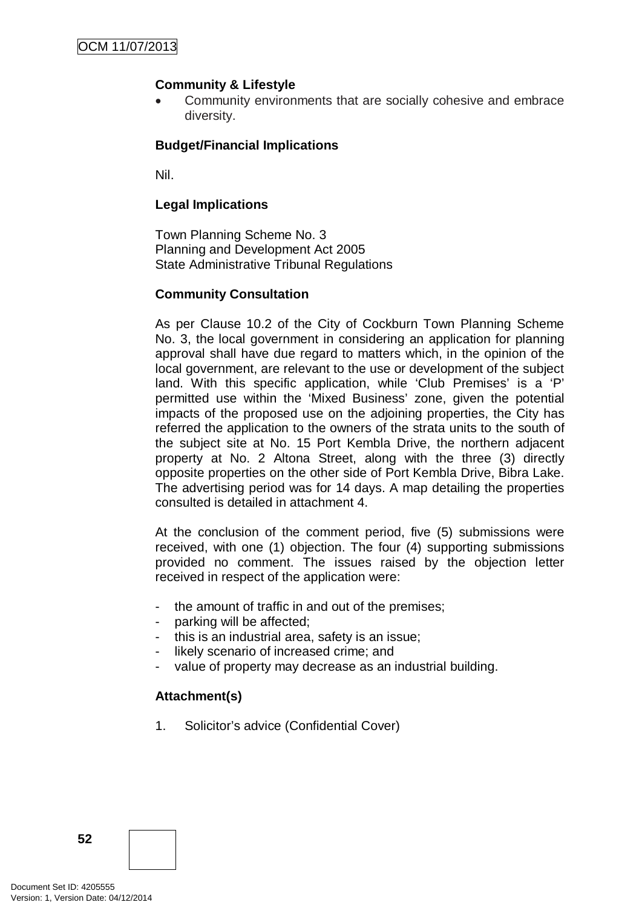# **Community & Lifestyle**

• Community environments that are socially cohesive and embrace diversity.

# **Budget/Financial Implications**

Nil.

## **Legal Implications**

Town Planning Scheme No. 3 Planning and Development Act 2005 State Administrative Tribunal Regulations

## **Community Consultation**

As per Clause 10.2 of the City of Cockburn Town Planning Scheme No. 3, the local government in considering an application for planning approval shall have due regard to matters which, in the opinion of the local government, are relevant to the use or development of the subject land. With this specific application, while 'Club Premises' is a 'P' permitted use within the 'Mixed Business' zone, given the potential impacts of the proposed use on the adjoining properties, the City has referred the application to the owners of the strata units to the south of the subject site at No. 15 Port Kembla Drive, the northern adjacent property at No. 2 Altona Street, along with the three (3) directly opposite properties on the other side of Port Kembla Drive, Bibra Lake. The advertising period was for 14 days. A map detailing the properties consulted is detailed in attachment 4.

At the conclusion of the comment period, five (5) submissions were received, with one (1) objection. The four (4) supporting submissions provided no comment. The issues raised by the objection letter received in respect of the application were:

- the amount of traffic in and out of the premises;
- parking will be affected;
- this is an industrial area, safety is an issue;
- likely scenario of increased crime; and
- value of property may decrease as an industrial building.

## **Attachment(s)**

1. Solicitor's advice (Confidential Cover)

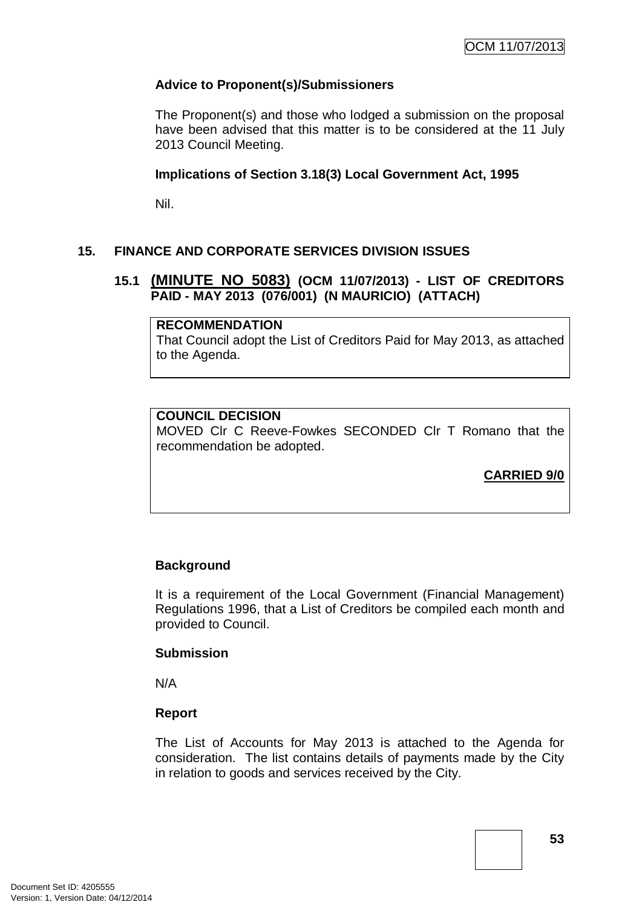# **Advice to Proponent(s)/Submissioners**

The Proponent(s) and those who lodged a submission on the proposal have been advised that this matter is to be considered at the 11 July 2013 Council Meeting.

## **Implications of Section 3.18(3) Local Government Act, 1995**

Nil.

# **15. FINANCE AND CORPORATE SERVICES DIVISION ISSUES**

## **15.1 (MINUTE NO 5083) (OCM 11/07/2013) - LIST OF CREDITORS PAID - MAY 2013 (076/001) (N MAURICIO) (ATTACH)**

#### **RECOMMENDATION**

That Council adopt the List of Creditors Paid for May 2013, as attached to the Agenda.

# **COUNCIL DECISION**

MOVED Clr C Reeve-Fowkes SECONDED Clr T Romano that the recommendation be adopted.

**CARRIED 9/0**

## **Background**

It is a requirement of the Local Government (Financial Management) Regulations 1996, that a List of Creditors be compiled each month and provided to Council.

## **Submission**

N/A

## **Report**

The List of Accounts for May 2013 is attached to the Agenda for consideration. The list contains details of payments made by the City in relation to goods and services received by the City.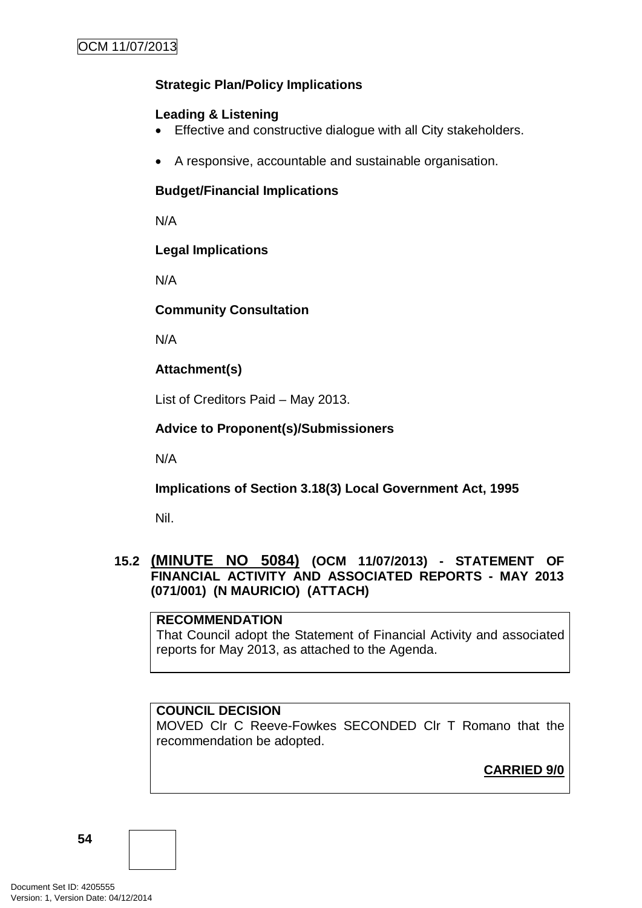# **Strategic Plan/Policy Implications**

## **Leading & Listening**

- Effective and constructive dialogue with all City stakeholders.
- A responsive, accountable and sustainable organisation.

# **Budget/Financial Implications**

N/A

# **Legal Implications**

N/A

# **Community Consultation**

N/A

# **Attachment(s)**

List of Creditors Paid – May 2013.

# **Advice to Proponent(s)/Submissioners**

N/A

**Implications of Section 3.18(3) Local Government Act, 1995**

Nil.

# **15.2 (MINUTE NO 5084) (OCM 11/07/2013) - STATEMENT OF FINANCIAL ACTIVITY AND ASSOCIATED REPORTS - MAY 2013 (071/001) (N MAURICIO) (ATTACH)**

## **RECOMMENDATION**

That Council adopt the Statement of Financial Activity and associated reports for May 2013, as attached to the Agenda.

## **COUNCIL DECISION**

MOVED Clr C Reeve-Fowkes SECONDED Clr T Romano that the recommendation be adopted.

**CARRIED 9/0**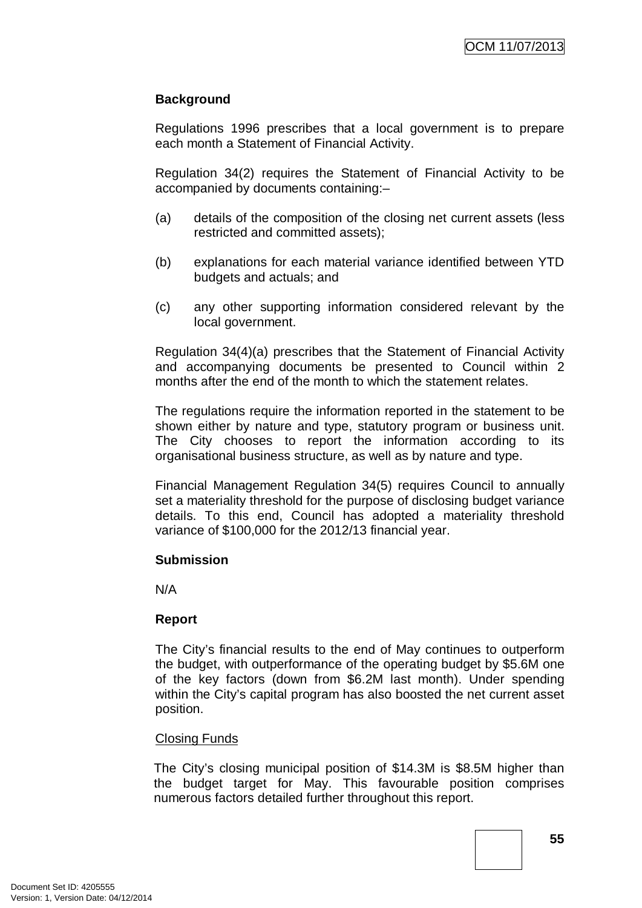# **Background**

Regulations 1996 prescribes that a local government is to prepare each month a Statement of Financial Activity.

Regulation 34(2) requires the Statement of Financial Activity to be accompanied by documents containing:–

- (a) details of the composition of the closing net current assets (less restricted and committed assets);
- (b) explanations for each material variance identified between YTD budgets and actuals; and
- (c) any other supporting information considered relevant by the local government.

Regulation 34(4)(a) prescribes that the Statement of Financial Activity and accompanying documents be presented to Council within 2 months after the end of the month to which the statement relates.

The regulations require the information reported in the statement to be shown either by nature and type, statutory program or business unit. The City chooses to report the information according to its organisational business structure, as well as by nature and type.

Financial Management Regulation 34(5) requires Council to annually set a materiality threshold for the purpose of disclosing budget variance details. To this end, Council has adopted a materiality threshold variance of \$100,000 for the 2012/13 financial year.

## **Submission**

N/A

## **Report**

The City's financial results to the end of May continues to outperform the budget, with outperformance of the operating budget by \$5.6M one of the key factors (down from \$6.2M last month). Under spending within the City's capital program has also boosted the net current asset position.

## Closing Funds

The City's closing municipal position of \$14.3M is \$8.5M higher than the budget target for May. This favourable position comprises numerous factors detailed further throughout this report.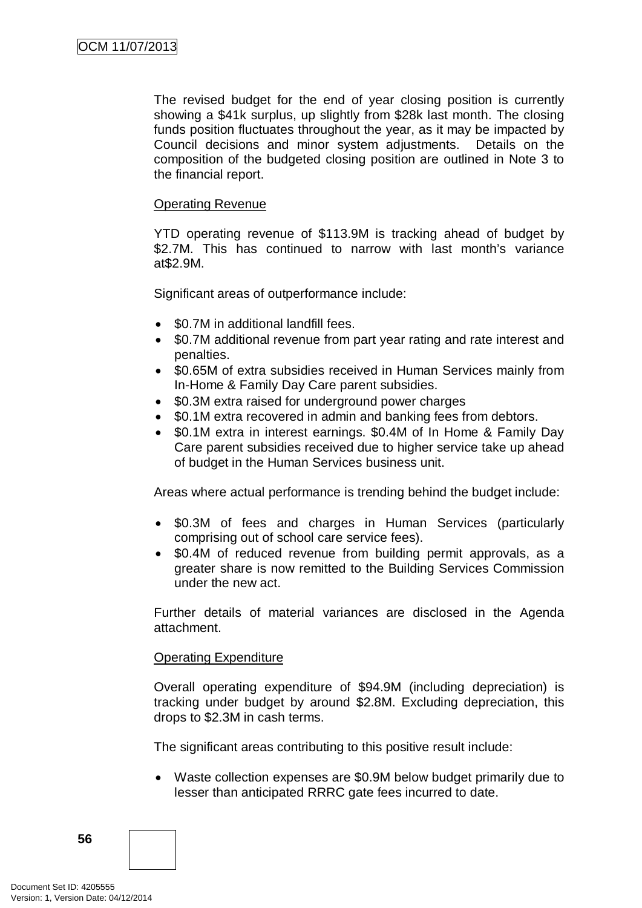The revised budget for the end of year closing position is currently showing a \$41k surplus, up slightly from \$28k last month. The closing funds position fluctuates throughout the year, as it may be impacted by Council decisions and minor system adjustments. Details on the composition of the budgeted closing position are outlined in Note 3 to the financial report.

#### Operating Revenue

YTD operating revenue of \$113.9M is tracking ahead of budget by \$2.7M. This has continued to narrow with last month's variance at\$2.9M.

Significant areas of outperformance include:

- \$0.7M in additional landfill fees.
- \$0.7M additional revenue from part year rating and rate interest and penalties.
- \$0.65M of extra subsidies received in Human Services mainly from In-Home & Family Day Care parent subsidies.
- \$0.3M extra raised for underground power charges
- \$0.1M extra recovered in admin and banking fees from debtors.
- \$0.1M extra in interest earnings. \$0.4M of In Home & Family Day Care parent subsidies received due to higher service take up ahead of budget in the Human Services business unit.

Areas where actual performance is trending behind the budget include:

- \$0.3M of fees and charges in Human Services (particularly comprising out of school care service fees).
- \$0.4M of reduced revenue from building permit approvals, as a greater share is now remitted to the Building Services Commission under the new act.

Further details of material variances are disclosed in the Agenda attachment.

#### Operating Expenditure

Overall operating expenditure of \$94.9M (including depreciation) is tracking under budget by around \$2.8M. Excluding depreciation, this drops to \$2.3M in cash terms.

The significant areas contributing to this positive result include:

• Waste collection expenses are \$0.9M below budget primarily due to lesser than anticipated RRRC gate fees incurred to date.

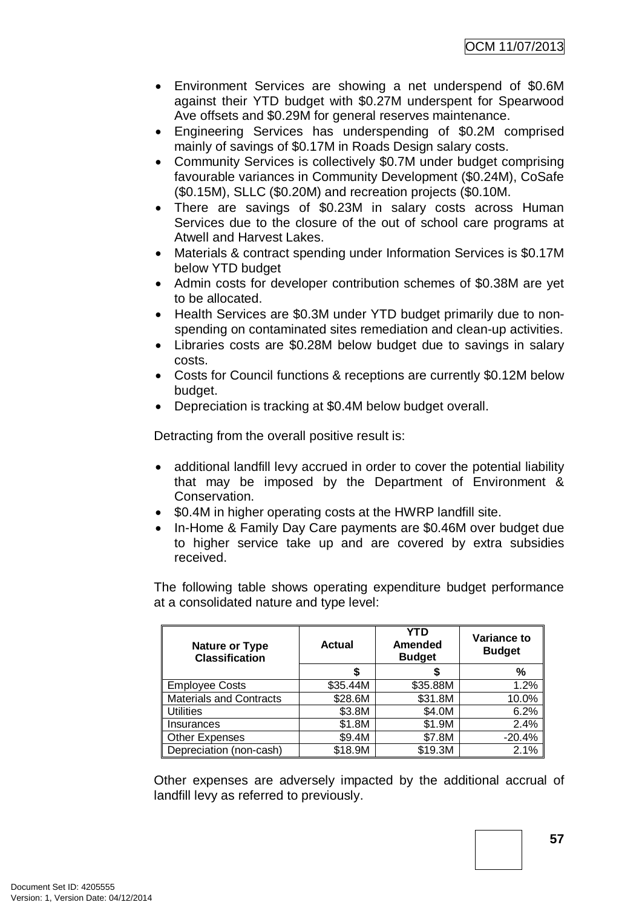- Environment Services are showing a net underspend of \$0.6M against their YTD budget with \$0.27M underspent for Spearwood Ave offsets and \$0.29M for general reserves maintenance.
- Engineering Services has underspending of \$0.2M comprised mainly of savings of \$0.17M in Roads Design salary costs.
- Community Services is collectively \$0.7M under budget comprising favourable variances in Community Development (\$0.24M), CoSafe (\$0.15M), SLLC (\$0.20M) and recreation projects (\$0.10M.
- There are savings of \$0.23M in salary costs across Human Services due to the closure of the out of school care programs at Atwell and Harvest Lakes.
- Materials & contract spending under Information Services is \$0.17M below YTD budget
- Admin costs for developer contribution schemes of \$0.38M are yet to be allocated.
- Health Services are \$0.3M under YTD budget primarily due to nonspending on contaminated sites remediation and clean-up activities.
- Libraries costs are \$0.28M below budget due to savings in salary costs.
- Costs for Council functions & receptions are currently \$0.12M below budget.
- Depreciation is tracking at \$0.4M below budget overall.

Detracting from the overall positive result is:

- additional landfill levy accrued in order to cover the potential liability that may be imposed by the Department of Environment & Conservation.
- \$0.4M in higher operating costs at the HWRP landfill site.
- In-Home & Family Day Care payments are \$0.46M over budget due to higher service take up and are covered by extra subsidies received.

The following table shows operating expenditure budget performance at a consolidated nature and type level:

| <b>Nature or Type</b><br><b>Classification</b> | YTD<br><b>Amended</b><br><b>Actual</b><br><b>Budget</b> |          | Variance to<br><b>Budget</b> |
|------------------------------------------------|---------------------------------------------------------|----------|------------------------------|
|                                                |                                                         |          | %                            |
| <b>Employee Costs</b>                          | \$35.44M                                                | \$35.88M | 1.2%                         |
| <b>Materials and Contracts</b>                 | \$28.6M                                                 | \$31.8M  | 10.0%                        |
| <b>Utilities</b>                               | \$3.8M                                                  | \$4.0M   | 6.2%                         |
| Insurances                                     | \$1.8M                                                  | \$1.9M   | 2.4%                         |
| <b>Other Expenses</b>                          | \$9.4M                                                  | \$7.8M   | $-20.4%$                     |
| Depreciation (non-cash)                        | \$18.9M                                                 | \$19.3M  | 2.1%                         |

Other expenses are adversely impacted by the additional accrual of landfill levy as referred to previously.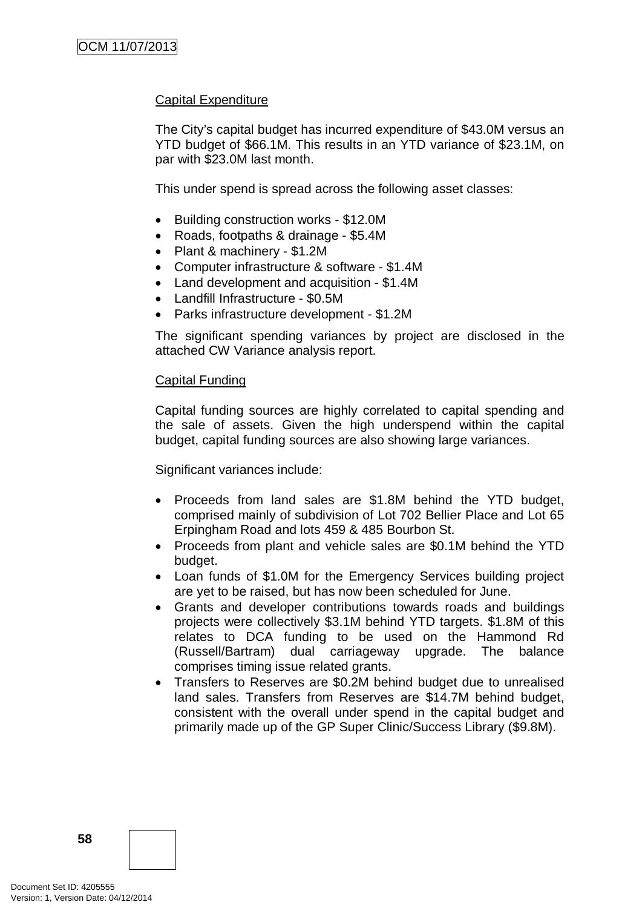## Capital Expenditure

The City's capital budget has incurred expenditure of \$43.0M versus an YTD budget of \$66.1M. This results in an YTD variance of \$23.1M, on par with \$23.0M last month.

This under spend is spread across the following asset classes:

- Building construction works \$12.0M
- Roads, footpaths & drainage \$5.4M
- Plant & machinery \$1.2M
- Computer infrastructure & software \$1.4M
- Land development and acquisition \$1.4M
- Landfill Infrastructure \$0.5M
- Parks infrastructure development \$1.2M

The significant spending variances by project are disclosed in the attached CW Variance analysis report.

#### Capital Funding

Capital funding sources are highly correlated to capital spending and the sale of assets. Given the high underspend within the capital budget, capital funding sources are also showing large variances.

Significant variances include:

- Proceeds from land sales are \$1.8M behind the YTD budget, comprised mainly of subdivision of Lot 702 Bellier Place and Lot 65 Erpingham Road and lots 459 & 485 Bourbon St.
- Proceeds from plant and vehicle sales are \$0.1M behind the YTD budget.
- Loan funds of \$1.0M for the Emergency Services building project are yet to be raised, but has now been scheduled for June.
- Grants and developer contributions towards roads and buildings projects were collectively \$3.1M behind YTD targets. \$1.8M of this relates to DCA funding to be used on the Hammond Rd (Russell/Bartram) dual carriageway upgrade. The balance comprises timing issue related grants.
- Transfers to Reserves are \$0.2M behind budget due to unrealised land sales. Transfers from Reserves are \$14.7M behind budget, consistent with the overall under spend in the capital budget and primarily made up of the GP Super Clinic/Success Library (\$9.8M).

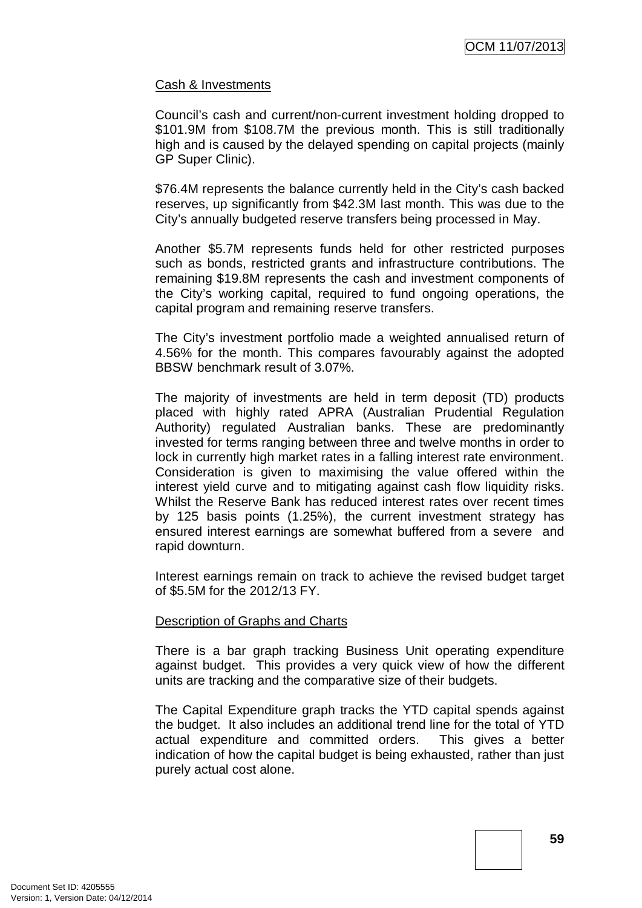## Cash & Investments

Council's cash and current/non-current investment holding dropped to \$101.9M from \$108.7M the previous month. This is still traditionally high and is caused by the delayed spending on capital projects (mainly GP Super Clinic).

\$76.4M represents the balance currently held in the City's cash backed reserves, up significantly from \$42.3M last month. This was due to the City's annually budgeted reserve transfers being processed in May.

Another \$5.7M represents funds held for other restricted purposes such as bonds, restricted grants and infrastructure contributions. The remaining \$19.8M represents the cash and investment components of the City's working capital, required to fund ongoing operations, the capital program and remaining reserve transfers.

The City's investment portfolio made a weighted annualised return of 4.56% for the month. This compares favourably against the adopted BBSW benchmark result of 3.07%.

The majority of investments are held in term deposit (TD) products placed with highly rated APRA (Australian Prudential Regulation Authority) regulated Australian banks. These are predominantly invested for terms ranging between three and twelve months in order to lock in currently high market rates in a falling interest rate environment. Consideration is given to maximising the value offered within the interest yield curve and to mitigating against cash flow liquidity risks. Whilst the Reserve Bank has reduced interest rates over recent times by 125 basis points (1.25%), the current investment strategy has ensured interest earnings are somewhat buffered from a severe and rapid downturn.

Interest earnings remain on track to achieve the revised budget target of \$5.5M for the 2012/13 FY.

#### Description of Graphs and Charts

There is a bar graph tracking Business Unit operating expenditure against budget. This provides a very quick view of how the different units are tracking and the comparative size of their budgets.

The Capital Expenditure graph tracks the YTD capital spends against the budget. It also includes an additional trend line for the total of YTD actual expenditure and committed orders. This gives a better indication of how the capital budget is being exhausted, rather than just purely actual cost alone.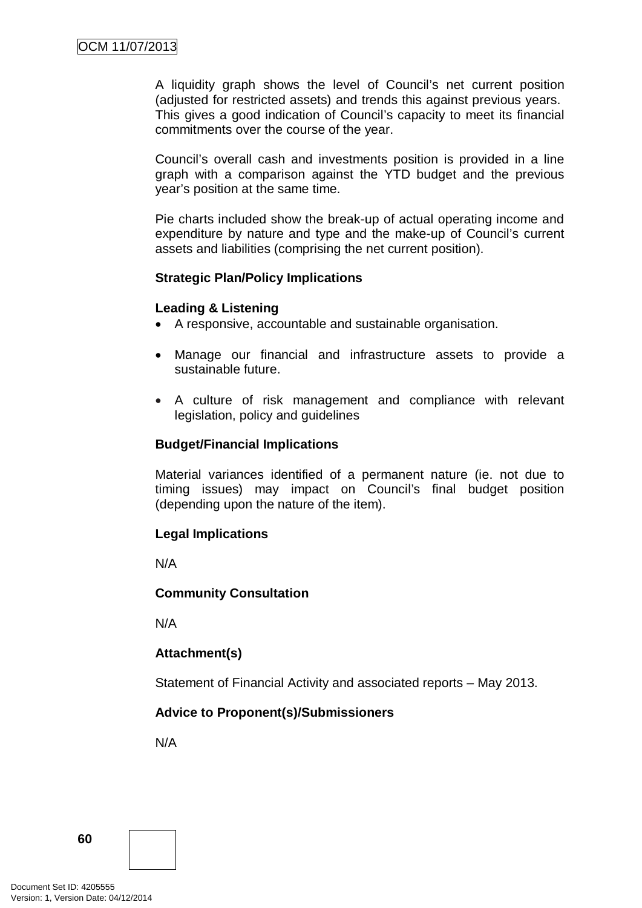A liquidity graph shows the level of Council's net current position (adjusted for restricted assets) and trends this against previous years. This gives a good indication of Council's capacity to meet its financial commitments over the course of the year.

Council's overall cash and investments position is provided in a line graph with a comparison against the YTD budget and the previous year's position at the same time.

Pie charts included show the break-up of actual operating income and expenditure by nature and type and the make-up of Council's current assets and liabilities (comprising the net current position).

# **Strategic Plan/Policy Implications**

## **Leading & Listening**

- A responsive, accountable and sustainable organisation.
- Manage our financial and infrastructure assets to provide a sustainable future.
- A culture of risk management and compliance with relevant legislation, policy and guidelines

## **Budget/Financial Implications**

Material variances identified of a permanent nature (ie. not due to timing issues) may impact on Council's final budget position (depending upon the nature of the item).

## **Legal Implications**

N/A

## **Community Consultation**

N/A

# **Attachment(s)**

Statement of Financial Activity and associated reports – May 2013.

# **Advice to Proponent(s)/Submissioners**

N/A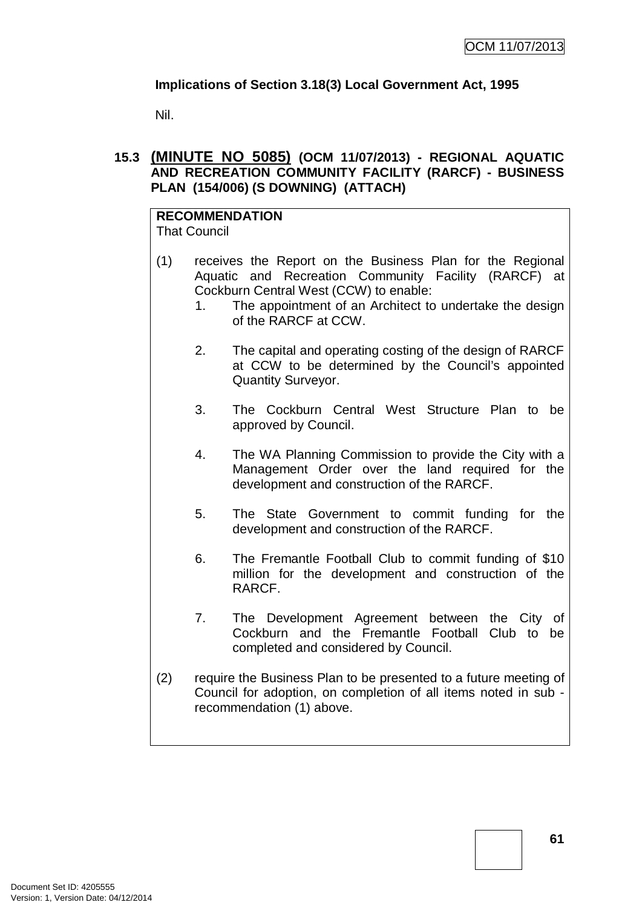# **Implications of Section 3.18(3) Local Government Act, 1995**

Nil.

# **15.3 (MINUTE NO 5085) (OCM 11/07/2013) - REGIONAL AQUATIC AND RECREATION COMMUNITY FACILITY (RARCF) - BUSINESS PLAN (154/006) (S DOWNING) (ATTACH)**

#### **RECOMMENDATION** That Council

- (1) receives the Report on the Business Plan for the Regional Aquatic and Recreation Community Facility (RARCF) at Cockburn Central West (CCW) to enable:
	- 1. The appointment of an Architect to undertake the design of the RARCF at CCW.
	- 2. The capital and operating costing of the design of RARCF at CCW to be determined by the Council's appointed Quantity Surveyor.
	- 3. The Cockburn Central West Structure Plan to be approved by Council.
	- 4. The WA Planning Commission to provide the City with a Management Order over the land required for the development and construction of the RARCF.
	- 5. The State Government to commit funding for the development and construction of the RARCF.
	- 6. The Fremantle Football Club to commit funding of \$10 million for the development and construction of the RARCF.
	- 7. The Development Agreement between the City of Cockburn and the Fremantle Football Club to be completed and considered by Council.
- (2) require the Business Plan to be presented to a future meeting of Council for adoption, on completion of all items noted in sub recommendation (1) above.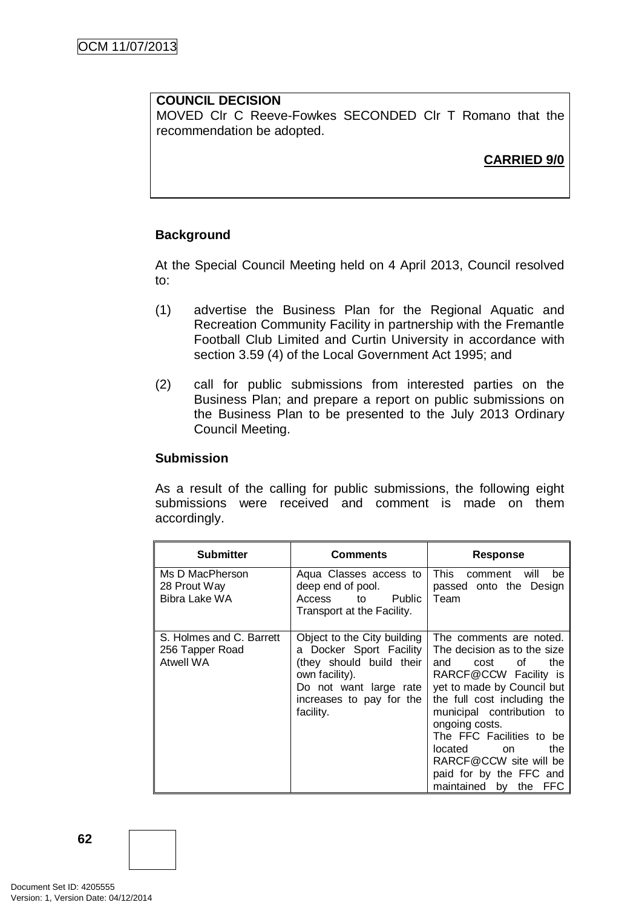#### **COUNCIL DECISION**

MOVED Clr C Reeve-Fowkes SECONDED Clr T Romano that the recommendation be adopted.

# **CARRIED 9/0**

## **Background**

At the Special Council Meeting held on 4 April 2013, Council resolved to:

- (1) advertise the Business Plan for the Regional Aquatic and Recreation Community Facility in partnership with the Fremantle Football Club Limited and Curtin University in accordance with section 3.59 (4) of the Local Government Act 1995; and
- (2) call for public submissions from interested parties on the Business Plan; and prepare a report on public submissions on the Business Plan to be presented to the July 2013 Ordinary Council Meeting.

#### **Submission**

As a result of the calling for public submissions, the following eight submissions were received and comment is made on them accordingly.

| <b>Submitter</b>                                         | Comments                                                                                                                                                                   | <b>Response</b>                                                                                                                                                                                                                                                                                                                                                     |
|----------------------------------------------------------|----------------------------------------------------------------------------------------------------------------------------------------------------------------------------|---------------------------------------------------------------------------------------------------------------------------------------------------------------------------------------------------------------------------------------------------------------------------------------------------------------------------------------------------------------------|
| Ms D MacPherson<br>28 Prout Way<br>Bibra Lake WA         | Agua Classes access to<br>deep end of pool.<br><b>Public</b><br>Access to<br>Transport at the Facility.                                                                    | This<br>be<br>will<br>comment<br>passed onto the Design<br>Team                                                                                                                                                                                                                                                                                                     |
| S. Holmes and C. Barrett<br>256 Tapper Road<br>Atwell WA | Object to the City building<br>Docker Sport Facility<br>a<br>(they should build their<br>own facility).<br>Do not want large rate<br>increases to pay for the<br>facility. | The comments are noted.<br>The decision as to the size<br>οf<br>the<br>and<br>cost<br>RARCF@CCW Facility is<br>yet to made by Council but<br>the full cost including the<br>municipal contribution to<br>ongoing costs.<br>The FFC Facilities to be<br>the<br>located<br>on.<br>RARCF@CCW site will be<br>paid for by the FFC and<br>maintained<br>the<br>FFC<br>by |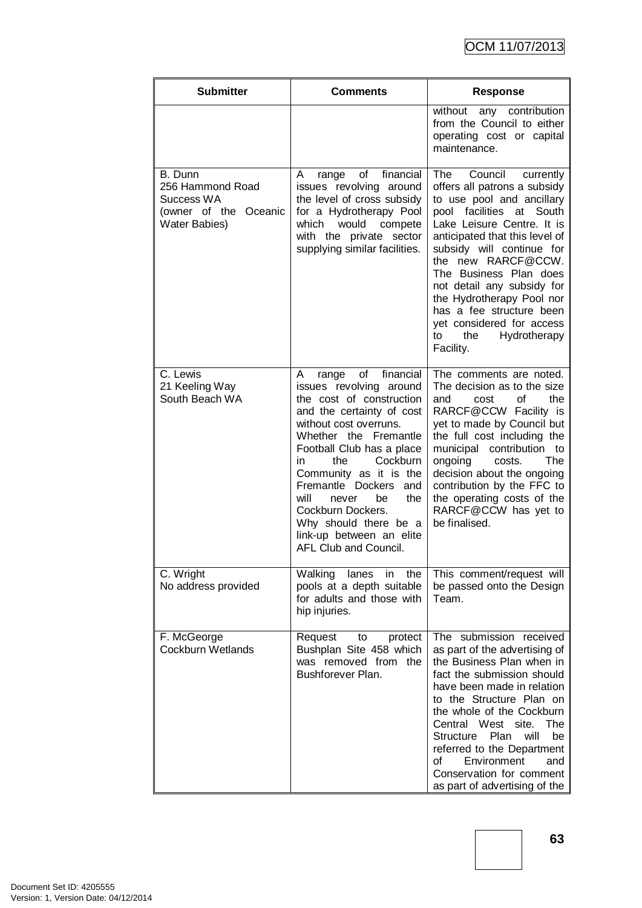| <b>Submitter</b>                                                                    | <b>Comments</b>                                                                                                                                                                                                                                                                                                                                                                                                   | <b>Response</b>                                                                                                                                                                                                                                                                                                                                                                                                                 |
|-------------------------------------------------------------------------------------|-------------------------------------------------------------------------------------------------------------------------------------------------------------------------------------------------------------------------------------------------------------------------------------------------------------------------------------------------------------------------------------------------------------------|---------------------------------------------------------------------------------------------------------------------------------------------------------------------------------------------------------------------------------------------------------------------------------------------------------------------------------------------------------------------------------------------------------------------------------|
|                                                                                     |                                                                                                                                                                                                                                                                                                                                                                                                                   | without<br>contribution<br>any<br>from the Council to either<br>operating cost or capital<br>maintenance.                                                                                                                                                                                                                                                                                                                       |
| B. Dunn<br>256 Hammond Road<br>Success WA<br>(owner of the Oceanic<br>Water Babies) | financial<br>of<br>A<br>range<br>issues revolving around<br>the level of cross subsidy<br>for a Hydrotherapy Pool<br>which<br>would<br>compete<br>with the private sector<br>supplying similar facilities.                                                                                                                                                                                                        | The<br>Council<br>currently<br>offers all patrons a subsidy<br>to use pool and ancillary<br>pool facilities at South<br>Lake Leisure Centre. It is<br>anticipated that this level of<br>subsidy will continue for<br>the new RARCF@CCW.<br>The Business Plan does<br>not detail any subsidy for<br>the Hydrotherapy Pool nor<br>has a fee structure been<br>yet considered for access<br>Hydrotherapy<br>to<br>the<br>Facility. |
| C. Lewis<br>21 Keeling Way<br>South Beach WA                                        | οf<br>financial<br>A<br>range<br>issues revolving around<br>the cost of construction<br>and the certainty of cost<br>without cost overruns.<br>Whether the Fremantle<br>Football Club has a place<br>Cockburn<br>the<br>in<br>Community as it is the<br>Fremantle Dockers<br>and<br>will<br>the<br>be<br>never<br>Cockburn Dockers.<br>Why should there be a<br>link-up between an elite<br>AFL Club and Council. | The comments are noted.<br>The decision as to the size<br>οf<br>the<br>and<br>cost<br>RARCF@CCW Facility is<br>yet to made by Council but<br>the full cost including the<br>municipal<br>contribution<br>to<br>ongoing<br>costs.<br>The<br>decision about the ongoing<br>contribution by the FFC to<br>the operating costs of the<br>RARCF@CCW has yet to<br>be finalised.                                                      |
| C. Wright<br>No address provided                                                    | Walking<br>lanes<br>in the<br>pools at a depth suitable<br>for adults and those with<br>hip injuries.                                                                                                                                                                                                                                                                                                             | This comment/request will<br>be passed onto the Design<br>Team.                                                                                                                                                                                                                                                                                                                                                                 |
| F. McGeorge<br>Cockburn Wetlands                                                    | Request<br>to<br>protect<br>Bushplan Site 458 which<br>was removed from the<br>Bushforever Plan.                                                                                                                                                                                                                                                                                                                  | The submission received<br>as part of the advertising of<br>the Business Plan when in<br>fact the submission should<br>have been made in relation<br>to the Structure Plan on<br>the whole of the Cockburn<br>Central West site.<br>The<br>Structure Plan<br>will<br>be<br>referred to the Department<br>Environment<br>of<br>and<br>Conservation for comment<br>as part of advertising of the                                  |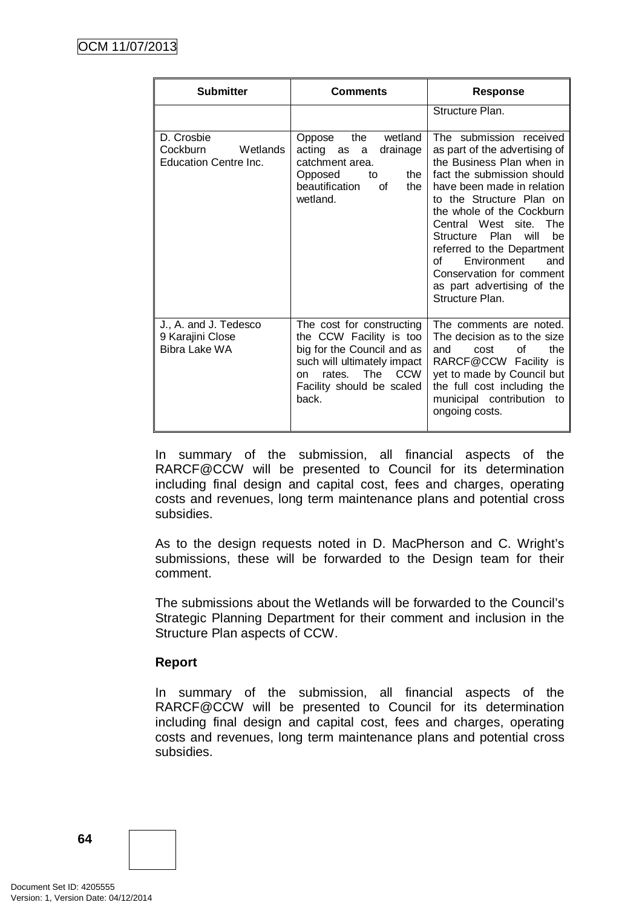| <b>Submitter</b>                                                   | <b>Comments</b>                                                                                                                                                                     | <b>Response</b>                                                                                                                                                                                                                                                                                                                                                                                                     |
|--------------------------------------------------------------------|-------------------------------------------------------------------------------------------------------------------------------------------------------------------------------------|---------------------------------------------------------------------------------------------------------------------------------------------------------------------------------------------------------------------------------------------------------------------------------------------------------------------------------------------------------------------------------------------------------------------|
|                                                                    |                                                                                                                                                                                     | Structure Plan.                                                                                                                                                                                                                                                                                                                                                                                                     |
| D. Crosbie<br>Wetlands<br>Cockburn<br><b>Education Centre Inc.</b> | the wetland<br>Oppose<br>acting as a<br>drainage<br>catchment area.<br>Opposed<br>the<br>to<br>beautification<br>Ωf<br>the<br>wetland.                                              | The submission received<br>as part of the advertising of<br>the Business Plan when in<br>fact the submission should<br>have been made in relation<br>to the Structure Plan on<br>the whole of the Cockburn<br>Central West site.<br><b>The</b><br>Structure Plan will<br>be<br>referred to the Department<br>Environment<br>nf.<br>and<br>Conservation for comment<br>as part advertising of the<br>Structure Plan. |
| J., A. and J. Tedesco<br>9 Karajini Close<br>Bibra Lake WA         | The cost for constructing<br>the CCW Facility is too<br>big for the Council and as<br>such will ultimately impact<br>The CCW<br>rates.<br>nn.<br>Facility should be scaled<br>back. | The comments are noted.<br>The decision as to the size<br>of<br>the<br>and<br>cost<br>RARCF@CCW Facility is<br>yet to made by Council but<br>the full cost including the<br>municipal contribution<br>to<br>ongoing costs.                                                                                                                                                                                          |

In summary of the submission, all financial aspects of the RARCF@CCW will be presented to Council for its determination including final design and capital cost, fees and charges, operating costs and revenues, long term maintenance plans and potential cross subsidies.

As to the design requests noted in D. MacPherson and C. Wright's submissions, these will be forwarded to the Design team for their comment.

The submissions about the Wetlands will be forwarded to the Council's Strategic Planning Department for their comment and inclusion in the Structure Plan aspects of CCW.

# **Report**

In summary of the submission, all financial aspects of the RARCF@CCW will be presented to Council for its determination including final design and capital cost, fees and charges, operating costs and revenues, long term maintenance plans and potential cross subsidies.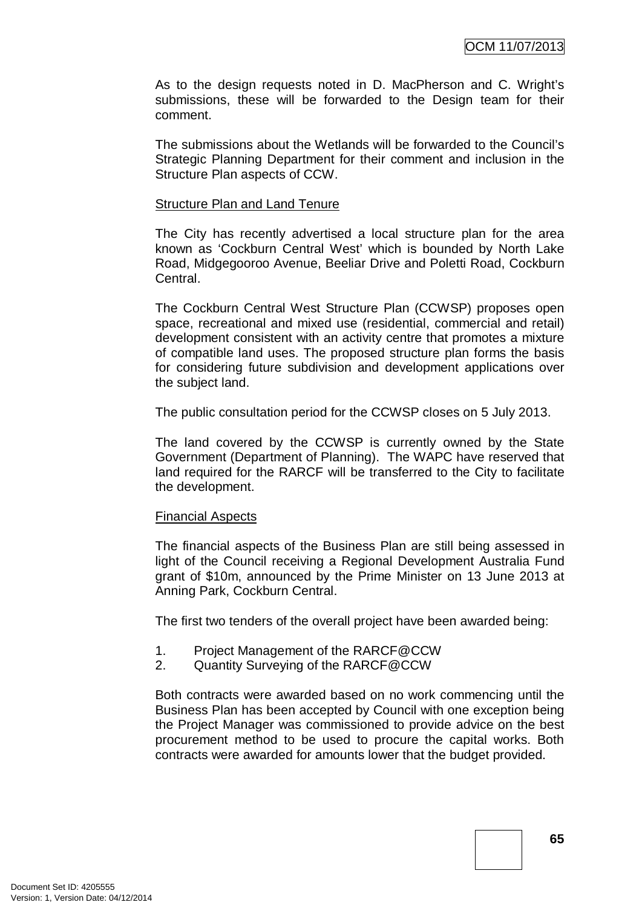As to the design requests noted in D. MacPherson and C. Wright's submissions, these will be forwarded to the Design team for their comment.

The submissions about the Wetlands will be forwarded to the Council's Strategic Planning Department for their comment and inclusion in the Structure Plan aspects of CCW.

#### Structure Plan and Land Tenure

The City has recently advertised a local structure plan for the area known as 'Cockburn Central West' which is bounded by North Lake Road, Midgegooroo Avenue, Beeliar Drive and Poletti Road, Cockburn Central.

The Cockburn Central West Structure Plan (CCWSP) proposes open space, recreational and mixed use (residential, commercial and retail) development consistent with an activity centre that promotes a mixture of compatible land uses. The proposed structure plan forms the basis for considering future subdivision and development applications over the subject land.

The public consultation period for the CCWSP closes on 5 July 2013.

The land covered by the CCWSP is currently owned by the State Government (Department of Planning). The WAPC have reserved that land required for the RARCF will be transferred to the City to facilitate the development.

## Financial Aspects

The financial aspects of the Business Plan are still being assessed in light of the Council receiving a Regional Development Australia Fund grant of \$10m, announced by the Prime Minister on 13 June 2013 at Anning Park, Cockburn Central.

The first two tenders of the overall project have been awarded being:

- 1. Project Management of the RARCF@CCW
- 2. Quantity Surveying of the RARCF@CCW

Both contracts were awarded based on no work commencing until the Business Plan has been accepted by Council with one exception being the Project Manager was commissioned to provide advice on the best procurement method to be used to procure the capital works. Both contracts were awarded for amounts lower that the budget provided.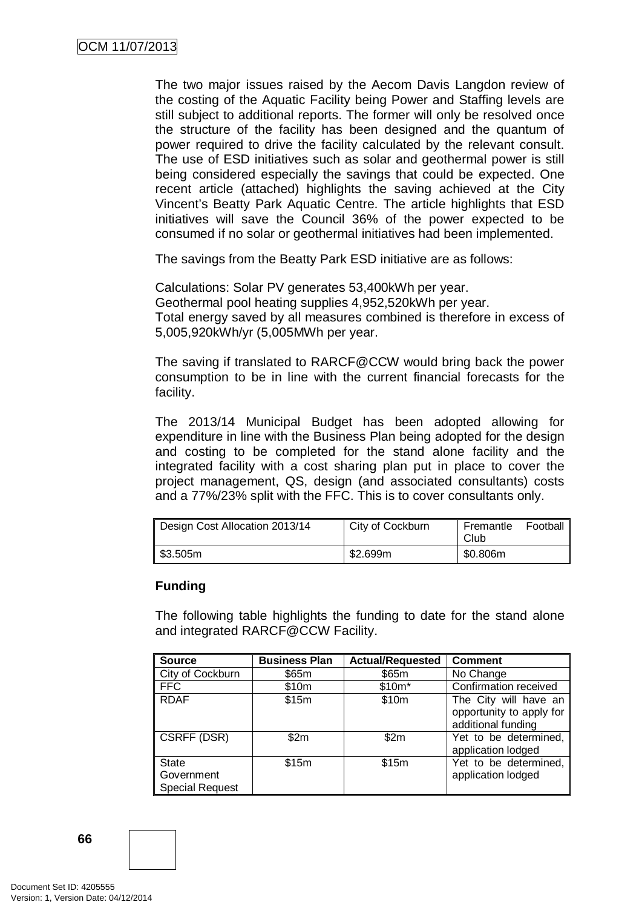The two major issues raised by the Aecom Davis Langdon review of the costing of the Aquatic Facility being Power and Staffing levels are still subject to additional reports. The former will only be resolved once the structure of the facility has been designed and the quantum of power required to drive the facility calculated by the relevant consult. The use of ESD initiatives such as solar and geothermal power is still being considered especially the savings that could be expected. One recent article (attached) highlights the saving achieved at the City Vincent's Beatty Park Aquatic Centre. The article highlights that ESD initiatives will save the Council 36% of the power expected to be consumed if no solar or geothermal initiatives had been implemented.

The savings from the Beatty Park ESD initiative are as follows:

Calculations: Solar PV generates 53,400kWh per year. Geothermal pool heating supplies 4,952,520kWh per year. Total energy saved by all measures combined is therefore in excess of 5,005,920kWh/yr (5,005MWh per year.

The saving if translated to RARCF@CCW would bring back the power consumption to be in line with the current financial forecasts for the facility.

The 2013/14 Municipal Budget has been adopted allowing for expenditure in line with the Business Plan being adopted for the design and costing to be completed for the stand alone facility and the integrated facility with a cost sharing plan put in place to cover the project management, QS, design (and associated consultants) costs and a 77%/23% split with the FFC. This is to cover consultants only.

| Design Cost Allocation 2013/14 | City of Cockburn | Fremantle<br>Club | Football |
|--------------------------------|------------------|-------------------|----------|
| \$3.505m                       | \$2.699m         | \$0.806m          |          |

## **Funding**

The following table highlights the funding to date for the stand alone and integrated RARCF@CCW Facility.

| <b>Source</b>                                        | <b>Business Plan</b> | <b>Actual/Requested</b> | <b>Comment</b>                                                          |
|------------------------------------------------------|----------------------|-------------------------|-------------------------------------------------------------------------|
| City of Cockburn                                     | \$65m                | \$65m                   | No Change                                                               |
| <b>FFC</b>                                           | \$10m                | \$10m*                  | Confirmation received                                                   |
| <b>RDAF</b>                                          | \$15m                | \$10m                   | The City will have an<br>opportunity to apply for<br>additional funding |
| CSRFF (DSR)                                          | \$2m                 | \$2m                    | Yet to be determined,<br>application lodged                             |
| <b>State</b><br>Government<br><b>Special Request</b> | \$15m                | \$15m                   | Yet to be determined,<br>application lodged                             |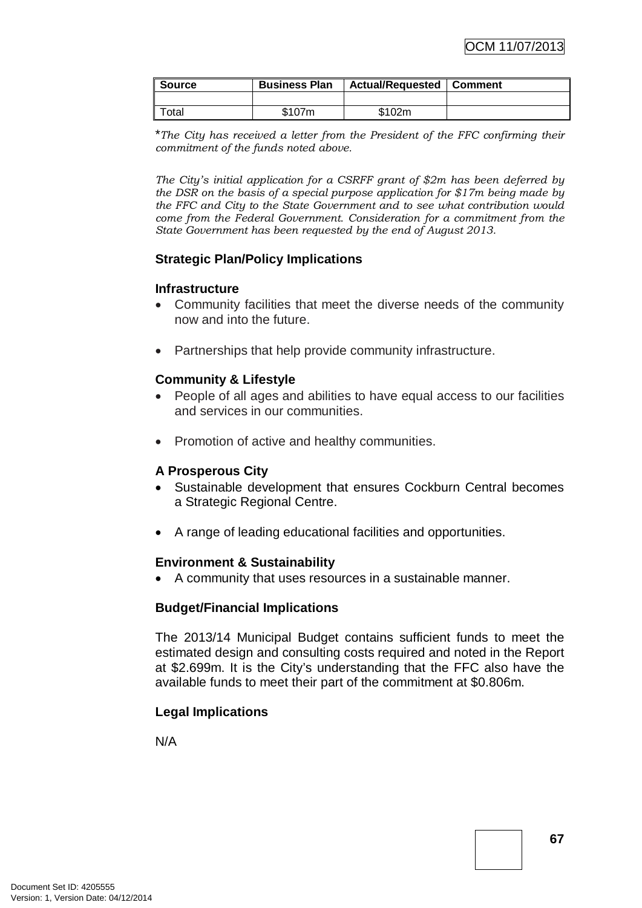| <b>Source</b> | <b>Business Plan</b> | Actual/Requested   Comment |  |
|---------------|----------------------|----------------------------|--|
|               |                      |                            |  |
| $\tau$ otal   | \$107m               | \$102m                     |  |

\**The City has received a letter from the President of the FFC confirming their commitment of the funds noted above.*

*The City's initial application for a CSRFF grant of \$2m has been deferred by the DSR on the basis of a special purpose application for \$17m being made by the FFC and City to the State Government and to see what contribution would come from the Federal Government. Consideration for a commitment from the State Government has been requested by the end of August 2013.*

## **Strategic Plan/Policy Implications**

#### **Infrastructure**

- Community facilities that meet the diverse needs of the community now and into the future.
- Partnerships that help provide community infrastructure.

## **Community & Lifestyle**

- People of all ages and abilities to have equal access to our facilities and services in our communities.
- Promotion of active and healthy communities.

## **A Prosperous City**

- Sustainable development that ensures Cockburn Central becomes a Strategic Regional Centre.
- A range of leading educational facilities and opportunities.

#### **Environment & Sustainability**

• A community that uses resources in a sustainable manner.

#### **Budget/Financial Implications**

The 2013/14 Municipal Budget contains sufficient funds to meet the estimated design and consulting costs required and noted in the Report at \$2.699m. It is the City's understanding that the FFC also have the available funds to meet their part of the commitment at \$0.806m.

## **Legal Implications**

N/A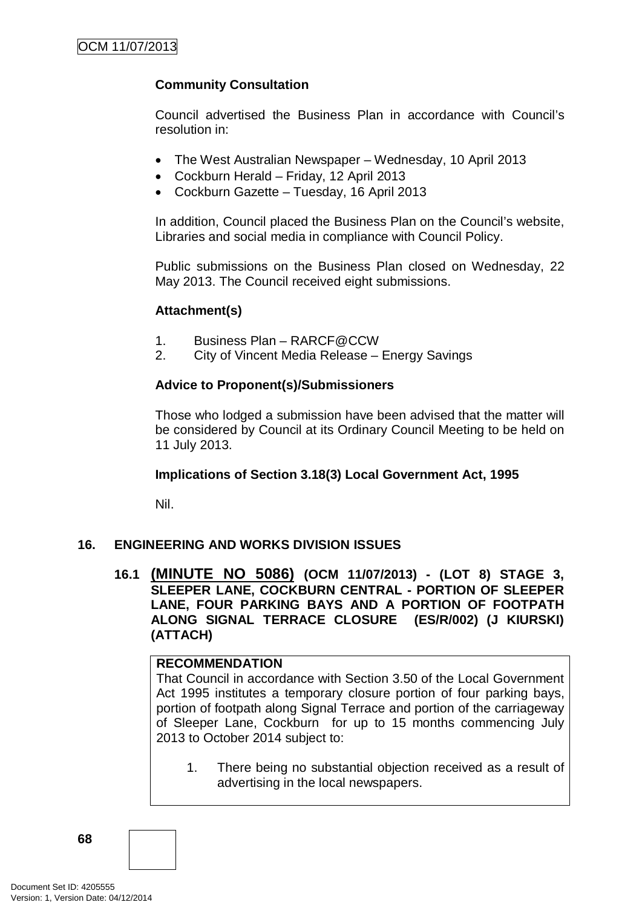# **Community Consultation**

Council advertised the Business Plan in accordance with Council's resolution in:

- The West Australian Newspaper Wednesday, 10 April 2013
- Cockburn Herald Friday, 12 April 2013
- Cockburn Gazette Tuesday, 16 April 2013

In addition, Council placed the Business Plan on the Council's website, Libraries and social media in compliance with Council Policy.

Public submissions on the Business Plan closed on Wednesday, 22 May 2013. The Council received eight submissions.

## **Attachment(s)**

- 1. Business Plan RARCF@CCW
- 2. City of Vincent Media Release Energy Savings

## **Advice to Proponent(s)/Submissioners**

Those who lodged a submission have been advised that the matter will be considered by Council at its Ordinary Council Meeting to be held on 11 July 2013.

#### **Implications of Section 3.18(3) Local Government Act, 1995**

Nil.

## **16. ENGINEERING AND WORKS DIVISION ISSUES**

**16.1 (MINUTE NO 5086) (OCM 11/07/2013) - (LOT 8) STAGE 3, SLEEPER LANE, COCKBURN CENTRAL - PORTION OF SLEEPER LANE, FOUR PARKING BAYS AND A PORTION OF FOOTPATH ALONG SIGNAL TERRACE CLOSURE (ES/R/002) (J KIURSKI) (ATTACH)**

#### **RECOMMENDATION**

That Council in accordance with Section 3.50 of the Local Government Act 1995 institutes a temporary closure portion of four parking bays, portion of footpath along Signal Terrace and portion of the carriageway of Sleeper Lane, Cockburn for up to 15 months commencing July 2013 to October 2014 subject to:

1. There being no substantial objection received as a result of advertising in the local newspapers.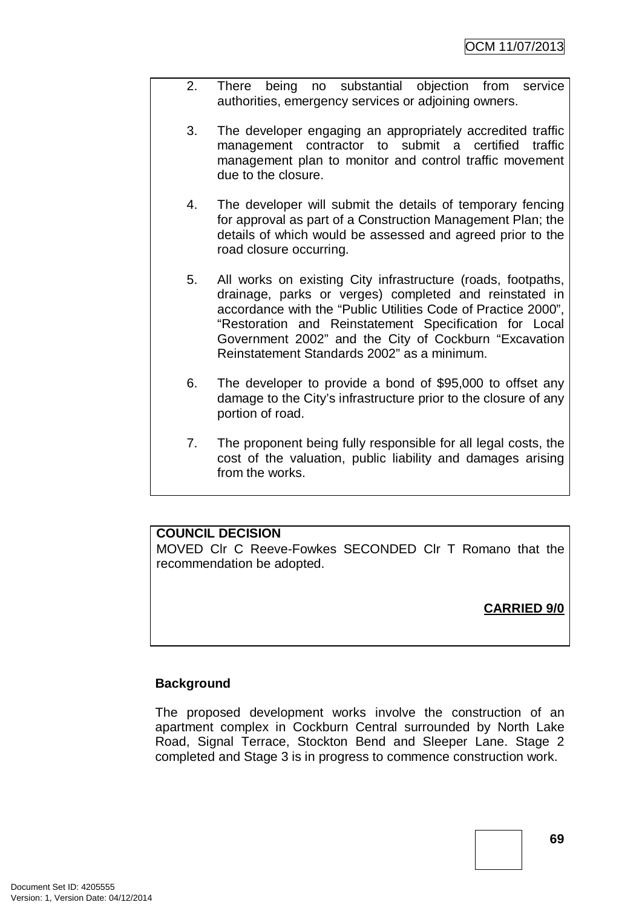- 2. There being no substantial objection from service authorities, emergency services or adjoining owners.
- 3. The developer engaging an appropriately accredited traffic management contractor to submit a certified traffic management plan to monitor and control traffic movement due to the closure.
- 4. The developer will submit the details of temporary fencing for approval as part of a Construction Management Plan; the details of which would be assessed and agreed prior to the road closure occurring.
- 5. All works on existing City infrastructure (roads, footpaths, drainage, parks or verges) completed and reinstated in accordance with the "Public Utilities Code of Practice 2000", "Restoration and Reinstatement Specification for Local Government 2002" and the City of Cockburn "Excavation Reinstatement Standards 2002" as a minimum.
- 6. The developer to provide a bond of \$95,000 to offset any damage to the City's infrastructure prior to the closure of any portion of road.
- 7. The proponent being fully responsible for all legal costs, the cost of the valuation, public liability and damages arising from the works.

# **COUNCIL DECISION**

MOVED Clr C Reeve-Fowkes SECONDED Clr T Romano that the recommendation be adopted.

# **CARRIED 9/0**

# **Background**

The proposed development works involve the construction of an apartment complex in Cockburn Central surrounded by North Lake Road, Signal Terrace, Stockton Bend and Sleeper Lane. Stage 2 completed and Stage 3 is in progress to commence construction work.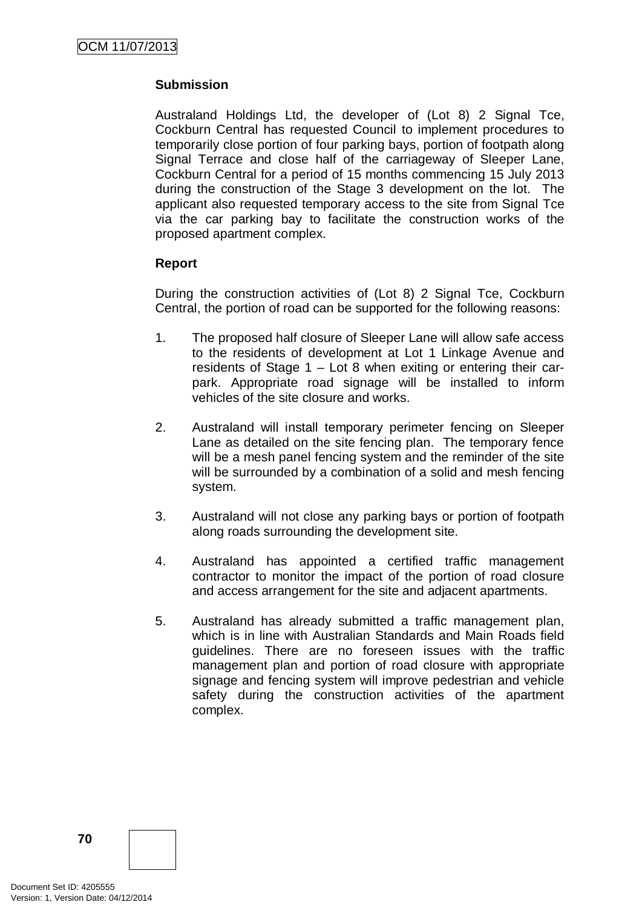# **Submission**

Australand Holdings Ltd, the developer of (Lot 8) 2 Signal Tce, Cockburn Central has requested Council to implement procedures to temporarily close portion of four parking bays, portion of footpath along Signal Terrace and close half of the carriageway of Sleeper Lane, Cockburn Central for a period of 15 months commencing 15 July 2013 during the construction of the Stage 3 development on the lot. The applicant also requested temporary access to the site from Signal Tce via the car parking bay to facilitate the construction works of the proposed apartment complex.

# **Report**

During the construction activities of (Lot 8) 2 Signal Tce, Cockburn Central, the portion of road can be supported for the following reasons:

- 1. The proposed half closure of Sleeper Lane will allow safe access to the residents of development at Lot 1 Linkage Avenue and residents of Stage 1 – Lot 8 when exiting or entering their carpark. Appropriate road signage will be installed to inform vehicles of the site closure and works.
- 2. Australand will install temporary perimeter fencing on Sleeper Lane as detailed on the site fencing plan. The temporary fence will be a mesh panel fencing system and the reminder of the site will be surrounded by a combination of a solid and mesh fencing system.
- 3. Australand will not close any parking bays or portion of footpath along roads surrounding the development site.
- 4. Australand has appointed a certified traffic management contractor to monitor the impact of the portion of road closure and access arrangement for the site and adjacent apartments.
- 5. Australand has already submitted a traffic management plan, which is in line with Australian Standards and Main Roads field guidelines. There are no foreseen issues with the traffic management plan and portion of road closure with appropriate signage and fencing system will improve pedestrian and vehicle safety during the construction activities of the apartment complex.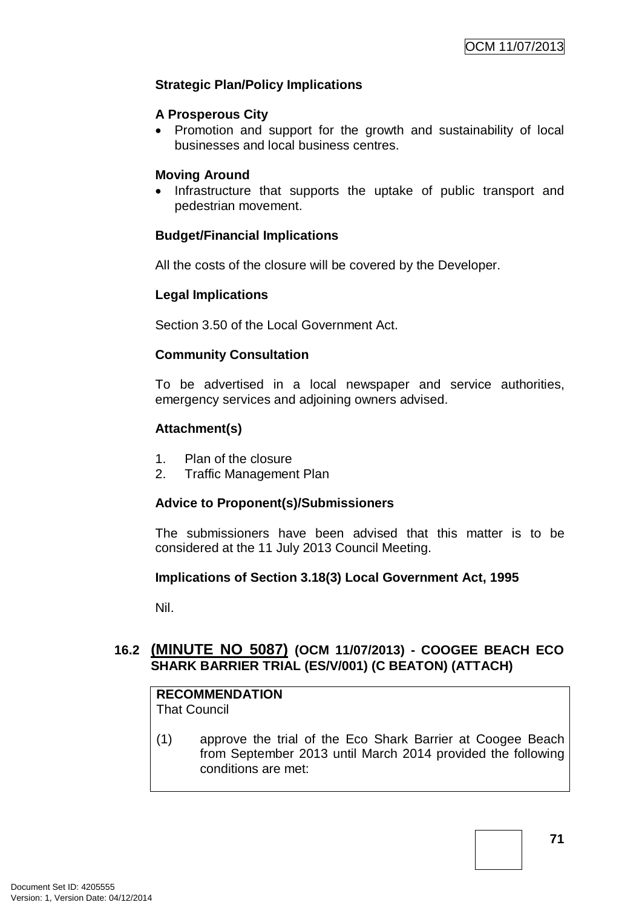# **Strategic Plan/Policy Implications**

# **A Prosperous City**

• Promotion and support for the growth and sustainability of local businesses and local business centres.

# **Moving Around**

• Infrastructure that supports the uptake of public transport and pedestrian movement.

# **Budget/Financial Implications**

All the costs of the closure will be covered by the Developer.

# **Legal Implications**

Section 3.50 of the Local Government Act.

# **Community Consultation**

To be advertised in a local newspaper and service authorities, emergency services and adjoining owners advised.

# **Attachment(s)**

- 1. Plan of the closure
- 2. Traffic Management Plan

# **Advice to Proponent(s)/Submissioners**

The submissioners have been advised that this matter is to be considered at the 11 July 2013 Council Meeting.

# **Implications of Section 3.18(3) Local Government Act, 1995**

Nil.

# **16.2 (MINUTE NO 5087) (OCM 11/07/2013) - COOGEE BEACH ECO SHARK BARRIER TRIAL (ES/V/001) (C BEATON) (ATTACH)**

# **RECOMMENDATION**

That Council

(1) approve the trial of the Eco Shark Barrier at Coogee Beach from September 2013 until March 2014 provided the following conditions are met: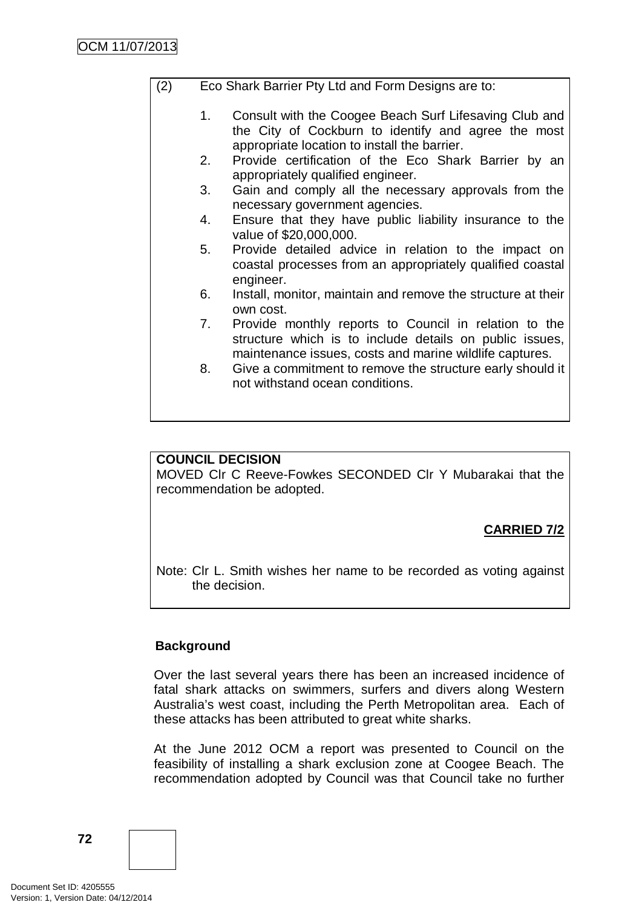- (2) Eco Shark Barrier Pty Ltd and Form Designs are to:
	- 1. Consult with the Coogee Beach Surf Lifesaving Club and the City of Cockburn to identify and agree the most appropriate location to install the barrier.
	- 2. Provide certification of the Eco Shark Barrier by an appropriately qualified engineer.
	- 3. Gain and comply all the necessary approvals from the necessary government agencies.
	- 4. Ensure that they have public liability insurance to the value of \$20,000,000.
	- 5. Provide detailed advice in relation to the impact on coastal processes from an appropriately qualified coastal engineer.
	- 6. Install, monitor, maintain and remove the structure at their own cost.
	- 7. Provide monthly reports to Council in relation to the structure which is to include details on public issues, maintenance issues, costs and marine wildlife captures.
	- 8. Give a commitment to remove the structure early should it not withstand ocean conditions.

# **COUNCIL DECISION**

MOVED Clr C Reeve-Fowkes SECONDED Clr Y Mubarakai that the recommendation be adopted.

# **CARRIED 7/2**

Note: Clr L. Smith wishes her name to be recorded as voting against the decision.

# **Background**

Over the last several years there has been an increased incidence of fatal shark attacks on swimmers, surfers and divers along Western Australia's west coast, including the Perth Metropolitan area. Each of these attacks has been attributed to great white sharks.

At the June 2012 OCM a report was presented to Council on the feasibility of installing a shark exclusion zone at Coogee Beach. The recommendation adopted by Council was that Council take no further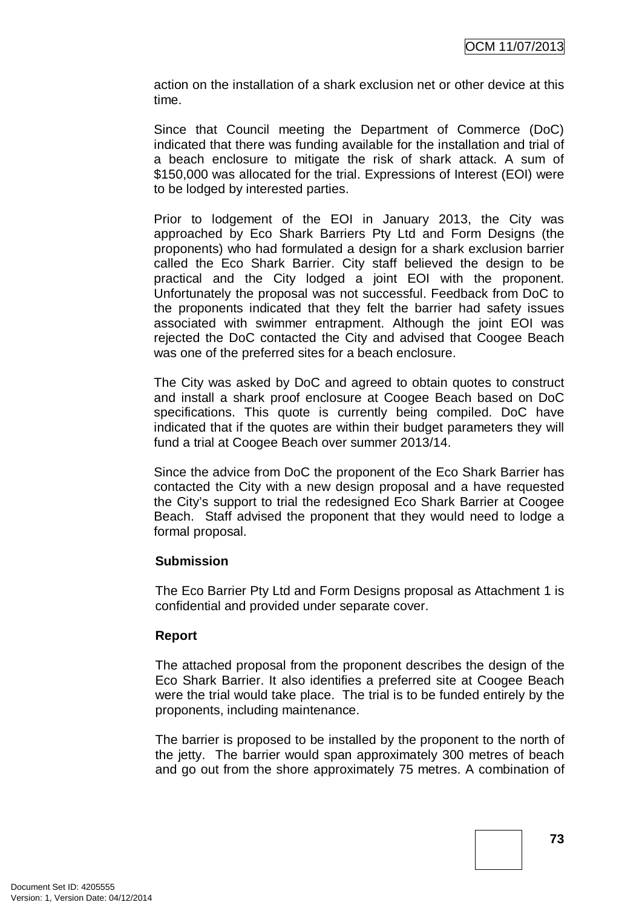action on the installation of a shark exclusion net or other device at this time.

Since that Council meeting the Department of Commerce (DoC) indicated that there was funding available for the installation and trial of a beach enclosure to mitigate the risk of shark attack. A sum of \$150,000 was allocated for the trial. Expressions of Interest (EOI) were to be lodged by interested parties.

Prior to lodgement of the EOI in January 2013, the City was approached by Eco Shark Barriers Pty Ltd and Form Designs (the proponents) who had formulated a design for a shark exclusion barrier called the Eco Shark Barrier. City staff believed the design to be practical and the City lodged a joint EOI with the proponent. Unfortunately the proposal was not successful. Feedback from DoC to the proponents indicated that they felt the barrier had safety issues associated with swimmer entrapment. Although the joint EOI was rejected the DoC contacted the City and advised that Coogee Beach was one of the preferred sites for a beach enclosure.

The City was asked by DoC and agreed to obtain quotes to construct and install a shark proof enclosure at Coogee Beach based on DoC specifications. This quote is currently being compiled. DoC have indicated that if the quotes are within their budget parameters they will fund a trial at Coogee Beach over summer 2013/14.

Since the advice from DoC the proponent of the Eco Shark Barrier has contacted the City with a new design proposal and a have requested the City's support to trial the redesigned Eco Shark Barrier at Coogee Beach. Staff advised the proponent that they would need to lodge a formal proposal.

# **Submission**

The Eco Barrier Pty Ltd and Form Designs proposal as Attachment 1 is confidential and provided under separate cover.

# **Report**

The attached proposal from the proponent describes the design of the Eco Shark Barrier. It also identifies a preferred site at Coogee Beach were the trial would take place. The trial is to be funded entirely by the proponents, including maintenance.

The barrier is proposed to be installed by the proponent to the north of the jetty. The barrier would span approximately 300 metres of beach and go out from the shore approximately 75 metres. A combination of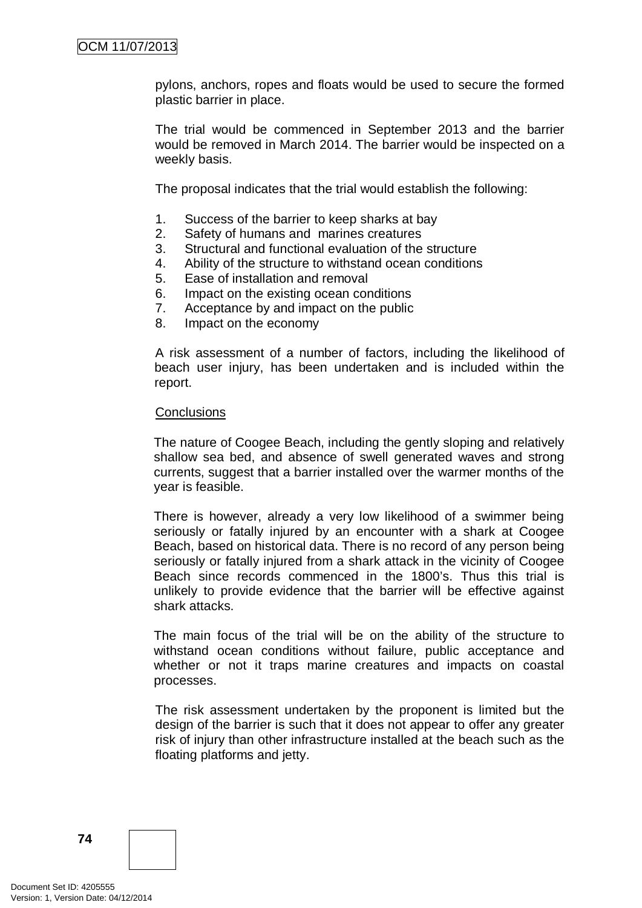pylons, anchors, ropes and floats would be used to secure the formed plastic barrier in place.

The trial would be commenced in September 2013 and the barrier would be removed in March 2014. The barrier would be inspected on a weekly basis.

The proposal indicates that the trial would establish the following:

- 1. Success of the barrier to keep sharks at bay
- 2. Safety of humans and marines creatures
- 3. Structural and functional evaluation of the structure
- 4. Ability of the structure to withstand ocean conditions
- 5. Ease of installation and removal
- 6. Impact on the existing ocean conditions
- 7. Acceptance by and impact on the public
- 8. Impact on the economy

A risk assessment of a number of factors, including the likelihood of beach user injury, has been undertaken and is included within the report.

#### **Conclusions**

The nature of Coogee Beach, including the gently sloping and relatively shallow sea bed, and absence of swell generated waves and strong currents, suggest that a barrier installed over the warmer months of the year is feasible.

There is however, already a very low likelihood of a swimmer being seriously or fatally injured by an encounter with a shark at Coogee Beach, based on historical data. There is no record of any person being seriously or fatally injured from a shark attack in the vicinity of Coogee Beach since records commenced in the 1800's. Thus this trial is unlikely to provide evidence that the barrier will be effective against shark attacks.

The main focus of the trial will be on the ability of the structure to withstand ocean conditions without failure, public acceptance and whether or not it traps marine creatures and impacts on coastal processes.

The risk assessment undertaken by the proponent is limited but the design of the barrier is such that it does not appear to offer any greater risk of injury than other infrastructure installed at the beach such as the floating platforms and jetty.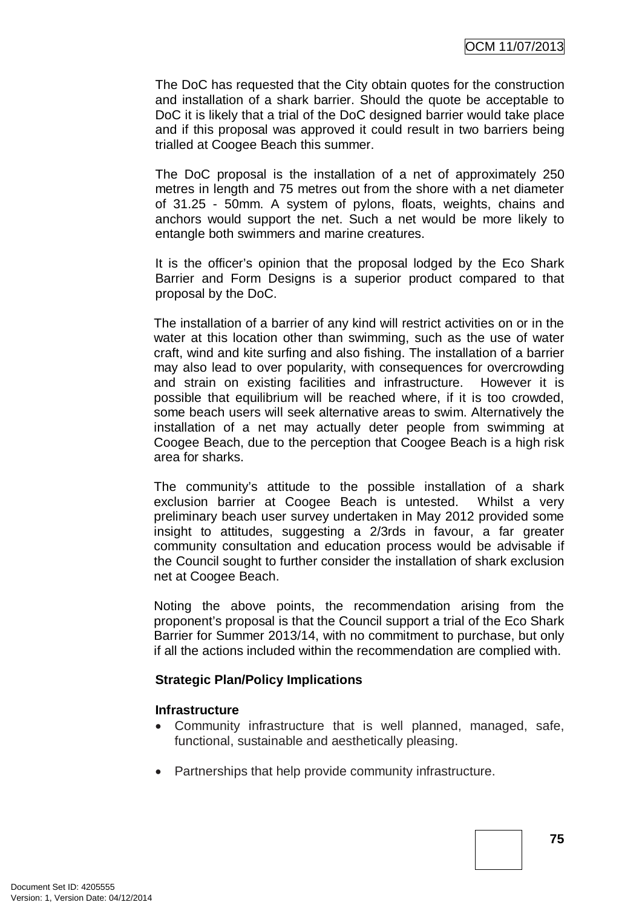The DoC has requested that the City obtain quotes for the construction and installation of a shark barrier. Should the quote be acceptable to DoC it is likely that a trial of the DoC designed barrier would take place and if this proposal was approved it could result in two barriers being trialled at Coogee Beach this summer.

The DoC proposal is the installation of a net of approximately 250 metres in length and 75 metres out from the shore with a net diameter of 31.25 - 50mm. A system of pylons, floats, weights, chains and anchors would support the net. Such a net would be more likely to entangle both swimmers and marine creatures.

It is the officer's opinion that the proposal lodged by the Eco Shark Barrier and Form Designs is a superior product compared to that proposal by the DoC.

The installation of a barrier of any kind will restrict activities on or in the water at this location other than swimming, such as the use of water craft, wind and kite surfing and also fishing. The installation of a barrier may also lead to over popularity, with consequences for overcrowding and strain on existing facilities and infrastructure. However it is possible that equilibrium will be reached where, if it is too crowded, some beach users will seek alternative areas to swim. Alternatively the installation of a net may actually deter people from swimming at Coogee Beach, due to the perception that Coogee Beach is a high risk area for sharks.

The community's attitude to the possible installation of a shark exclusion barrier at Coogee Beach is untested. Whilst a very preliminary beach user survey undertaken in May 2012 provided some insight to attitudes, suggesting a 2/3rds in favour, a far greater community consultation and education process would be advisable if the Council sought to further consider the installation of shark exclusion net at Coogee Beach.

Noting the above points, the recommendation arising from the proponent's proposal is that the Council support a trial of the Eco Shark Barrier for Summer 2013/14, with no commitment to purchase, but only if all the actions included within the recommendation are complied with.

# **Strategic Plan/Policy Implications**

# **Infrastructure**

- Community infrastructure that is well planned, managed, safe, functional, sustainable and aesthetically pleasing.
- Partnerships that help provide community infrastructure.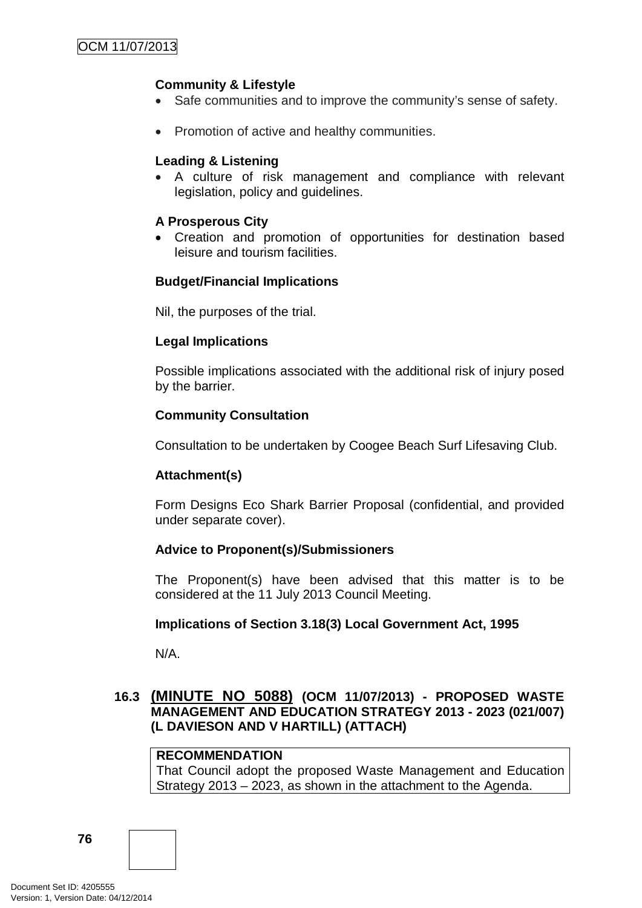# **Community & Lifestyle**

- Safe communities and to improve the community's sense of safety.
- Promotion of active and healthy communities.

# **Leading & Listening**

• A culture of risk management and compliance with relevant legislation, policy and guidelines.

# **A Prosperous City**

• Creation and promotion of opportunities for destination based leisure and tourism facilities.

# **Budget/Financial Implications**

Nil, the purposes of the trial.

# **Legal Implications**

Possible implications associated with the additional risk of injury posed by the barrier.

# **Community Consultation**

Consultation to be undertaken by Coogee Beach Surf Lifesaving Club.

# **Attachment(s)**

Form Designs Eco Shark Barrier Proposal (confidential, and provided under separate cover).

# **Advice to Proponent(s)/Submissioners**

The Proponent(s) have been advised that this matter is to be considered at the 11 July 2013 Council Meeting.

# **Implications of Section 3.18(3) Local Government Act, 1995**

N/A.

# **16.3 (MINUTE NO 5088) (OCM 11/07/2013) - PROPOSED WASTE MANAGEMENT AND EDUCATION STRATEGY 2013 - 2023 (021/007) (L DAVIESON AND V HARTILL) (ATTACH)**

# **RECOMMENDATION**

That Council adopt the proposed Waste Management and Education Strategy 2013 – 2023, as shown in the attachment to the Agenda.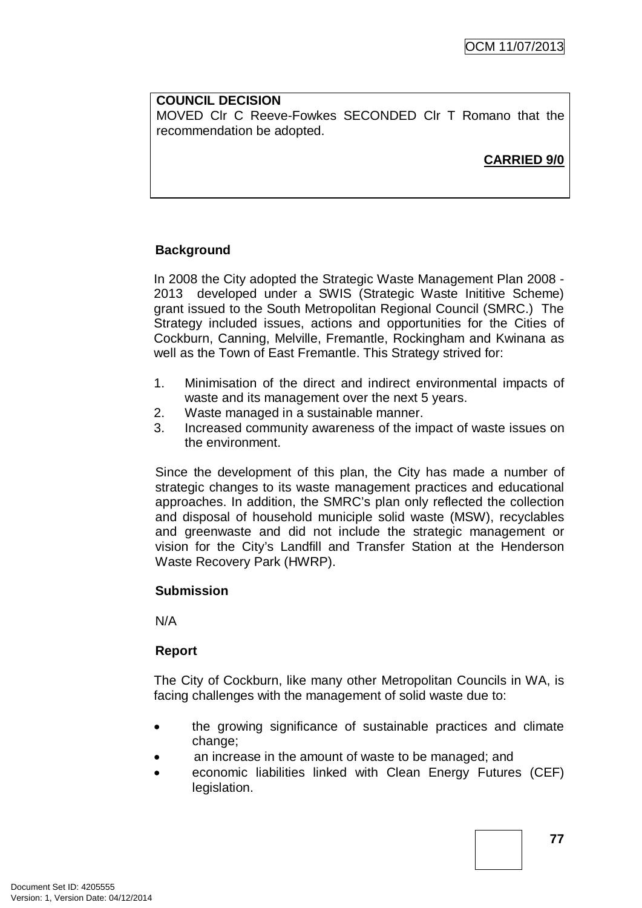# **COUNCIL DECISION** MOVED Clr C Reeve-Fowkes SECONDED Clr T Romano that the recommendation be adopted.

# **CARRIED 9/0**

# **Background**

In 2008 the City adopted the Strategic Waste Management Plan 2008 - 2013 developed under a SWIS (Strategic Waste Inititive Scheme) grant issued to the South Metropolitan Regional Council (SMRC.) The Strategy included issues, actions and opportunities for the Cities of Cockburn, Canning, Melville, Fremantle, Rockingham and Kwinana as well as the Town of East Fremantle. This Strategy strived for:

- 1. Minimisation of the direct and indirect environmental impacts of waste and its management over the next 5 years.
- 2. Waste managed in a sustainable manner.
- 3. Increased community awareness of the impact of waste issues on the environment.

Since the development of this plan, the City has made a number of strategic changes to its waste management practices and educational approaches. In addition, the SMRC's plan only reflected the collection and disposal of household municiple solid waste (MSW), recyclables and greenwaste and did not include the strategic management or vision for the City's Landfill and Transfer Station at the Henderson Waste Recovery Park (HWRP).

# **Submission**

N/A

# **Report**

The City of Cockburn, like many other Metropolitan Councils in WA, is facing challenges with the management of solid waste due to:

- the growing significance of sustainable practices and climate change:
- an increase in the amount of waste to be managed; and
- economic liabilities linked with Clean Energy Futures (CEF) legislation.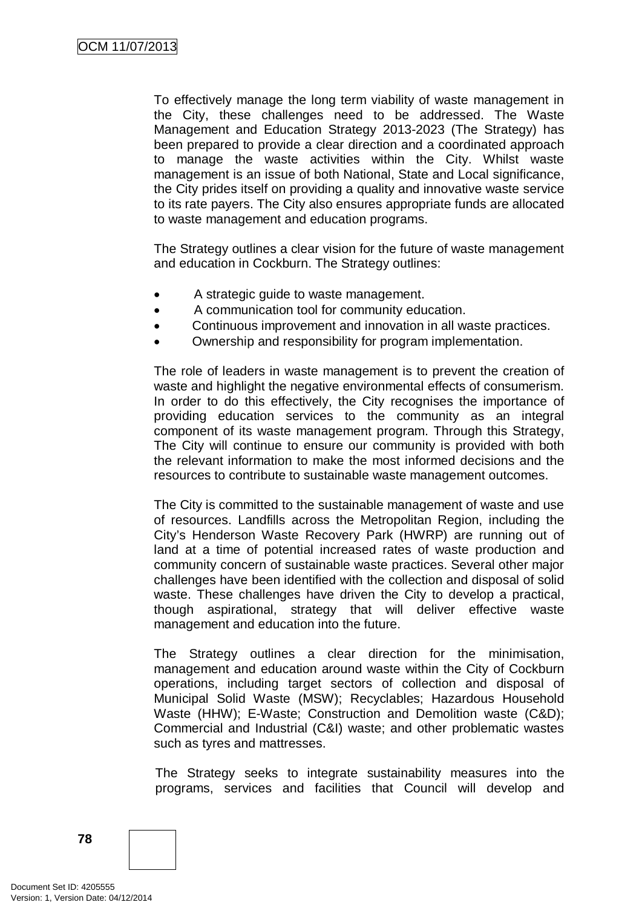To effectively manage the long term viability of waste management in the City, these challenges need to be addressed. The Waste Management and Education Strategy 2013-2023 (The Strategy) has been prepared to provide a clear direction and a coordinated approach to manage the waste activities within the City. Whilst waste management is an issue of both National, State and Local significance, the City prides itself on providing a quality and innovative waste service to its rate payers. The City also ensures appropriate funds are allocated to waste management and education programs.

The Strategy outlines a clear vision for the future of waste management and education in Cockburn. The Strategy outlines:

- A strategic guide to waste management.
- A communication tool for community education.
- Continuous improvement and innovation in all waste practices.
- Ownership and responsibility for program implementation.

The role of leaders in waste management is to prevent the creation of waste and highlight the negative environmental effects of consumerism. In order to do this effectively, the City recognises the importance of providing education services to the community as an integral component of its waste management program. Through this Strategy, The City will continue to ensure our community is provided with both the relevant information to make the most informed decisions and the resources to contribute to sustainable waste management outcomes.

The City is committed to the sustainable management of waste and use of resources. Landfills across the Metropolitan Region, including the City's Henderson Waste Recovery Park (HWRP) are running out of land at a time of potential increased rates of waste production and community concern of sustainable waste practices. Several other major challenges have been identified with the collection and disposal of solid waste. These challenges have driven the City to develop a practical, though aspirational, strategy that will deliver effective waste management and education into the future.

The Strategy outlines a clear direction for the minimisation, management and education around waste within the City of Cockburn operations, including target sectors of collection and disposal of Municipal Solid Waste (MSW); Recyclables; Hazardous Household Waste (HHW); E-Waste; Construction and Demolition waste (C&D); Commercial and Industrial (C&I) waste; and other problematic wastes such as tyres and mattresses.

The Strategy seeks to integrate sustainability measures into the programs, services and facilities that Council will develop and

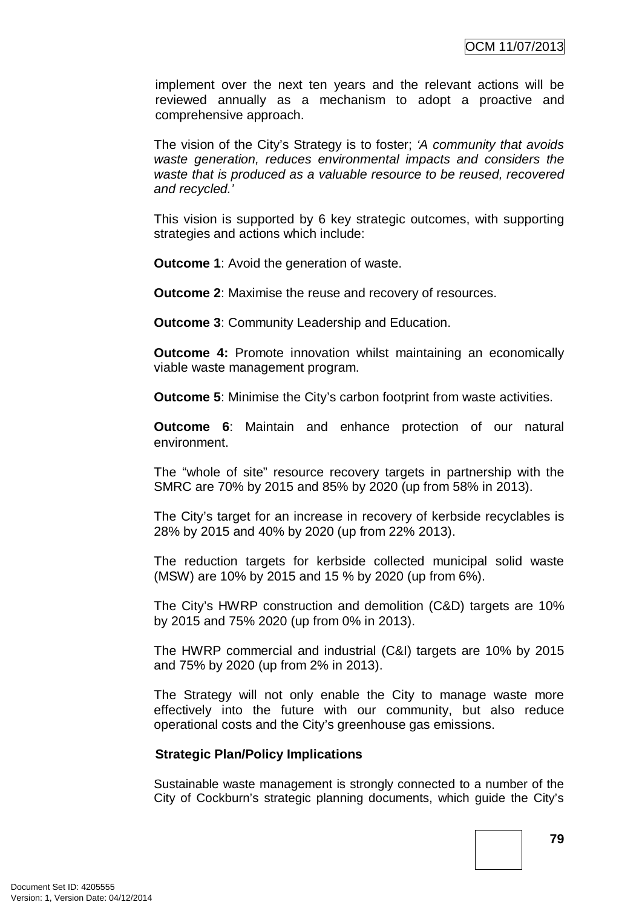implement over the next ten years and the relevant actions will be reviewed annually as a mechanism to adopt a proactive and comprehensive approach.

The vision of the City's Strategy is to foster; *'A community that avoids waste generation, reduces environmental impacts and considers the waste that is produced as a valuable resource to be reused, recovered and recycled.'*

This vision is supported by 6 key strategic outcomes, with supporting strategies and actions which include:

**Outcome 1**: Avoid the generation of waste.

**Outcome 2**: Maximise the reuse and recovery of resources.

**Outcome 3**: Community Leadership and Education.

**Outcome 4:** Promote innovation whilst maintaining an economically viable waste management program.

**Outcome 5**: Minimise the City's carbon footprint from waste activities.

**Outcome 6**: Maintain and enhance protection of our natural environment.

The "whole of site" resource recovery targets in partnership with the SMRC are 70% by 2015 and 85% by 2020 (up from 58% in 2013).

The City's target for an increase in recovery of kerbside recyclables is 28% by 2015 and 40% by 2020 (up from 22% 2013).

The reduction targets for kerbside collected municipal solid waste (MSW) are 10% by 2015 and 15 % by 2020 (up from 6%).

The City's HWRP construction and demolition (C&D) targets are 10% by 2015 and 75% 2020 (up from 0% in 2013).

The HWRP commercial and industrial (C&I) targets are 10% by 2015 and 75% by 2020 (up from 2% in 2013).

The Strategy will not only enable the City to manage waste more effectively into the future with our community, but also reduce operational costs and the City's greenhouse gas emissions.

#### **Strategic Plan/Policy Implications**

Sustainable waste management is strongly connected to a number of the City of Cockburn's strategic planning documents, which guide the City's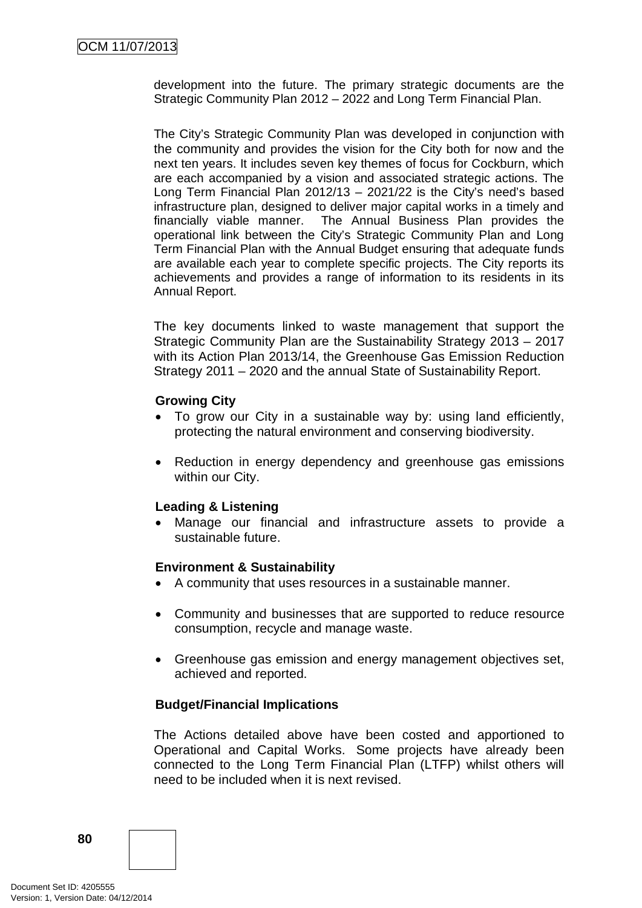development into the future. The primary strategic documents are the Strategic Community Plan 2012 – 2022 and Long Term Financial Plan.

The City's Strategic Community Plan was developed in conjunction with the community and provides the vision for the City both for now and the next ten years. It includes seven key themes of focus for Cockburn, which are each accompanied by a vision and associated strategic actions. The Long Term Financial Plan 2012/13 – 2021/22 is the City's need's based infrastructure plan, designed to deliver major capital works in a timely and financially viable manner. The Annual Business Plan provides the operational link between the City's Strategic Community Plan and Long Term Financial Plan with the Annual Budget ensuring that adequate funds are available each year to complete specific projects. The City reports its achievements and provides a range of information to its residents in its Annual Report.

The key documents linked to waste management that support the Strategic Community Plan are the Sustainability Strategy 2013 – 2017 with its Action Plan 2013/14, the Greenhouse Gas Emission Reduction Strategy 2011 – 2020 and the annual State of Sustainability Report.

#### **Growing City**

- To grow our City in a sustainable way by: using land efficiently, protecting the natural environment and conserving biodiversity.
- Reduction in energy dependency and greenhouse gas emissions within our City.

# **Leading & Listening**

Manage our financial and infrastructure assets to provide a sustainable future.

#### **Environment & Sustainability**

- A community that uses resources in a sustainable manner.
- Community and businesses that are supported to reduce resource consumption, recycle and manage waste.
- Greenhouse gas emission and energy management objectives set, achieved and reported.

# **Budget/Financial Implications**

The Actions detailed above have been costed and apportioned to Operational and Capital Works. Some projects have already been connected to the Long Term Financial Plan (LTFP) whilst others will need to be included when it is next revised.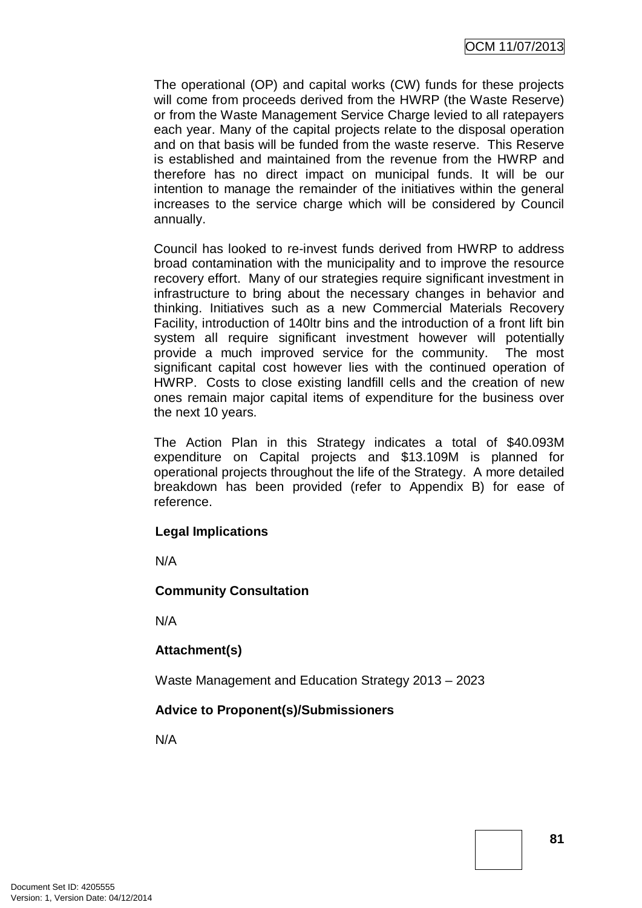The operational (OP) and capital works (CW) funds for these projects will come from proceeds derived from the HWRP (the Waste Reserve) or from the Waste Management Service Charge levied to all ratepayers each year. Many of the capital projects relate to the disposal operation and on that basis will be funded from the waste reserve. This Reserve is established and maintained from the revenue from the HWRP and therefore has no direct impact on municipal funds. It will be our intention to manage the remainder of the initiatives within the general increases to the service charge which will be considered by Council annually.

Council has looked to re-invest funds derived from HWRP to address broad contamination with the municipality and to improve the resource recovery effort. Many of our strategies require significant investment in infrastructure to bring about the necessary changes in behavior and thinking. Initiatives such as a new Commercial Materials Recovery Facility, introduction of 140ltr bins and the introduction of a front lift bin system all require significant investment however will potentially provide a much improved service for the community. The most significant capital cost however lies with the continued operation of HWRP. Costs to close existing landfill cells and the creation of new ones remain major capital items of expenditure for the business over the next 10 years.

The Action Plan in this Strategy indicates a total of \$40.093M expenditure on Capital projects and \$13.109M is planned for operational projects throughout the life of the Strategy. A more detailed breakdown has been provided (refer to Appendix B) for ease of reference.

# **Legal Implications**

N/A

# **Community Consultation**

N/A

# **Attachment(s)**

Waste Management and Education Strategy 2013 – 2023

# **Advice to Proponent(s)/Submissioners**

N/A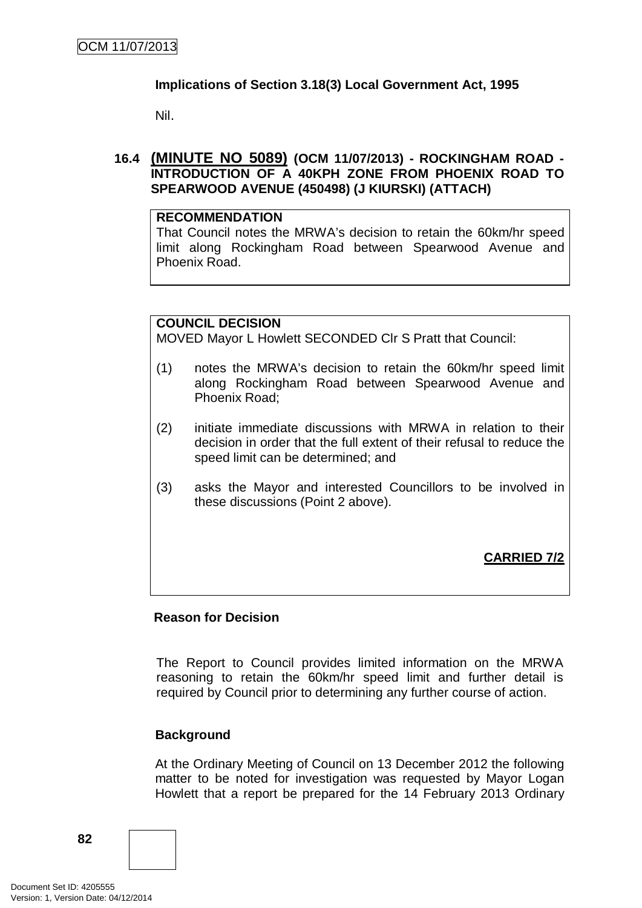#### **Implications of Section 3.18(3) Local Government Act, 1995**

Nil.

# **16.4 (MINUTE NO 5089) (OCM 11/07/2013) - ROCKINGHAM ROAD - INTRODUCTION OF A 40KPH ZONE FROM PHOENIX ROAD TO SPEARWOOD AVENUE (450498) (J KIURSKI) (ATTACH)**

#### **RECOMMENDATION**

That Council notes the MRWA's decision to retain the 60km/hr speed limit along Rockingham Road between Spearwood Avenue and Phoenix Road.

#### **COUNCIL DECISION**

MOVED Mayor L Howlett SECONDED Clr S Pratt that Council:

- (1) notes the MRWA's decision to retain the 60km/hr speed limit along Rockingham Road between Spearwood Avenue and Phoenix Road;
- (2) initiate immediate discussions with MRWA in relation to their decision in order that the full extent of their refusal to reduce the speed limit can be determined; and
- (3) asks the Mayor and interested Councillors to be involved in these discussions (Point 2 above).

**CARRIED 7/2**

# **Reason for Decision**

The Report to Council provides limited information on the MRWA reasoning to retain the 60km/hr speed limit and further detail is required by Council prior to determining any further course of action.

# **Background**

At the Ordinary Meeting of Council on 13 December 2012 the following matter to be noted for investigation was requested by Mayor Logan Howlett that a report be prepared for the 14 February 2013 Ordinary

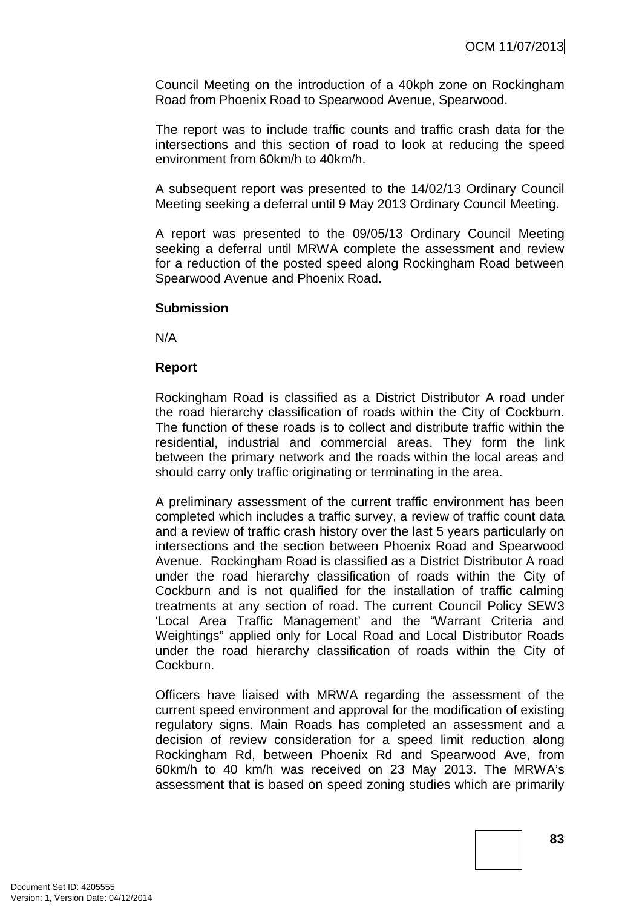Council Meeting on the introduction of a 40kph zone on Rockingham Road from Phoenix Road to Spearwood Avenue, Spearwood.

The report was to include traffic counts and traffic crash data for the intersections and this section of road to look at reducing the speed environment from 60km/h to 40km/h.

A subsequent report was presented to the 14/02/13 Ordinary Council Meeting seeking a deferral until 9 May 2013 Ordinary Council Meeting.

A report was presented to the 09/05/13 Ordinary Council Meeting seeking a deferral until MRWA complete the assessment and review for a reduction of the posted speed along Rockingham Road between Spearwood Avenue and Phoenix Road.

#### **Submission**

N/A

# **Report**

Rockingham Road is classified as a District Distributor A road under the road hierarchy classification of roads within the City of Cockburn. The function of these roads is to collect and distribute traffic within the residential, industrial and commercial areas. They form the link between the primary network and the roads within the local areas and should carry only traffic originating or terminating in the area.

A preliminary assessment of the current traffic environment has been completed which includes a traffic survey, a review of traffic count data and a review of traffic crash history over the last 5 years particularly on intersections and the section between Phoenix Road and Spearwood Avenue. Rockingham Road is classified as a District Distributor A road under the road hierarchy classification of roads within the City of Cockburn and is not qualified for the installation of traffic calming treatments at any section of road. The current Council Policy SEW3 'Local Area Traffic Management' and the "Warrant Criteria and Weightings" applied only for Local Road and Local Distributor Roads under the road hierarchy classification of roads within the City of Cockburn.

Officers have liaised with MRWA regarding the assessment of the current speed environment and approval for the modification of existing regulatory signs. Main Roads has completed an assessment and a decision of review consideration for a speed limit reduction along Rockingham Rd, between Phoenix Rd and Spearwood Ave, from 60km/h to 40 km/h was received on 23 May 2013. The MRWA's assessment that is based on speed zoning studies which are primarily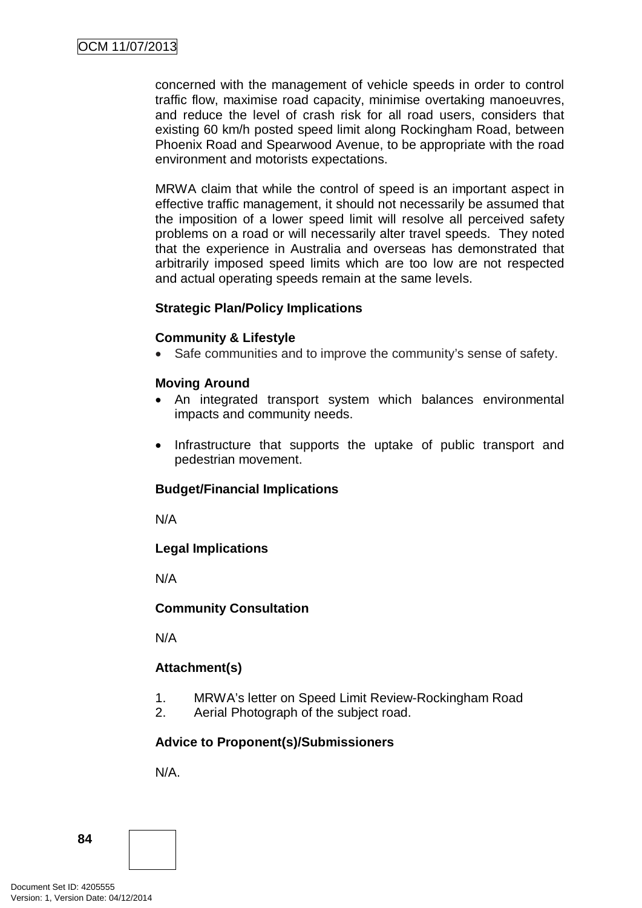concerned with the management of vehicle speeds in order to control traffic flow, maximise road capacity, minimise overtaking manoeuvres, and reduce the level of crash risk for all road users, considers that existing 60 km/h posted speed limit along Rockingham Road, between Phoenix Road and Spearwood Avenue, to be appropriate with the road environment and motorists expectations.

MRWA claim that while the control of speed is an important aspect in effective traffic management, it should not necessarily be assumed that the imposition of a lower speed limit will resolve all perceived safety problems on a road or will necessarily alter travel speeds. They noted that the experience in Australia and overseas has demonstrated that arbitrarily imposed speed limits which are too low are not respected and actual operating speeds remain at the same levels.

# **Strategic Plan/Policy Implications**

# **Community & Lifestyle**

Safe communities and to improve the community's sense of safety.

# **Moving Around**

- An integrated transport system which balances environmental impacts and community needs.
- Infrastructure that supports the uptake of public transport and pedestrian movement.

# **Budget/Financial Implications**

N/A

# **Legal Implications**

N/A

# **Community Consultation**

N/A

# **Attachment(s)**

- 1. MRWA's letter on Speed Limit Review-Rockingham Road
- 2. Aerial Photograph of the subject road.

# **Advice to Proponent(s)/Submissioners**

N/A.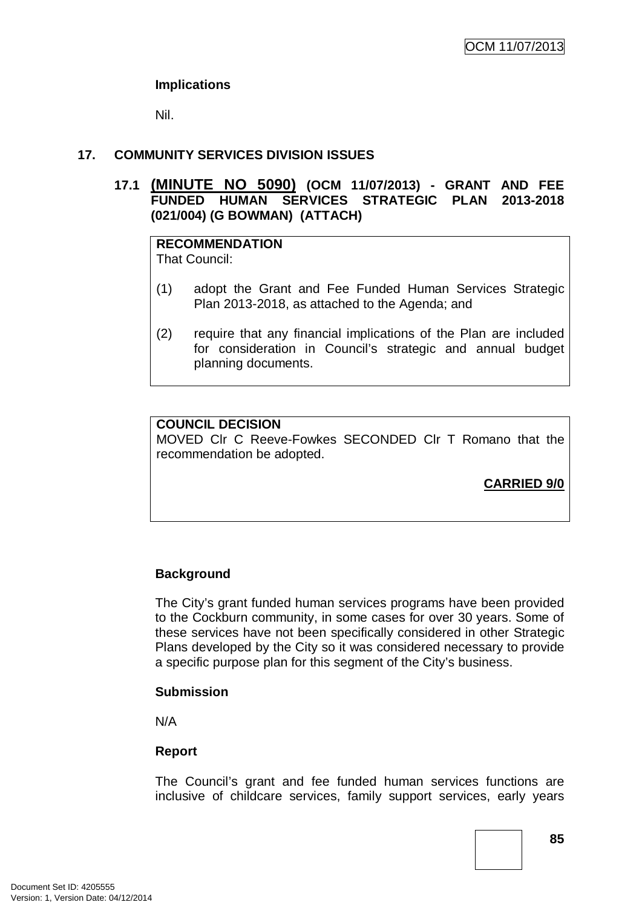# **Implications**

Nil.

# **17. COMMUNITY SERVICES DIVISION ISSUES**

**17.1 (MINUTE NO 5090) (OCM 11/07/2013) - GRANT AND FEE FUNDED HUMAN SERVICES STRATEGIC PLAN 2013-2018 (021/004) (G BOWMAN) (ATTACH)**

# **RECOMMENDATION**

That Council:

- (1) adopt the Grant and Fee Funded Human Services Strategic Plan 2013-2018, as attached to the Agenda; and
- (2) require that any financial implications of the Plan are included for consideration in Council's strategic and annual budget planning documents.

# **COUNCIL DECISION**

MOVED Clr C Reeve-Fowkes SECONDED Clr T Romano that the recommendation be adopted.

**CARRIED 9/0**

# **Background**

The City's grant funded human services programs have been provided to the Cockburn community, in some cases for over 30 years. Some of these services have not been specifically considered in other Strategic Plans developed by the City so it was considered necessary to provide a specific purpose plan for this segment of the City's business.

# **Submission**

N/A

# **Report**

The Council's grant and fee funded human services functions are inclusive of childcare services, family support services, early years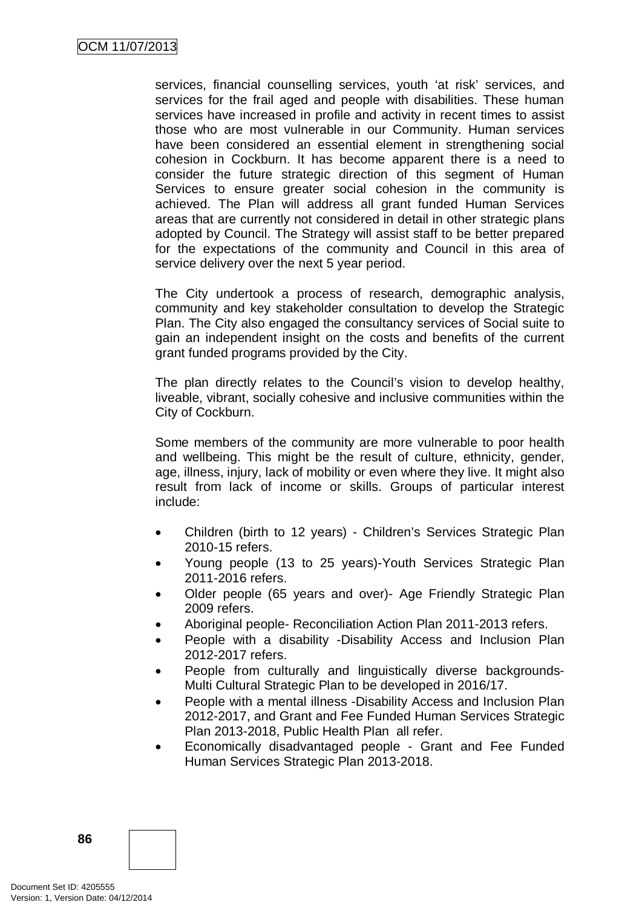services, financial counselling services, youth 'at risk' services, and services for the frail aged and people with disabilities. These human services have increased in profile and activity in recent times to assist those who are most vulnerable in our Community. Human services have been considered an essential element in strengthening social cohesion in Cockburn. It has become apparent there is a need to consider the future strategic direction of this segment of Human Services to ensure greater social cohesion in the community is achieved. The Plan will address all grant funded Human Services areas that are currently not considered in detail in other strategic plans adopted by Council. The Strategy will assist staff to be better prepared for the expectations of the community and Council in this area of service delivery over the next 5 year period.

The City undertook a process of research, demographic analysis, community and key stakeholder consultation to develop the Strategic Plan. The City also engaged the consultancy services of Social suite to gain an independent insight on the costs and benefits of the current grant funded programs provided by the City.

The plan directly relates to the Council's vision to develop healthy, liveable, vibrant, socially cohesive and inclusive communities within the City of Cockburn.

Some members of the community are more vulnerable to poor health and wellbeing. This might be the result of culture, ethnicity, gender, age, illness, injury, lack of mobility or even where they live. It might also result from lack of income or skills. Groups of particular interest include:

- Children (birth to 12 years) Children's Services Strategic Plan 2010-15 refers.
- Young people (13 to 25 years)-Youth Services Strategic Plan 2011-2016 refers.
- Older people (65 years and over)- Age Friendly Strategic Plan 2009 refers.
- Aboriginal people- Reconciliation Action Plan 2011-2013 refers.
- People with a disability -Disability Access and Inclusion Plan 2012-2017 refers.
- People from culturally and linguistically diverse backgrounds-Multi Cultural Strategic Plan to be developed in 2016/17.
- People with a mental illness -Disability Access and Inclusion Plan 2012-2017, and Grant and Fee Funded Human Services Strategic Plan 2013-2018, Public Health Plan all refer.
- Economically disadvantaged people Grant and Fee Funded Human Services Strategic Plan 2013-2018.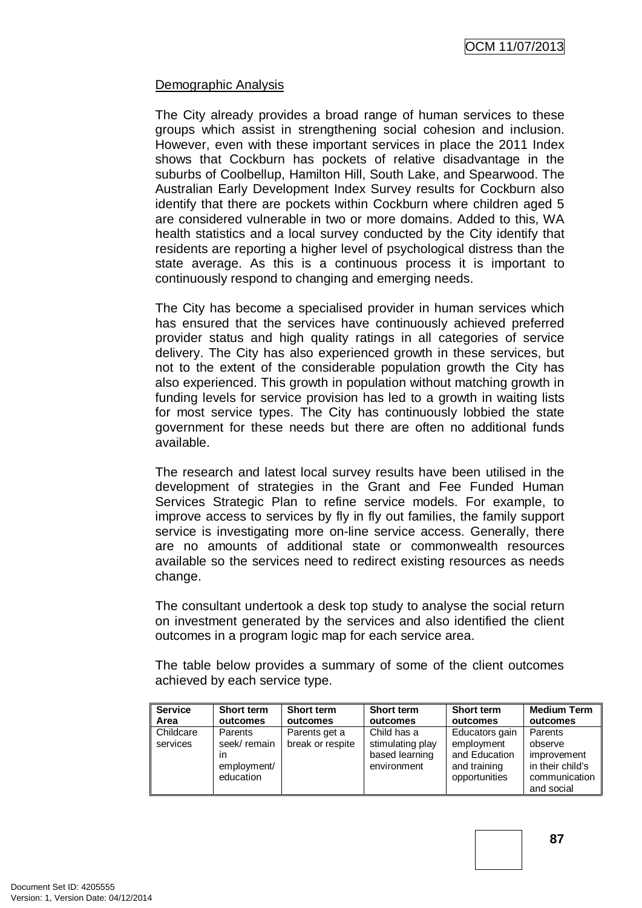# Demographic Analysis

The City already provides a broad range of human services to these groups which assist in strengthening social cohesion and inclusion. However, even with these important services in place the 2011 Index shows that Cockburn has pockets of relative disadvantage in the suburbs of Coolbellup, Hamilton Hill, South Lake, and Spearwood. The Australian Early Development Index Survey results for Cockburn also identify that there are pockets within Cockburn where children aged 5 are considered vulnerable in two or more domains. Added to this, WA health statistics and a local survey conducted by the City identify that residents are reporting a higher level of psychological distress than the state average. As this is a continuous process it is important to continuously respond to changing and emerging needs.

The City has become a specialised provider in human services which has ensured that the services have continuously achieved preferred provider status and high quality ratings in all categories of service delivery. The City has also experienced growth in these services, but not to the extent of the considerable population growth the City has also experienced. This growth in population without matching growth in funding levels for service provision has led to a growth in waiting lists for most service types. The City has continuously lobbied the state government for these needs but there are often no additional funds available.

The research and latest local survey results have been utilised in the development of strategies in the Grant and Fee Funded Human Services Strategic Plan to refine service models. For example, to improve access to services by fly in fly out families, the family support service is investigating more on-line service access. Generally, there are no amounts of additional state or commonwealth resources available so the services need to redirect existing resources as needs change.

The consultant undertook a desk top study to analyse the social return on investment generated by the services and also identified the client outcomes in a program logic map for each service area.

The table below provides a summary of some of the client outcomes achieved by each service type.

| <b>Service</b> | <b>Short term</b> | <b>Short term</b> | <b>Short term</b> | <b>Short term</b> | <b>Medium Term</b> |
|----------------|-------------------|-------------------|-------------------|-------------------|--------------------|
| Area           | outcomes          | outcomes          | outcomes          | outcomes          | outcomes           |
| Childcare      | Parents           | Parents get a     | Child has a       | Educators gain    | Parents            |
| services       | seek/ remain      | break or respite  | stimulating play  | employment        | observe            |
|                | ın                |                   | based learning    | and Education     | improvement        |
|                | employment/       |                   | environment       | and training      | in their child's   |
|                | education         |                   |                   | opportunities     | communication      |
|                |                   |                   |                   |                   | and social         |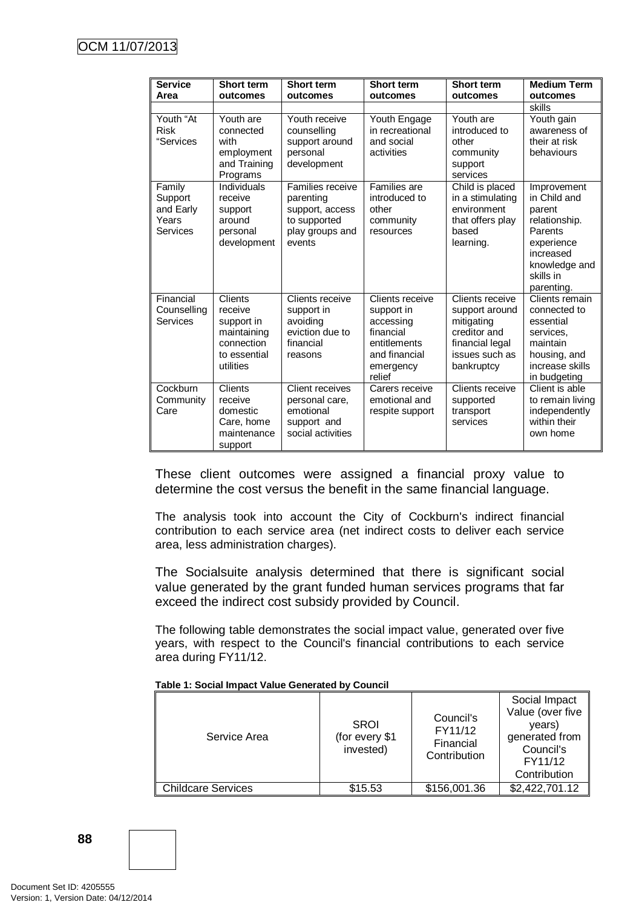| <b>Service</b><br>Area                              | <b>Short term</b><br>outcomes                                                              | <b>Short term</b><br>outcomes                                                                 | Short term<br>outcomes                                                                                          | <b>Short term</b><br>outcomes                                                                                      | <b>Medium Term</b><br>outcomes                                                                                                           |
|-----------------------------------------------------|--------------------------------------------------------------------------------------------|-----------------------------------------------------------------------------------------------|-----------------------------------------------------------------------------------------------------------------|--------------------------------------------------------------------------------------------------------------------|------------------------------------------------------------------------------------------------------------------------------------------|
|                                                     |                                                                                            |                                                                                               |                                                                                                                 |                                                                                                                    | skills                                                                                                                                   |
| Youth "At<br><b>Risk</b><br>"Services               | Youth are<br>connected<br>with<br>employment<br>and Training<br>Programs                   | Youth receive<br>counselling<br>support around<br>personal<br>development                     | Youth Engage<br>in recreational<br>and social<br>activities                                                     | Youth are<br>introduced to<br>other<br>community<br>support<br>services                                            | Youth gain<br>awareness of<br>their at risk<br>behaviours                                                                                |
| Family<br>Support<br>and Early<br>Years<br>Services | Individuals<br>receive<br>support<br>around<br>personal<br>development                     | Families receive<br>parenting<br>support, access<br>to supported<br>play groups and<br>events | Families are<br>introduced to<br>other<br>community<br>resources                                                | Child is placed<br>in a stimulating<br>environment<br>that offers play<br>based<br>learning.                       | Improvement<br>in Child and<br>parent<br>relationship.<br>Parents<br>experience<br>increased<br>knowledge and<br>skills in<br>parenting. |
| Financial<br>Counselling<br>Services                | Clients<br>receive<br>support in<br>maintaining<br>connection<br>to essential<br>utilities | Clients receive<br>support in<br>avoiding<br>eviction due to<br>financial<br>reasons          | Clients receive<br>support in<br>accessing<br>financial<br>entitlements<br>and financial<br>emergency<br>relief | Clients receive<br>support around<br>mitigating<br>creditor and<br>financial legal<br>issues such as<br>bankruptcy | Clients remain<br>connected to<br>essential<br>services,<br>maintain<br>housing, and<br>increase skills<br>in budgeting                  |
| Cockburn<br>Community<br>Care                       | Clients<br>receive<br>domestic<br>Care, home<br>maintenance<br>support                     | <b>Client receives</b><br>personal care,<br>emotional<br>support and<br>social activities     | Carers receive<br>emotional and<br>respite support                                                              | Clients receive<br>supported<br>transport<br>services                                                              | Client is able<br>to remain living<br>independently<br>within their<br>own home                                                          |

These client outcomes were assigned a financial proxy value to determine the cost versus the benefit in the same financial language.

The analysis took into account the City of Cockburn's indirect financial contribution to each service area (net indirect costs to deliver each service area, less administration charges).

The Socialsuite analysis determined that there is significant social value generated by the grant funded human services programs that far exceed the indirect cost subsidy provided by Council.

The following table demonstrates the social impact value, generated over five years, with respect to the Council's financial contributions to each service area during FY11/12.

| Table 1: Social Impact Value Generated by Council |  |
|---------------------------------------------------|--|
|---------------------------------------------------|--|

| Service Area              | SROI<br>(for every \$1<br>invested) | Council's<br>FY11/12<br>Financial<br>Contribution | Social Impact<br>Value (over five<br>years)<br>generated from<br>Council's<br>FY11/12<br>Contribution |
|---------------------------|-------------------------------------|---------------------------------------------------|-------------------------------------------------------------------------------------------------------|
| <b>Childcare Services</b> | \$15.53                             | \$156,001.36                                      | \$2,422,701.12                                                                                        |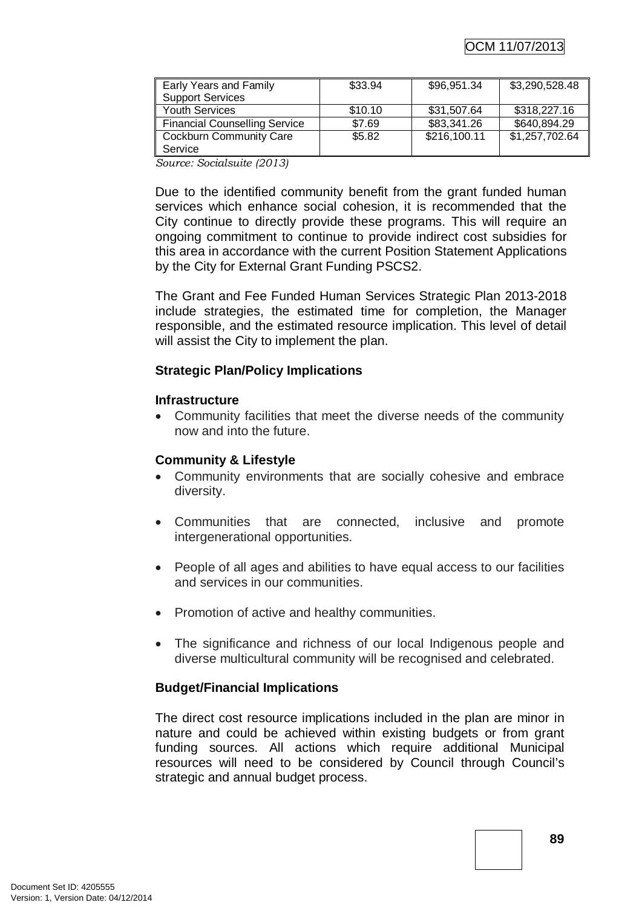OCM 11/07/2013

| Early Years and Family               | \$33.94 | \$96,951.34  | \$3,290,528.48 |
|--------------------------------------|---------|--------------|----------------|
| <b>Support Services</b>              |         |              |                |
| <b>Youth Services</b>                | \$10.10 | \$31,507.64  | \$318,227.16   |
| <b>Financial Counselling Service</b> | \$7.69  | \$83,341.26  | \$640,894.29   |
| Cockburn Community Care              | \$5.82  | \$216,100.11 | \$1,257,702.64 |
| Service                              |         |              |                |

*Source: Socialsuite (2013)*

Due to the identified community benefit from the grant funded human services which enhance social cohesion, it is recommended that the City continue to directly provide these programs. This will require an ongoing commitment to continue to provide indirect cost subsidies for this area in accordance with the current Position Statement Applications by the City for External Grant Funding PSCS2.

The Grant and Fee Funded Human Services Strategic Plan 2013-2018 include strategies, the estimated time for completion, the Manager responsible, and the estimated resource implication. This level of detail will assist the City to implement the plan.

# **Strategic Plan/Policy Implications**

#### **Infrastructure**

• Community facilities that meet the diverse needs of the community now and into the future.

# **Community & Lifestyle**

- Community environments that are socially cohesive and embrace diversity.
- Communities that are connected, inclusive and promote intergenerational opportunities.
- People of all ages and abilities to have equal access to our facilities and services in our communities.
- Promotion of active and healthy communities.
- The significance and richness of our local Indigenous people and diverse multicultural community will be recognised and celebrated.

# **Budget/Financial Implications**

The direct cost resource implications included in the plan are minor in nature and could be achieved within existing budgets or from grant funding sources. All actions which require additional Municipal resources will need to be considered by Council through Council's strategic and annual budget process.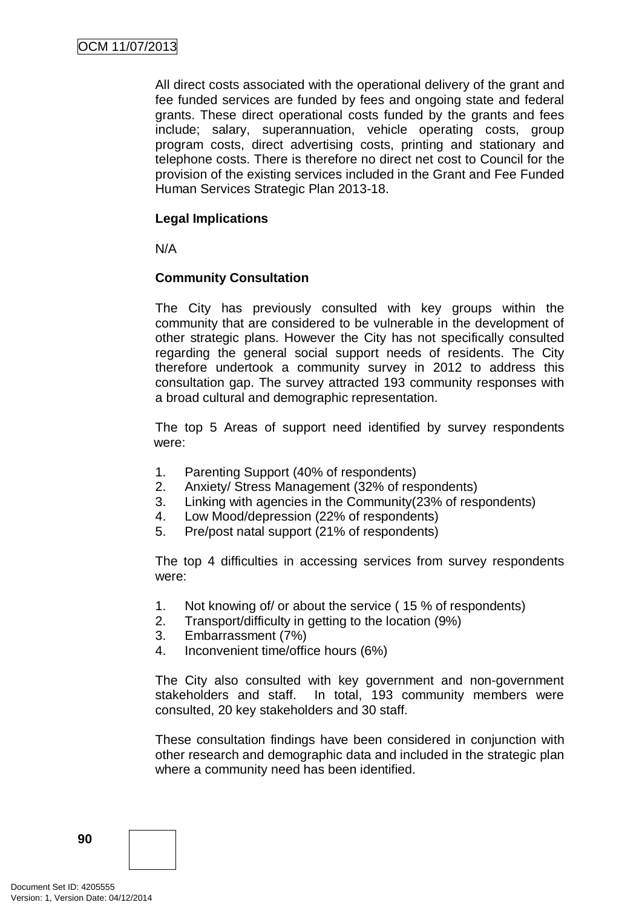All direct costs associated with the operational delivery of the grant and fee funded services are funded by fees and ongoing state and federal grants. These direct operational costs funded by the grants and fees include; salary, superannuation, vehicle operating costs, group program costs, direct advertising costs, printing and stationary and telephone costs. There is therefore no direct net cost to Council for the provision of the existing services included in the Grant and Fee Funded Human Services Strategic Plan 2013-18.

# **Legal Implications**

N/A

# **Community Consultation**

The City has previously consulted with key groups within the community that are considered to be vulnerable in the development of other strategic plans. However the City has not specifically consulted regarding the general social support needs of residents. The City therefore undertook a community survey in 2012 to address this consultation gap. The survey attracted 193 community responses with a broad cultural and demographic representation.

The top 5 Areas of support need identified by survey respondents were:

- 1. Parenting Support (40% of respondents)
- 2. Anxiety/ Stress Management (32% of respondents)
- 3. Linking with agencies in the Community(23% of respondents)<br>4. I ow Mood/depression (22% of respondents)
- 4. Low Mood/depression (22% of respondents)
- 5. Pre/post natal support (21% of respondents)

The top 4 difficulties in accessing services from survey respondents were:

- 1. Not knowing of/ or about the service ( 15 % of respondents)
- 2. Transport/difficulty in getting to the location (9%)
- 3. Embarrassment (7%)
- 4. Inconvenient time/office hours (6%)

The City also consulted with key government and non-government stakeholders and staff. In total, 193 community members were consulted, 20 key stakeholders and 30 staff.

These consultation findings have been considered in conjunction with other research and demographic data and included in the strategic plan where a community need has been identified.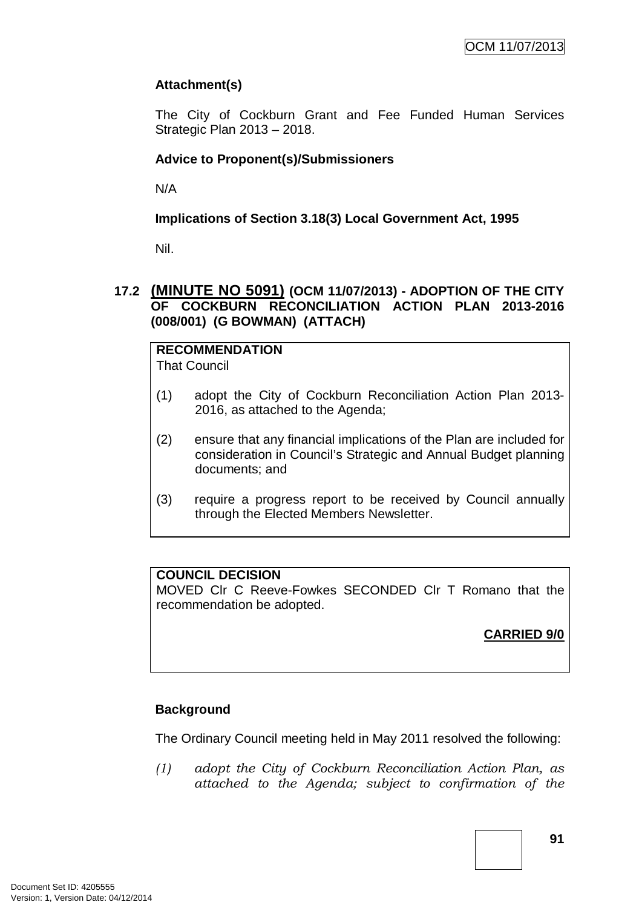# **Attachment(s)**

The City of Cockburn Grant and Fee Funded Human Services Strategic Plan 2013 – 2018.

# **Advice to Proponent(s)/Submissioners**

N/A

# **Implications of Section 3.18(3) Local Government Act, 1995**

Nil.

# **17.2 (MINUTE NO 5091) (OCM 11/07/2013) - ADOPTION OF THE CITY OF COCKBURN RECONCILIATION ACTION PLAN 2013-2016 (008/001) (G BOWMAN) (ATTACH)**

# **RECOMMENDATION**

That Council

- (1) adopt the City of Cockburn Reconciliation Action Plan 2013- 2016, as attached to the Agenda;
- (2) ensure that any financial implications of the Plan are included for consideration in Council's Strategic and Annual Budget planning documents; and
- (3) require a progress report to be received by Council annually through the Elected Members Newsletter.

# **COUNCIL DECISION**

MOVED Clr C Reeve-Fowkes SECONDED Clr T Romano that the recommendation be adopted.

# **CARRIED 9/0**

# **Background**

The Ordinary Council meeting held in May 2011 resolved the following:

*(1) adopt the City of Cockburn Reconciliation Action Plan, as attached to the Agenda; subject to confirmation of the*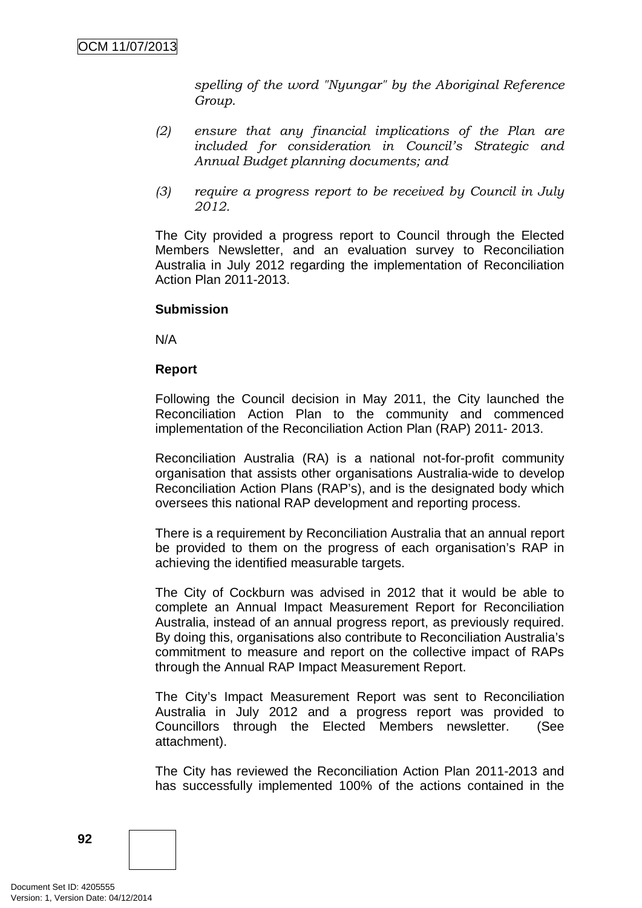*spelling of the word "Nyungar" by the Aboriginal Reference Group.*

- *(2) ensure that any financial implications of the Plan are included for consideration in Council's Strategic and Annual Budget planning documents; and*
- *(3) require a progress report to be received by Council in July 2012.*

The City provided a progress report to Council through the Elected Members Newsletter, and an evaluation survey to Reconciliation Australia in July 2012 regarding the implementation of Reconciliation Action Plan 2011-2013.

#### **Submission**

N/A

# **Report**

Following the Council decision in May 2011, the City launched the Reconciliation Action Plan to the community and commenced implementation of the Reconciliation Action Plan (RAP) 2011- 2013.

Reconciliation Australia (RA) is a national not-for-profit community organisation that assists other organisations Australia-wide to develop Reconciliation Action Plans (RAP's), and is the designated body which oversees this national RAP development and reporting process.

There is a requirement by Reconciliation Australia that an annual report be provided to them on the progress of each organisation's RAP in achieving the identified measurable targets.

The City of Cockburn was advised in 2012 that it would be able to complete an Annual Impact Measurement Report for Reconciliation Australia, instead of an annual progress report, as previously required. By doing this, organisations also contribute to Reconciliation Australia's commitment to measure and report on the collective impact of RAPs through the Annual RAP Impact Measurement Report.

The City's Impact Measurement Report was sent to Reconciliation Australia in July 2012 and a progress report was provided to Councillors through the Elected Members newsletter. (See attachment).

The City has reviewed the Reconciliation Action Plan 2011-2013 and has successfully implemented 100% of the actions contained in the

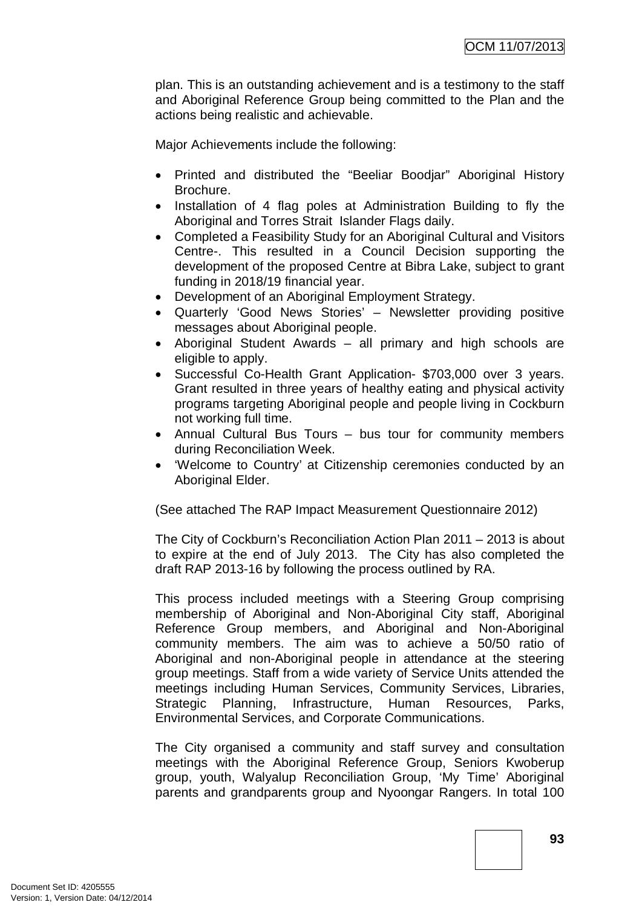plan. This is an outstanding achievement and is a testimony to the staff and Aboriginal Reference Group being committed to the Plan and the actions being realistic and achievable.

Major Achievements include the following:

- Printed and distributed the "Beeliar Boodjar" Aboriginal History Brochure.
- Installation of 4 flag poles at Administration Building to fly the Aboriginal and Torres Strait Islander Flags daily.
- Completed a Feasibility Study for an Aboriginal Cultural and Visitors Centre-. This resulted in a Council Decision supporting the development of the proposed Centre at Bibra Lake, subject to grant funding in 2018/19 financial year.
- Development of an Aboriginal Employment Strategy.
- Quarterly 'Good News Stories' Newsletter providing positive messages about Aboriginal people.
- Aboriginal Student Awards all primary and high schools are eligible to apply.
- Successful Co-Health Grant Application- \$703,000 over 3 years. Grant resulted in three years of healthy eating and physical activity programs targeting Aboriginal people and people living in Cockburn not working full time.
- Annual Cultural Bus Tours bus tour for community members during Reconciliation Week.
- 'Welcome to Country' at Citizenship ceremonies conducted by an Aboriginal Elder.

(See attached The RAP Impact Measurement Questionnaire 2012)

The City of Cockburn's Reconciliation Action Plan 2011 – 2013 is about to expire at the end of July 2013. The City has also completed the draft RAP 2013-16 by following the process outlined by RA.

This process included meetings with a Steering Group comprising membership of Aboriginal and Non-Aboriginal City staff, Aboriginal Reference Group members, and Aboriginal and Non-Aboriginal community members. The aim was to achieve a 50/50 ratio of Aboriginal and non-Aboriginal people in attendance at the steering group meetings. Staff from a wide variety of Service Units attended the meetings including Human Services, Community Services, Libraries, Strategic Planning, Infrastructure, Human Resources, Parks, Environmental Services, and Corporate Communications.

The City organised a community and staff survey and consultation meetings with the Aboriginal Reference Group, Seniors Kwoberup group, youth, Walyalup Reconciliation Group, 'My Time' Aboriginal parents and grandparents group and Nyoongar Rangers. In total 100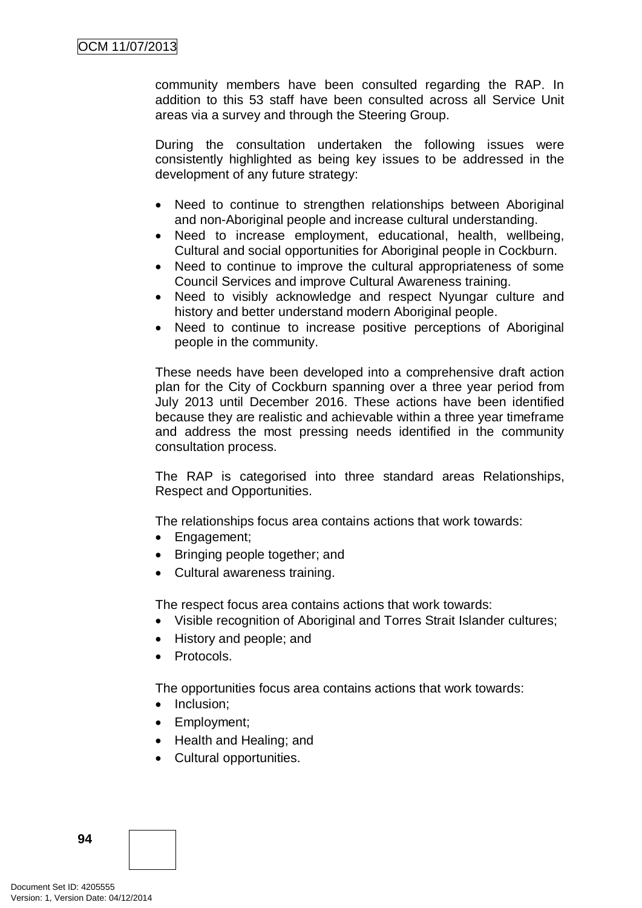community members have been consulted regarding the RAP. In addition to this 53 staff have been consulted across all Service Unit areas via a survey and through the Steering Group.

During the consultation undertaken the following issues were consistently highlighted as being key issues to be addressed in the development of any future strategy:

- Need to continue to strengthen relationships between Aboriginal and non-Aboriginal people and increase cultural understanding.
- Need to increase employment, educational, health, wellbeing, Cultural and social opportunities for Aboriginal people in Cockburn.
- Need to continue to improve the cultural appropriateness of some Council Services and improve Cultural Awareness training.
- Need to visibly acknowledge and respect Nyungar culture and history and better understand modern Aboriginal people.
- Need to continue to increase positive perceptions of Aboriginal people in the community.

These needs have been developed into a comprehensive draft action plan for the City of Cockburn spanning over a three year period from July 2013 until December 2016. These actions have been identified because they are realistic and achievable within a three year timeframe and address the most pressing needs identified in the community consultation process.

The RAP is categorised into three standard areas Relationships, Respect and Opportunities.

The relationships focus area contains actions that work towards:

- Engagement;
- Bringing people together; and
- Cultural awareness training.

The respect focus area contains actions that work towards:

- Visible recognition of Aboriginal and Torres Strait Islander cultures;
- History and people; and
- Protocols.

The opportunities focus area contains actions that work towards:

- Inclusion;
- Employment;
- Health and Healing; and
- Cultural opportunities.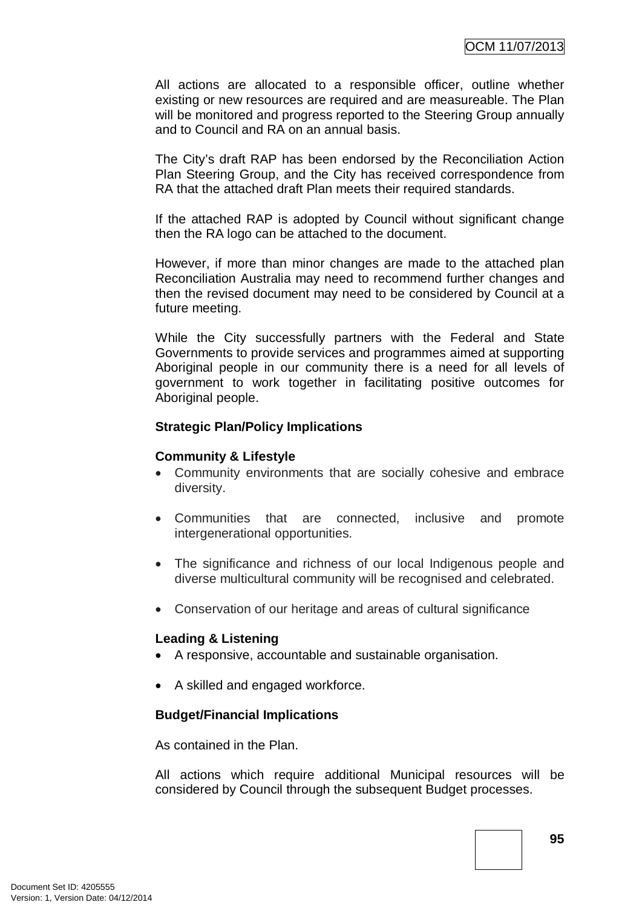All actions are allocated to a responsible officer, outline whether existing or new resources are required and are measureable. The Plan will be monitored and progress reported to the Steering Group annually and to Council and RA on an annual basis.

The City's draft RAP has been endorsed by the Reconciliation Action Plan Steering Group, and the City has received correspondence from RA that the attached draft Plan meets their required standards.

If the attached RAP is adopted by Council without significant change then the RA logo can be attached to the document.

However, if more than minor changes are made to the attached plan Reconciliation Australia may need to recommend further changes and then the revised document may need to be considered by Council at a future meeting.

While the City successfully partners with the Federal and State Governments to provide services and programmes aimed at supporting Aboriginal people in our community there is a need for all levels of government to work together in facilitating positive outcomes for Aboriginal people.

#### **Strategic Plan/Policy Implications**

#### **Community & Lifestyle**

- Community environments that are socially cohesive and embrace diversity.
- Communities that are connected, inclusive and promote intergenerational opportunities.
- The significance and richness of our local Indigenous people and diverse multicultural community will be recognised and celebrated.
- Conservation of our heritage and areas of cultural significance

#### **Leading & Listening**

- A responsive, accountable and sustainable organisation.
- A skilled and engaged workforce.

# **Budget/Financial Implications**

As contained in the Plan.

All actions which require additional Municipal resources will be considered by Council through the subsequent Budget processes.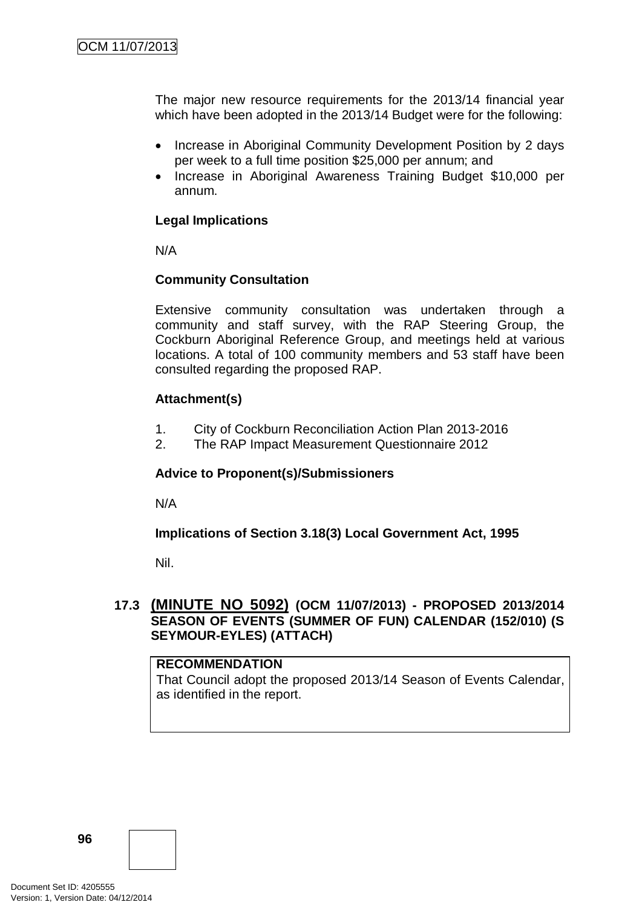The major new resource requirements for the 2013/14 financial year which have been adopted in the 2013/14 Budget were for the following:

- Increase in Aboriginal Community Development Position by 2 days per week to a full time position \$25,000 per annum; and
- Increase in Aboriginal Awareness Training Budget \$10,000 per annum.

# **Legal Implications**

N/A

# **Community Consultation**

Extensive community consultation was undertaken through a community and staff survey, with the RAP Steering Group, the Cockburn Aboriginal Reference Group, and meetings held at various locations. A total of 100 community members and 53 staff have been consulted regarding the proposed RAP.

# **Attachment(s)**

- 1. City of Cockburn Reconciliation Action Plan 2013-2016
- 2. The RAP Impact Measurement Questionnaire 2012

# **Advice to Proponent(s)/Submissioners**

N/A

**Implications of Section 3.18(3) Local Government Act, 1995**

Nil.

# **17.3 (MINUTE NO 5092) (OCM 11/07/2013) - PROPOSED 2013/2014 SEASON OF EVENTS (SUMMER OF FUN) CALENDAR (152/010) (S SEYMOUR-EYLES) (ATTACH)**

#### **RECOMMENDATION** That Council adopt the proposed 2013/14 Season of Events Calendar, as identified in the report.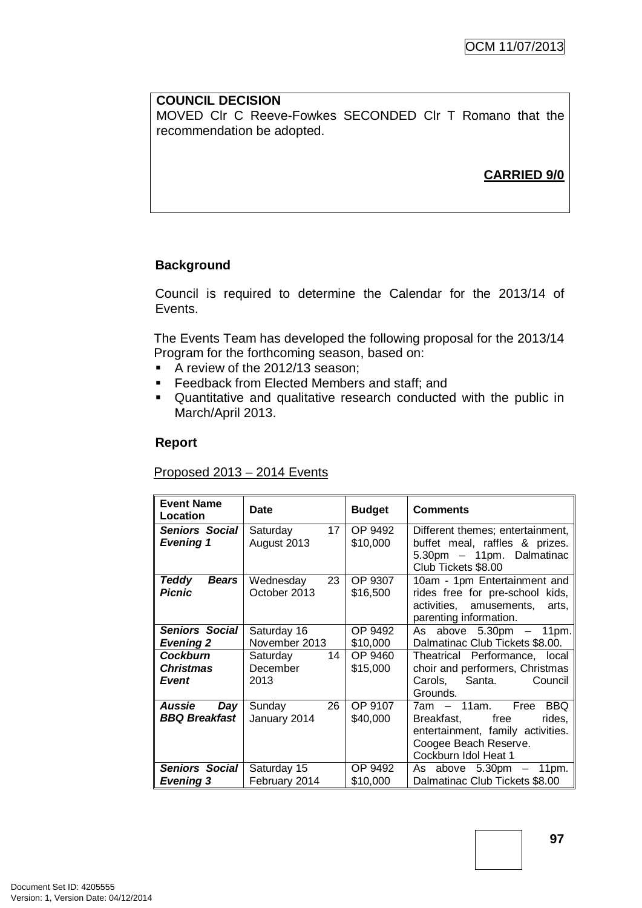# **COUNCIL DECISION** MOVED Clr C Reeve-Fowkes SECONDED Clr T Romano that the recommendation be adopted.

# **CARRIED 9/0**

# **Background**

Council is required to determine the Calendar for the 2013/14 of Events.

The Events Team has developed the following proposal for the 2013/14 Program for the forthcoming season, based on:

- A review of the 2012/13 season;
- **Feedback from Elected Members and staff; and**
- Quantitative and qualitative research conducted with the public in March/April 2013.

# **Report**

Proposed 2013 – 2014 Events

| <b>Event Name</b><br>Location                       | Date                               | <b>Budget</b>       | <b>Comments</b>                                                                                                                                      |
|-----------------------------------------------------|------------------------------------|---------------------|------------------------------------------------------------------------------------------------------------------------------------------------------|
| <b>Seniors Social</b><br><b>Evening 1</b>           | 17<br>Saturday<br>August 2013      | OP 9492<br>\$10,000 | Different themes; entertainment,<br>buffet meal, raffles & prizes.<br>5.30pm - 11pm. Dalmatinac<br>Club Tickets \$8.00                               |
| <b>Teddy</b><br><b>Bears</b><br><b>Picnic</b>       | 23<br>Wednesday<br>October 2013    | OP 9307<br>\$16,500 | 10am - 1pm Entertainment and<br>rides free for pre-school kids,<br>activities, amusements,<br>arts,<br>parenting information.                        |
| <b>Seniors Social</b><br><b>Evening 2</b>           | Saturday 16<br>November 2013       | OP 9492<br>\$10,000 | As above $5.30 \text{pm}$ - 11pm.<br>Dalmatinac Club Tickets \$8.00.                                                                                 |
| <b>Cockburn</b><br><b>Christmas</b><br><b>Event</b> | 14<br>Saturday<br>December<br>2013 | OP 9460<br>\$15,000 | Theatrical Performance, local<br>choir and performers, Christmas<br>Carols, Santa.<br>Council<br>Grounds.                                            |
| Aussie<br>Day<br><b>BBQ Breakfast</b>               | 26<br>Sunday<br>January 2014       | OP 9107<br>\$40,000 | 7am - 11am. Free<br><b>BBQ</b><br>Breakfast,<br>free<br>rides,<br>entertainment, family activities.<br>Coogee Beach Reserve.<br>Cockburn Idol Heat 1 |
| <b>Seniors Social</b><br>Evening 3                  | Saturday 15<br>February 2014       | OP 9492<br>\$10,000 | As above $5.30 \text{pm}$ - 11pm.<br>Dalmatinac Club Tickets \$8.00                                                                                  |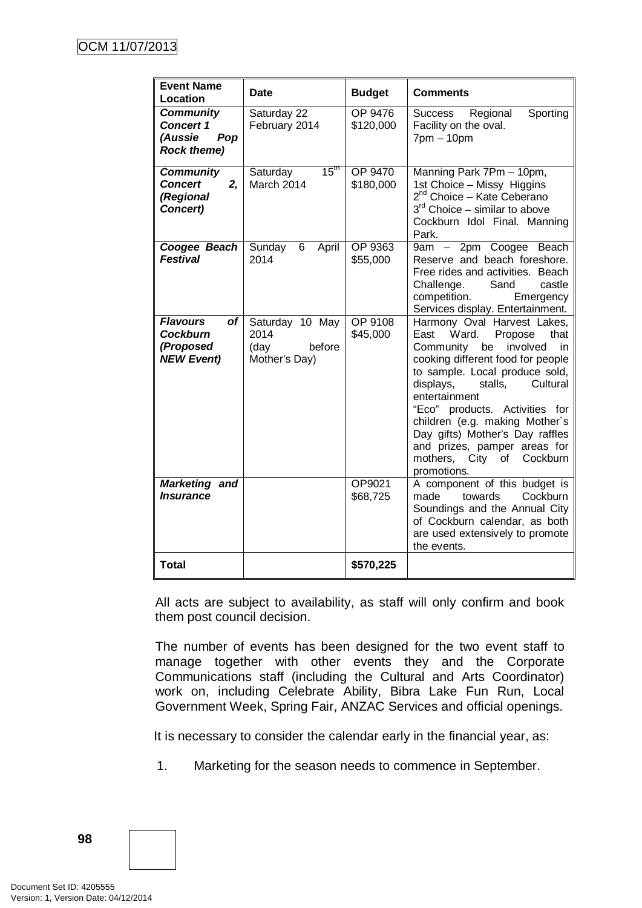| <b>Event Name</b><br>Location                                                           | Date                                                       | <b>Budget</b>               | <b>Comments</b>                                                                                                                                                                                                                                                                                                                                                                                                     |
|-----------------------------------------------------------------------------------------|------------------------------------------------------------|-----------------------------|---------------------------------------------------------------------------------------------------------------------------------------------------------------------------------------------------------------------------------------------------------------------------------------------------------------------------------------------------------------------------------------------------------------------|
| <b>Community</b><br><b>Concert 1</b><br><i>(Aussie</i><br>Pop<br><b>Rock theme)</b>     | Saturday 22<br>February 2014                               | OP 9476<br>\$120,000        | Regional<br>Sporting<br><b>Success</b><br>Facility on the oval.<br>$7$ pm $-10$ pm                                                                                                                                                                                                                                                                                                                                  |
| <b>Community</b><br><b>Concert</b><br>2,<br>(Regional<br>Concert)                       | 15 <sup>th</sup><br>Saturday<br>March 2014                 | <b>OP 9470</b><br>\$180,000 | Manning Park 7Pm - 10pm,<br>1st Choice - Missy Higgins<br>2 <sup>nd</sup> Choice - Kate Ceberano<br>$3rd$ Choice – similar to above<br>Cockburn Idol Final. Manning<br>Park.                                                                                                                                                                                                                                        |
| Coogee Beach<br><b>Festival</b>                                                         | Sunday<br>6<br>April<br>2014                               | OP 9363<br>\$55,000         | 9am - 2pm Coogee Beach<br>Reserve and beach foreshore.<br>Free rides and activities. Beach<br>Challenge.<br>Sand<br>castle<br>competition.<br>Emergency<br>Services display. Entertainment.                                                                                                                                                                                                                         |
| <b>Flavours</b><br>$\overline{of}$<br><b>Cockburn</b><br>(Proposed<br><b>NEW Event)</b> | Saturday 10 May<br>2014<br>before<br>(day<br>Mother's Day) | <b>OP 9108</b><br>\$45,000  | Harmony Oval Harvest Lakes,<br>East<br>Ward.<br>Propose<br>that<br>involved<br>Community<br>be<br>in<br>cooking different food for people<br>to sample. Local produce sold,<br>displays,<br>stalls,<br>Cultural<br>entertainment<br>"Eco" products. Activities for<br>children (e.g. making Mother's<br>Day gifts) Mother's Day raffles<br>and prizes, pamper areas for<br>mothers, City of Cockburn<br>promotions. |
| Marketing and<br><b>Insurance</b>                                                       |                                                            | OP9021<br>\$68,725          | A component of this budget is<br>Cockburn<br>made<br>towards<br>Soundings and the Annual City<br>of Cockburn calendar, as both<br>are used extensively to promote<br>the events.                                                                                                                                                                                                                                    |
| <b>Total</b>                                                                            |                                                            | \$570,225                   |                                                                                                                                                                                                                                                                                                                                                                                                                     |

All acts are subject to availability, as staff will only confirm and book them post council decision.

The number of events has been designed for the two event staff to manage together with other events they and the Corporate Communications staff (including the Cultural and Arts Coordinator) work on, including Celebrate Ability, Bibra Lake Fun Run, Local Government Week, Spring Fair, ANZAC Services and official openings.

It is necessary to consider the calendar early in the financial year, as:

1. Marketing for the season needs to commence in September.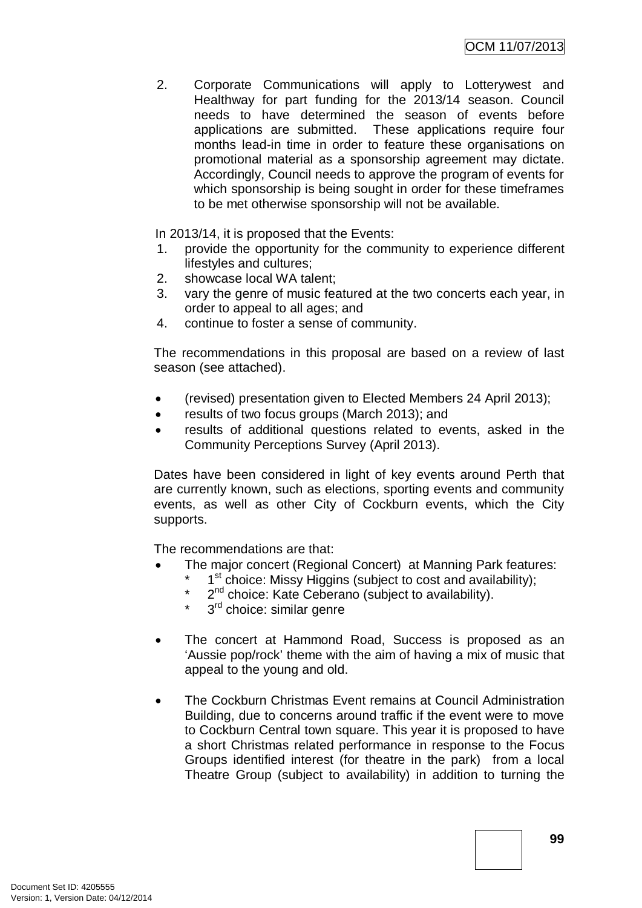2. Corporate Communications will apply to Lotterywest and Healthway for part funding for the 2013/14 season. Council needs to have determined the season of events before applications are submitted. These applications require four months lead-in time in order to feature these organisations on promotional material as a sponsorship agreement may dictate. Accordingly, Council needs to approve the program of events for which sponsorship is being sought in order for these timeframes to be met otherwise sponsorship will not be available.

In 2013/14, it is proposed that the Events:

- 1. provide the opportunity for the community to experience different lifestyles and cultures;
- 2. showcase local WA talent;
- 3. vary the genre of music featured at the two concerts each year, in order to appeal to all ages; and
- 4. continue to foster a sense of community.

The recommendations in this proposal are based on a review of last season (see attached).

- (revised) presentation given to Elected Members 24 April 2013);
- results of two focus groups (March 2013); and
- results of additional questions related to events, asked in the Community Perceptions Survey (April 2013).

Dates have been considered in light of key events around Perth that are currently known, such as elections, sporting events and community events, as well as other City of Cockburn events, which the City supports.

The recommendations are that:

- The major concert (Regional Concert) at Manning Park features:
	- $1<sup>st</sup>$  choice: Missy Higgins (subject to cost and availability);
	- $2<sup>nd</sup>$  choice: Kate Ceberano (subject to availability).
	- $3<sup>rd</sup>$  choice: similar genre
- The concert at Hammond Road, Success is proposed as an 'Aussie pop/rock' theme with the aim of having a mix of music that appeal to the young and old.
- The Cockburn Christmas Event remains at Council Administration Building, due to concerns around traffic if the event were to move to Cockburn Central town square. This year it is proposed to have a short Christmas related performance in response to the Focus Groups identified interest (for theatre in the park) from a local Theatre Group (subject to availability) in addition to turning the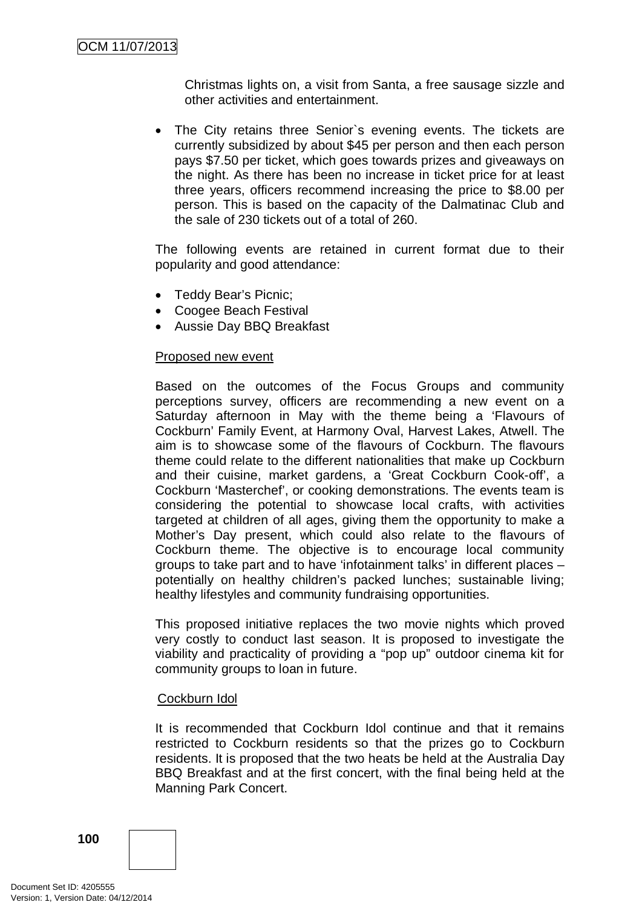Christmas lights on, a visit from Santa, a free sausage sizzle and other activities and entertainment.

• The City retains three Senior's evening events. The tickets are currently subsidized by about \$45 per person and then each person pays \$7.50 per ticket, which goes towards prizes and giveaways on the night. As there has been no increase in ticket price for at least three years, officers recommend increasing the price to \$8.00 per person. This is based on the capacity of the Dalmatinac Club and the sale of 230 tickets out of a total of 260.

The following events are retained in current format due to their popularity and good attendance:

- Teddy Bear's Picnic;
- Coogee Beach Festival
- Aussie Day BBQ Breakfast

#### Proposed new event

Based on the outcomes of the Focus Groups and community perceptions survey, officers are recommending a new event on a Saturday afternoon in May with the theme being a 'Flavours of Cockburn' Family Event, at Harmony Oval, Harvest Lakes, Atwell. The aim is to showcase some of the flavours of Cockburn. The flavours theme could relate to the different nationalities that make up Cockburn and their cuisine, market gardens, a 'Great Cockburn Cook-off', a Cockburn 'Masterchef', or cooking demonstrations. The events team is considering the potential to showcase local crafts, with activities targeted at children of all ages, giving them the opportunity to make a Mother's Day present, which could also relate to the flavours of Cockburn theme. The objective is to encourage local community groups to take part and to have 'infotainment talks' in different places – potentially on healthy children's packed lunches; sustainable living; healthy lifestyles and community fundraising opportunities.

This proposed initiative replaces the two movie nights which proved very costly to conduct last season. It is proposed to investigate the viability and practicality of providing a "pop up" outdoor cinema kit for community groups to loan in future.

#### Cockburn Idol

It is recommended that Cockburn Idol continue and that it remains restricted to Cockburn residents so that the prizes go to Cockburn residents. It is proposed that the two heats be held at the Australia Day BBQ Breakfast and at the first concert, with the final being held at the Manning Park Concert.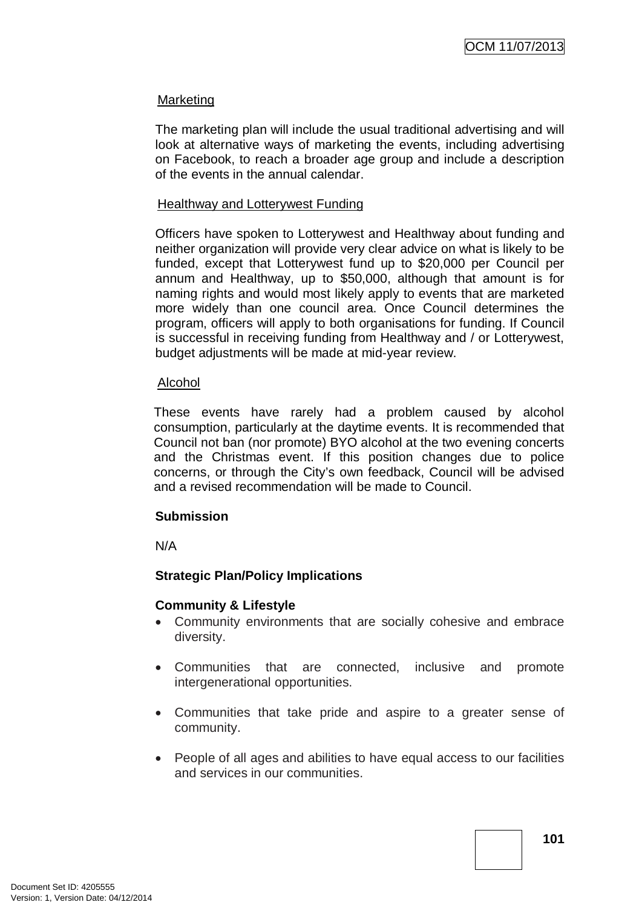# **Marketing**

The marketing plan will include the usual traditional advertising and will look at alternative ways of marketing the events, including advertising on Facebook, to reach a broader age group and include a description of the events in the annual calendar.

#### Healthway and Lotterywest Funding

Officers have spoken to Lotterywest and Healthway about funding and neither organization will provide very clear advice on what is likely to be funded, except that Lotterywest fund up to \$20,000 per Council per annum and Healthway, up to \$50,000, although that amount is for naming rights and would most likely apply to events that are marketed more widely than one council area. Once Council determines the program, officers will apply to both organisations for funding. If Council is successful in receiving funding from Healthway and / or Lotterywest, budget adjustments will be made at mid-year review.

#### Alcohol

These events have rarely had a problem caused by alcohol consumption, particularly at the daytime events. It is recommended that Council not ban (nor promote) BYO alcohol at the two evening concerts and the Christmas event. If this position changes due to police concerns, or through the City's own feedback, Council will be advised and a revised recommendation will be made to Council.

# **Submission**

N/A

# **Strategic Plan/Policy Implications**

#### **Community & Lifestyle**

- Community environments that are socially cohesive and embrace diversity.
- Communities that are connected, inclusive and promote intergenerational opportunities.
- Communities that take pride and aspire to a greater sense of community.
- People of all ages and abilities to have equal access to our facilities and services in our communities.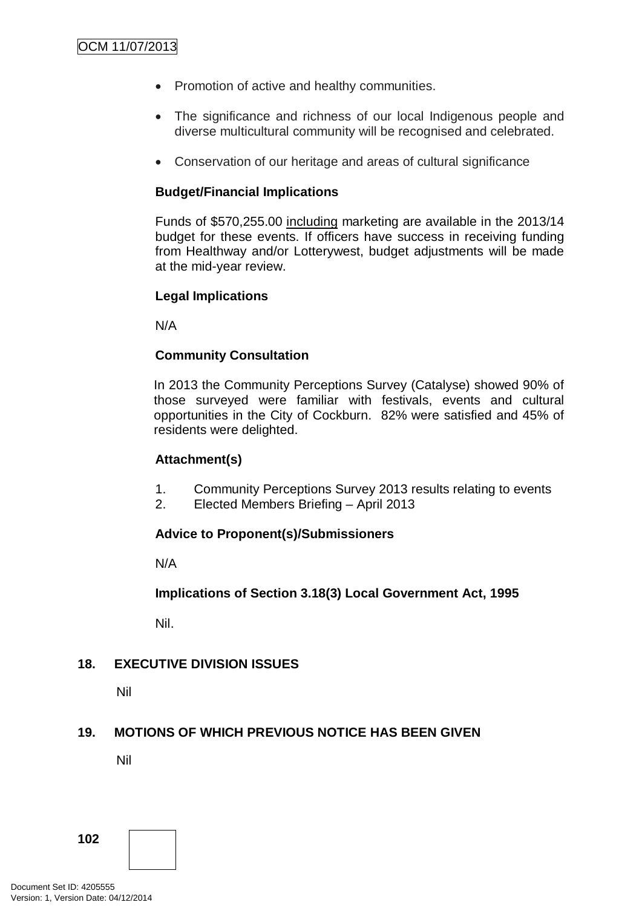- Promotion of active and healthy communities.
- The significance and richness of our local Indigenous people and diverse multicultural community will be recognised and celebrated.
- Conservation of our heritage and areas of cultural significance

#### **Budget/Financial Implications**

Funds of \$570,255.00 including marketing are available in the 2013/14 budget for these events. If officers have success in receiving funding from Healthway and/or Lotterywest, budget adjustments will be made at the mid-year review.

#### **Legal Implications**

N/A

#### **Community Consultation**

In 2013 the Community Perceptions Survey (Catalyse) showed 90% of those surveyed were familiar with festivals, events and cultural opportunities in the City of Cockburn. 82% were satisfied and 45% of residents were delighted.

#### **Attachment(s)**

- 1. Community Perceptions Survey 2013 results relating to events
- 2. Elected Members Briefing April 2013

#### **Advice to Proponent(s)/Submissioners**

N/A

**Implications of Section 3.18(3) Local Government Act, 1995**

Nil.

# **18. EXECUTIVE DIVISION ISSUES**

Nil

# **19. MOTIONS OF WHICH PREVIOUS NOTICE HAS BEEN GIVEN**

Nil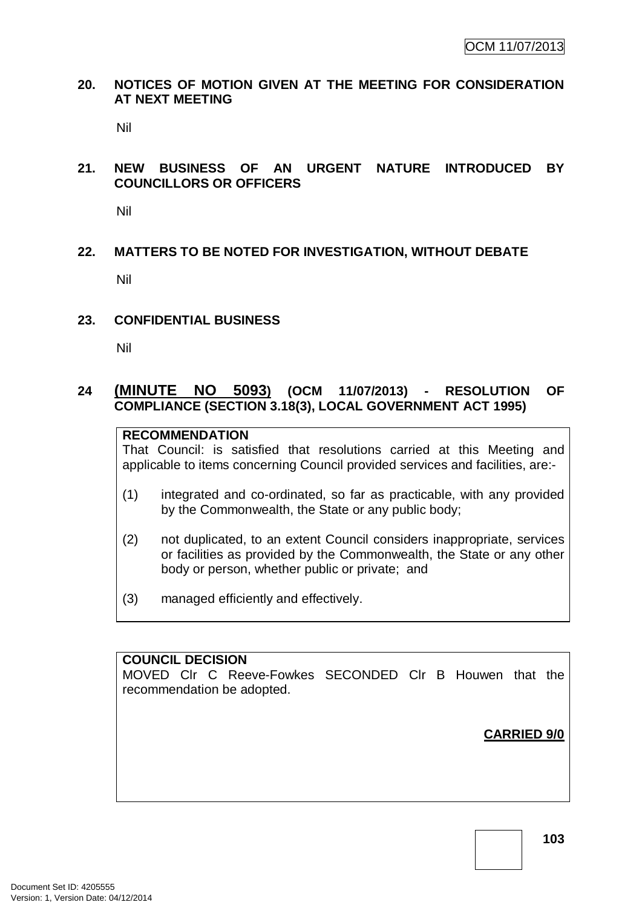# **20. NOTICES OF MOTION GIVEN AT THE MEETING FOR CONSIDERATION AT NEXT MEETING**

Nil

# **21. NEW BUSINESS OF AN URGENT NATURE INTRODUCED BY COUNCILLORS OR OFFICERS**

Nil

# **22. MATTERS TO BE NOTED FOR INVESTIGATION, WITHOUT DEBATE**

Nil

# **23. CONFIDENTIAL BUSINESS**

Nil

# **24 (MINUTE NO 5093) (OCM 11/07/2013) - RESOLUTION OF COMPLIANCE (SECTION 3.18(3), LOCAL GOVERNMENT ACT 1995)**

# **RECOMMENDATION**

That Council: is satisfied that resolutions carried at this Meeting and applicable to items concerning Council provided services and facilities, are:-

- (1) integrated and co-ordinated, so far as practicable, with any provided by the Commonwealth, the State or any public body;
- (2) not duplicated, to an extent Council considers inappropriate, services or facilities as provided by the Commonwealth, the State or any other body or person, whether public or private; and
- (3) managed efficiently and effectively.

# **COUNCIL DECISION**

MOVED Clr C Reeve-Fowkes SECONDED Clr B Houwen that the recommendation be adopted.

**CARRIED 9/0**